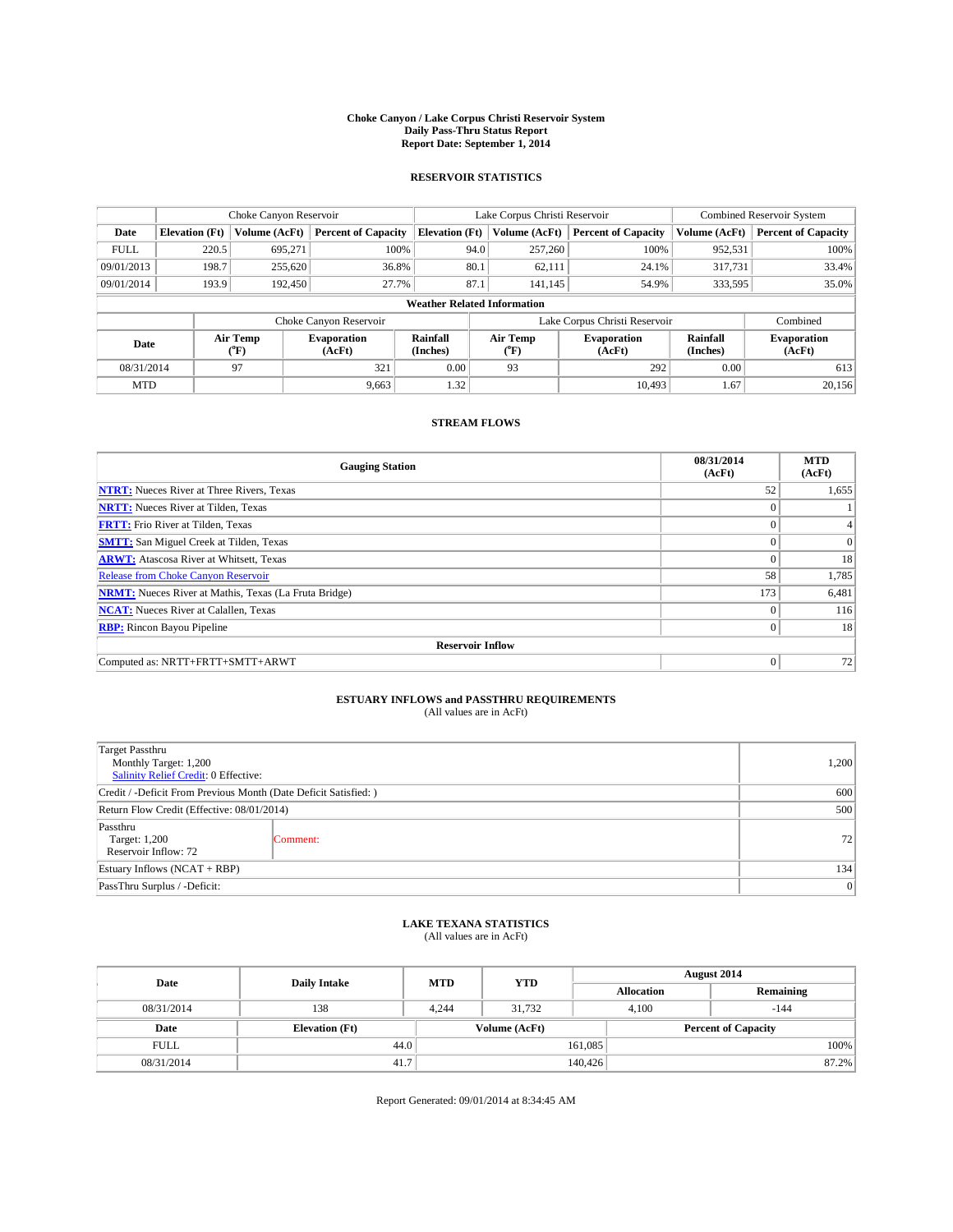#### **Choke Canyon / Lake Corpus Christi Reservoir System Daily Pass-Thru Status Report Report Date: September 1, 2014**

### **RESERVOIR STATISTICS**

|                          |                       | Choke Canyon Reservoir |                              |                                    | Lake Corpus Christi Reservoir | <b>Combined Reservoir System</b> |                      |                              |
|--------------------------|-----------------------|------------------------|------------------------------|------------------------------------|-------------------------------|----------------------------------|----------------------|------------------------------|
| Date                     | <b>Elevation</b> (Ft) | Volume (AcFt)          | <b>Percent of Capacity</b>   | <b>Elevation (Ft)</b>              | Volume (AcFt)                 | <b>Percent of Capacity</b>       | Volume (AcFt)        | <b>Percent of Capacity</b>   |
| <b>FULL</b>              | 220.5                 | 695,271                | 100%                         | 94.0                               | 257,260                       | 100%                             | 952,531              | 100%                         |
| 09/01/2013               | 198.7                 | 255,620                | 36.8%                        | 80.1                               | 62,111                        | 24.1%                            | 317,731              | 33.4%                        |
| 09/01/2014               | 193.9                 | 192,450                | 27.7%                        | 87.1                               | 141.145                       | 54.9%                            | 333,595              | 35.0%                        |
|                          |                       |                        |                              | <b>Weather Related Information</b> |                               |                                  |                      |                              |
|                          |                       |                        | Choke Canyon Reservoir       |                                    | Lake Corpus Christi Reservoir |                                  | Combined             |                              |
| Air Temp<br>Date<br>(°F) |                       |                        | <b>Evaporation</b><br>(AcFt) | Rainfall<br>(Inches)               | Air Temp<br>(°F)              | <b>Evaporation</b><br>(AcFt)     | Rainfall<br>(Inches) | <b>Evaporation</b><br>(AcFt) |
| 08/31/2014               |                       | 97                     | 321                          | 0.00                               | 93                            | 292                              | 0.00                 | 613                          |
| <b>MTD</b>               |                       |                        | 9,663                        | 1.32                               |                               | 10.493                           | 1.67                 | 20,156                       |

### **STREAM FLOWS**

| <b>Gauging Station</b>                                       | 08/31/2014<br>(AcFt) | <b>MTD</b><br>(AcFt) |  |  |  |  |  |
|--------------------------------------------------------------|----------------------|----------------------|--|--|--|--|--|
| <b>NTRT:</b> Nueces River at Three Rivers, Texas             | 52                   | 1,655                |  |  |  |  |  |
| <b>NRTT:</b> Nueces River at Tilden, Texas                   | $\theta$             |                      |  |  |  |  |  |
| <b>FRTT:</b> Frio River at Tilden, Texas                     |                      |                      |  |  |  |  |  |
| <b>SMTT:</b> San Miguel Creek at Tilden, Texas               | $\theta$             | $\overline{0}$       |  |  |  |  |  |
| <b>ARWT:</b> Atascosa River at Whitsett, Texas               | $\theta$             | 18                   |  |  |  |  |  |
| <b>Release from Choke Canyon Reservoir</b>                   | 58                   | 1,785                |  |  |  |  |  |
| <b>NRMT:</b> Nueces River at Mathis, Texas (La Fruta Bridge) | 173                  | 6,481                |  |  |  |  |  |
| <b>NCAT:</b> Nueces River at Calallen, Texas                 | $\theta$             | 116                  |  |  |  |  |  |
| <b>RBP:</b> Rincon Bayou Pipeline                            | $\Omega$             | 18                   |  |  |  |  |  |
| <b>Reservoir Inflow</b>                                      |                      |                      |  |  |  |  |  |
| Computed as: NRTT+FRTT+SMTT+ARWT                             | $\theta$             | 72                   |  |  |  |  |  |

# **ESTUARY INFLOWS and PASSTHRU REQUIREMENTS**<br>(All values are in AcFt)

| Target Passthru<br>Monthly Target: 1,200<br>Salinity Relief Credit: 0 Effective: |          |    |  |  |
|----------------------------------------------------------------------------------|----------|----|--|--|
| Credit / -Deficit From Previous Month (Date Deficit Satisfied: )                 | 600      |    |  |  |
| Return Flow Credit (Effective: 08/01/2014)                                       | 500      |    |  |  |
| Passthru<br>Target: 1,200<br>Reservoir Inflow: 72                                | Comment: | 72 |  |  |
| Estuary Inflows (NCAT + RBP)                                                     |          |    |  |  |
| PassThru Surplus / -Deficit:                                                     | 0        |    |  |  |

## **LAKE TEXANA STATISTICS** (All values are in AcFt)

| Date        |                       | <b>MTD</b> | <b>YTD</b>    | August 2014       |                            |           |  |
|-------------|-----------------------|------------|---------------|-------------------|----------------------------|-----------|--|
|             | <b>Daily Intake</b>   |            |               | <b>Allocation</b> |                            | Remaining |  |
| 08/31/2014  | 138                   | 4.244      | 31.732        |                   | 4.100<br>$-144$            |           |  |
| Date        | <b>Elevation</b> (Ft) |            | Volume (AcFt) |                   | <b>Percent of Capacity</b> |           |  |
| <b>FULL</b> | 44.0                  |            |               | 161,085           |                            | 100%      |  |
| 08/31/2014  | 41.7                  |            |               | 140,426           |                            | 87.2%     |  |

Report Generated: 09/01/2014 at 8:34:45 AM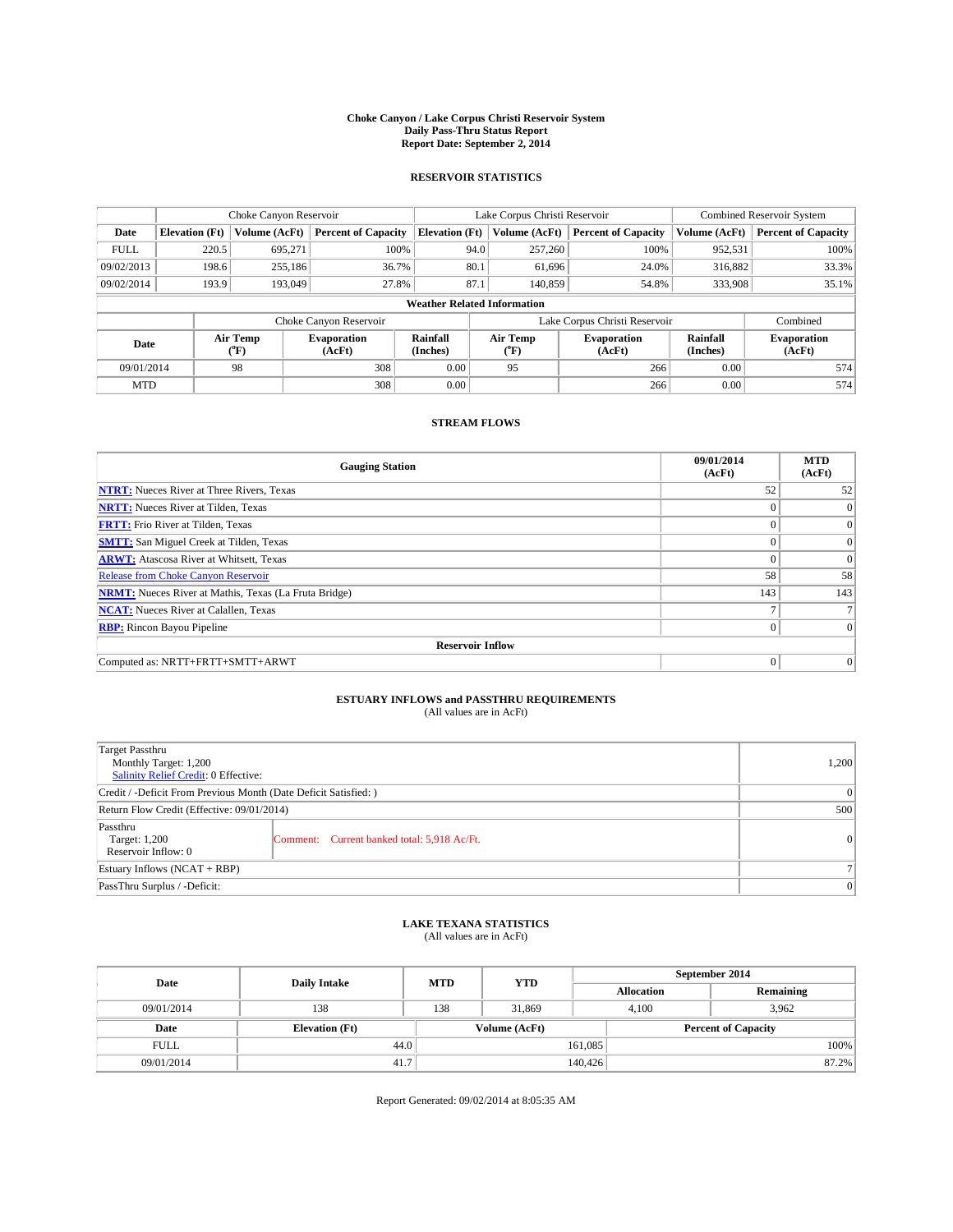#### **Choke Canyon / Lake Corpus Christi Reservoir System Daily Pass-Thru Status Report Report Date: September 2, 2014**

### **RESERVOIR STATISTICS**

|             | Choke Canyon Reservoir |                  |                              |                                    | Lake Corpus Christi Reservoir |                  |                              |                      | <b>Combined Reservoir System</b> |  |  |
|-------------|------------------------|------------------|------------------------------|------------------------------------|-------------------------------|------------------|------------------------------|----------------------|----------------------------------|--|--|
| Date        | <b>Elevation</b> (Ft)  | Volume (AcFt)    | <b>Percent of Capacity</b>   | <b>Elevation (Ft)</b>              |                               | Volume (AcFt)    | <b>Percent of Capacity</b>   | Volume (AcFt)        | <b>Percent of Capacity</b>       |  |  |
| <b>FULL</b> | 220.5                  | 695,271          | 100%                         |                                    | 94.0                          | 257,260          | 100%                         | 952,531              | 100%                             |  |  |
| 09/02/2013  | 198.6                  | 255,186          | 36.7%                        |                                    | 80.1                          | 61,696           | 24.0%                        | 316,882              | 33.3%                            |  |  |
| 09/02/2014  | 193.9                  | 193,049          | 27.8%                        |                                    | 87.1                          | 140,859          | 54.8%                        | 333,908              | 35.1%                            |  |  |
|             |                        |                  |                              | <b>Weather Related Information</b> |                               |                  |                              |                      |                                  |  |  |
|             |                        |                  | Choke Canyon Reservoir       |                                    | Lake Corpus Christi Reservoir |                  |                              |                      | Combined                         |  |  |
| Date        |                        | Air Temp<br>(°F) | <b>Evaporation</b><br>(AcFt) | Rainfall<br>(Inches)               |                               | Air Temp<br>(°F) | <b>Evaporation</b><br>(AcFt) | Rainfall<br>(Inches) | <b>Evaporation</b><br>(AcFt)     |  |  |
| 09/01/2014  |                        | 98               | 308                          | 0.00                               |                               | 95               | 266                          | 0.00                 | 574                              |  |  |
| <b>MTD</b>  |                        |                  | 308                          | 0.00                               |                               |                  | 266                          | 0.00                 | 574                              |  |  |

### **STREAM FLOWS**

| <b>Gauging Station</b>                                       | 09/01/2014<br>(AcFt) | <b>MTD</b><br>(AcFt) |  |  |  |  |
|--------------------------------------------------------------|----------------------|----------------------|--|--|--|--|
| <b>NTRT:</b> Nueces River at Three Rivers, Texas             | 52                   | 52                   |  |  |  |  |
| <b>NRTT:</b> Nueces River at Tilden, Texas                   |                      | $\overline{0}$       |  |  |  |  |
| <b>FRTT:</b> Frio River at Tilden, Texas                     |                      | $\overline{0}$       |  |  |  |  |
| <b>SMTT:</b> San Miguel Creek at Tilden, Texas               |                      | $\overline{0}$       |  |  |  |  |
| <b>ARWT:</b> Atascosa River at Whitsett, Texas               | $\theta$             | $\theta$             |  |  |  |  |
| <b>Release from Choke Canyon Reservoir</b>                   | 58                   | 58                   |  |  |  |  |
| <b>NRMT:</b> Nueces River at Mathis, Texas (La Fruta Bridge) | 143                  | 143                  |  |  |  |  |
| <b>NCAT:</b> Nueces River at Calallen, Texas                 |                      |                      |  |  |  |  |
| <b>RBP:</b> Rincon Bayou Pipeline                            | $\theta$             | $\Omega$             |  |  |  |  |
| <b>Reservoir Inflow</b>                                      |                      |                      |  |  |  |  |
| Computed as: NRTT+FRTT+SMTT+ARWT                             | $\theta$             | $\overline{0}$       |  |  |  |  |

# **ESTUARY INFLOWS and PASSTHRU REQUIREMENTS**<br>(All values are in AcFt)

| Target Passthru<br>Monthly Target: 1,200<br>Salinity Relief Credit: 0 Effective: |                                             | 1,200    |  |  |
|----------------------------------------------------------------------------------|---------------------------------------------|----------|--|--|
| Credit / -Deficit From Previous Month (Date Deficit Satisfied: )                 |                                             |          |  |  |
| Return Flow Credit (Effective: 09/01/2014)                                       |                                             |          |  |  |
| Passthru<br>Target: 1,200<br>Reservoir Inflow: 0                                 | Comment: Current banked total: 5,918 Ac/Ft. | $\Omega$ |  |  |
| Estuary Inflows (NCAT + RBP)                                                     |                                             |          |  |  |
| PassThru Surplus / -Deficit:                                                     |                                             | $\Omega$ |  |  |

## **LAKE TEXANA STATISTICS** (All values are in AcFt)

| Date        | <b>Daily Intake</b>   | <b>MTD</b> | <b>YTD</b>    | September 2014    |                            |           |       |
|-------------|-----------------------|------------|---------------|-------------------|----------------------------|-----------|-------|
|             |                       |            |               | <b>Allocation</b> |                            | Remaining |       |
| 09/01/2014  | 138                   | 138        | 31,869        |                   | 3.962<br>4.100             |           |       |
| Date        | <b>Elevation</b> (Ft) |            | Volume (AcFt) |                   | <b>Percent of Capacity</b> |           |       |
| <b>FULL</b> | 44.0                  |            |               | 161,085           |                            |           | 100%  |
| 09/01/2014  | 41.7                  |            |               | 140,426           |                            |           | 87.2% |

Report Generated: 09/02/2014 at 8:05:35 AM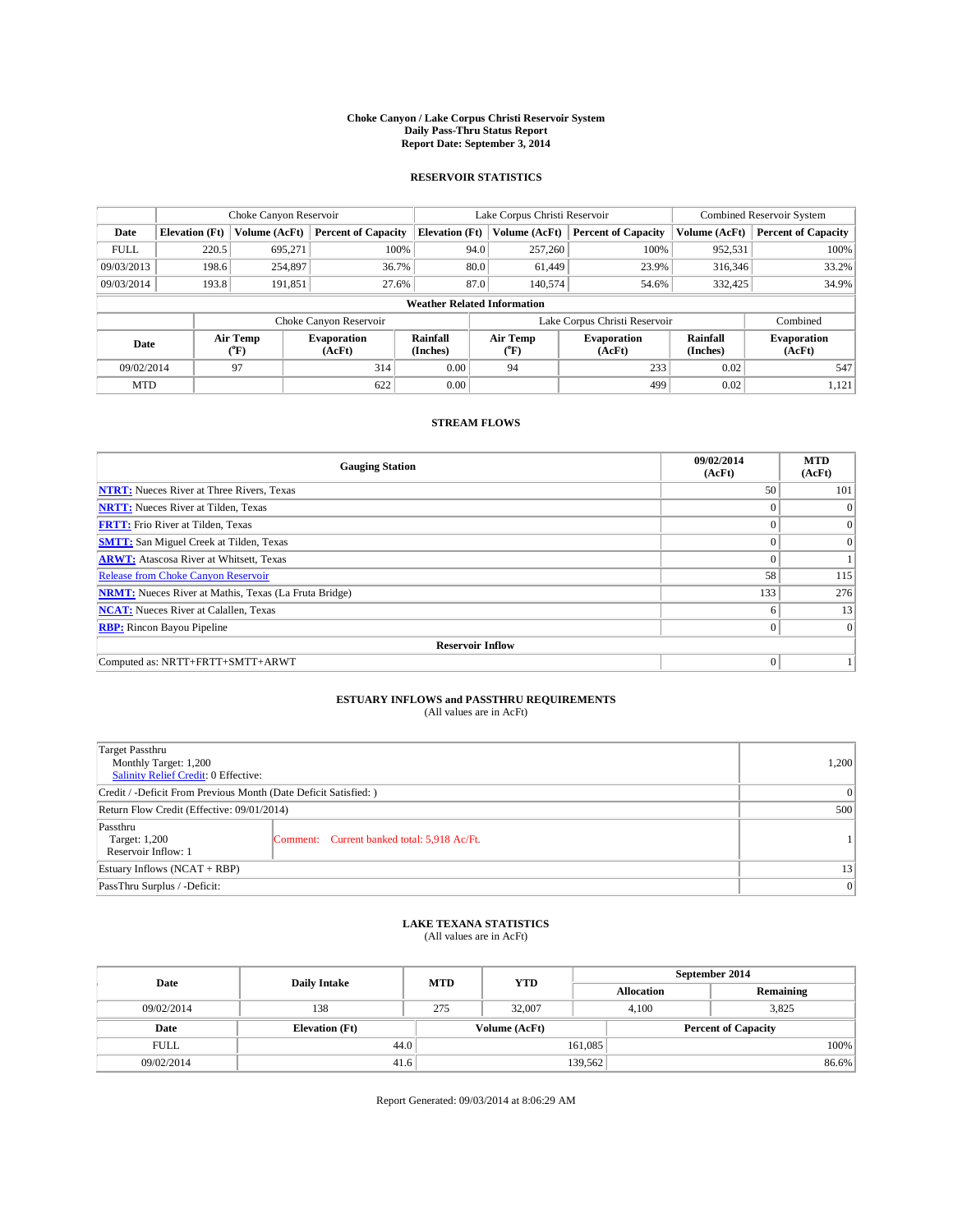#### **Choke Canyon / Lake Corpus Christi Reservoir System Daily Pass-Thru Status Report Report Date: September 3, 2014**

### **RESERVOIR STATISTICS**

|             |                                    | Choke Canyon Reservoir |                              |                       | Lake Corpus Christi Reservoir | <b>Combined Reservoir System</b> |                      |                              |  |
|-------------|------------------------------------|------------------------|------------------------------|-----------------------|-------------------------------|----------------------------------|----------------------|------------------------------|--|
| Date        | <b>Elevation</b> (Ft)              | Volume (AcFt)          | <b>Percent of Capacity</b>   | <b>Elevation (Ft)</b> | Volume (AcFt)                 | <b>Percent of Capacity</b>       | Volume (AcFt)        | <b>Percent of Capacity</b>   |  |
| <b>FULL</b> | 220.5                              | 695.271                | 100%                         | 94.0                  | 257,260                       | 100%                             | 952,531              | 100%                         |  |
| 09/03/2013  | 198.6                              | 254,897                | 36.7%                        | 80.0                  | 61.449                        | 23.9%                            | 316,346              | 33.2%                        |  |
| 09/03/2014  | 193.8                              | 191,851                | 27.6%                        | 87.0                  | 140,574                       | 54.6%                            | 332,425              | 34.9%                        |  |
|             | <b>Weather Related Information</b> |                        |                              |                       |                               |                                  |                      |                              |  |
|             |                                    |                        | Choke Canyon Reservoir       |                       | Lake Corpus Christi Reservoir |                                  | Combined             |                              |  |
| Date        |                                    | Air Temp<br>(°F)       | <b>Evaporation</b><br>(AcFt) | Rainfall<br>(Inches)  | Air Temp<br>$(^{0}F)$         | <b>Evaporation</b><br>(AcFt)     | Rainfall<br>(Inches) | <b>Evaporation</b><br>(AcFt) |  |
| 09/02/2014  |                                    | 97                     | 314                          | 0.00                  | 233<br>94                     |                                  | 0.02                 | 547                          |  |
| <b>MTD</b>  |                                    |                        | 622                          | 0.00                  |                               | 499                              | 0.02                 | 1,121                        |  |

### **STREAM FLOWS**

| <b>Gauging Station</b>                                       | 09/02/2014<br>(AcFt) | <b>MTD</b><br>(AcFt) |  |  |  |  |
|--------------------------------------------------------------|----------------------|----------------------|--|--|--|--|
| <b>NTRT:</b> Nueces River at Three Rivers, Texas             | 50                   | 101                  |  |  |  |  |
| <b>NRTT:</b> Nueces River at Tilden, Texas                   | $\theta$             | $\Omega$             |  |  |  |  |
| <b>FRTT:</b> Frio River at Tilden, Texas                     |                      | $\overline{0}$       |  |  |  |  |
| <b>SMTT:</b> San Miguel Creek at Tilden, Texas               | $\theta$             | $\overline{0}$       |  |  |  |  |
| <b>ARWT:</b> Atascosa River at Whitsett, Texas               | $\theta$             |                      |  |  |  |  |
| <b>Release from Choke Canyon Reservoir</b>                   | 58                   | 115                  |  |  |  |  |
| <b>NRMT:</b> Nueces River at Mathis, Texas (La Fruta Bridge) | 133                  | 276                  |  |  |  |  |
| <b>NCAT:</b> Nueces River at Calallen, Texas                 | 6                    | 13                   |  |  |  |  |
| <b>RBP:</b> Rincon Bayou Pipeline                            | $\theta$             | $\Omega$             |  |  |  |  |
| <b>Reservoir Inflow</b>                                      |                      |                      |  |  |  |  |
| Computed as: NRTT+FRTT+SMTT+ARWT                             | $\Omega$             |                      |  |  |  |  |

# **ESTUARY INFLOWS and PASSTHRU REQUIREMENTS**<br>(All values are in AcFt)

| Target Passthru<br>Monthly Target: 1,200<br>Salinity Relief Credit: 0 Effective: |                                             | 1,200 |  |  |
|----------------------------------------------------------------------------------|---------------------------------------------|-------|--|--|
| Credit / -Deficit From Previous Month (Date Deficit Satisfied: )                 |                                             |       |  |  |
| Return Flow Credit (Effective: 09/01/2014)                                       | 500                                         |       |  |  |
| Passthru<br>Target: 1,200<br>Reservoir Inflow: 1                                 | Comment: Current banked total: 5,918 Ac/Ft. |       |  |  |
| Estuary Inflows (NCAT + RBP)                                                     |                                             | 13    |  |  |
| PassThru Surplus / -Deficit:                                                     | $\Omega$                                    |       |  |  |

## **LAKE TEXANA STATISTICS** (All values are in AcFt)

| Date        | <b>Daily Intake</b>   | <b>MTD</b> | <b>YTD</b>    | September 2014             |                |           |  |
|-------------|-----------------------|------------|---------------|----------------------------|----------------|-----------|--|
|             |                       |            |               | <b>Allocation</b>          |                | Remaining |  |
| 09/02/2014  | 138                   | 275        | 32,007        |                            | 3.825<br>4.100 |           |  |
| Date        | <b>Elevation</b> (Ft) |            | Volume (AcFt) | <b>Percent of Capacity</b> |                |           |  |
| <b>FULL</b> | 44.0                  |            |               | 161,085                    |                | 100%      |  |
| 09/02/2014  | 41.6                  |            |               | 139,562                    |                | 86.6%     |  |

Report Generated: 09/03/2014 at 8:06:29 AM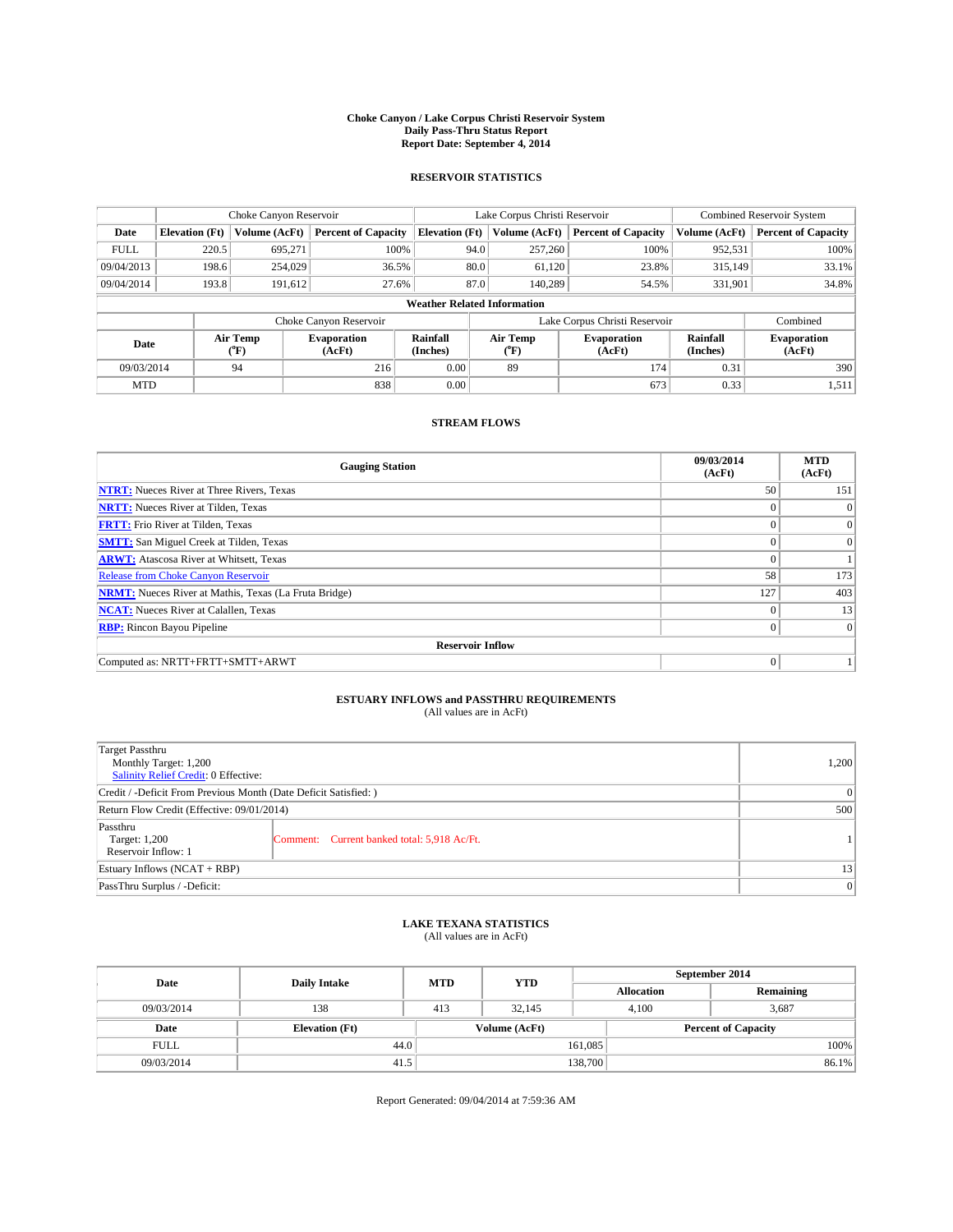#### **Choke Canyon / Lake Corpus Christi Reservoir System Daily Pass-Thru Status Report Report Date: September 4, 2014**

### **RESERVOIR STATISTICS**

|             |                       | Choke Canyon Reservoir |                              |                                    | Lake Corpus Christi Reservoir                         | <b>Combined Reservoir System</b> |                      |                              |
|-------------|-----------------------|------------------------|------------------------------|------------------------------------|-------------------------------------------------------|----------------------------------|----------------------|------------------------------|
| Date        | <b>Elevation</b> (Ft) | Volume (AcFt)          | <b>Percent of Capacity</b>   | <b>Elevation (Ft)</b>              | Volume (AcFt)                                         | <b>Percent of Capacity</b>       | Volume (AcFt)        | <b>Percent of Capacity</b>   |
| <b>FULL</b> | 220.5                 | 695.271                | 100%                         | 94.0                               | 257,260                                               | 100%                             | 952,531              | 100%                         |
| 09/04/2013  | 198.6                 | 254,029                | 36.5%                        | 80.0                               | 61.120                                                | 23.8%                            | 315,149              | 33.1%                        |
| 09/04/2014  | 193.8                 | 191.612                | 27.6%                        | 87.0                               | 140,289                                               | 54.5%                            | 331,901              | 34.8%                        |
|             |                       |                        |                              | <b>Weather Related Information</b> |                                                       |                                  |                      |                              |
|             |                       |                        | Choke Canyon Reservoir       |                                    |                                                       | Lake Corpus Christi Reservoir    |                      | Combined                     |
| Date        |                       | Air Temp<br>(°F)       | <b>Evaporation</b><br>(AcFt) | Rainfall<br>(Inches)               | Air Temp<br><b>Evaporation</b><br>(AcFt)<br>$(^{0}F)$ |                                  | Rainfall<br>(Inches) | <b>Evaporation</b><br>(AcFt) |
| 09/03/2014  |                       | 94                     | 216                          | 0.00                               | 89                                                    | 174                              | 0.31                 | 390                          |
| <b>MTD</b>  |                       |                        | 838                          | 0.00                               |                                                       | 673                              | 0.33                 | 1,511                        |

### **STREAM FLOWS**

| <b>Gauging Station</b>                                       | 09/03/2014<br>(AcFt) | <b>MTD</b><br>(AcFt) |  |  |  |  |
|--------------------------------------------------------------|----------------------|----------------------|--|--|--|--|
| <b>NTRT:</b> Nueces River at Three Rivers, Texas             | 50                   | 151                  |  |  |  |  |
| <b>NRTT:</b> Nueces River at Tilden, Texas                   | $\theta$             | $\Omega$             |  |  |  |  |
| <b>FRTT:</b> Frio River at Tilden, Texas                     |                      | $\overline{0}$       |  |  |  |  |
| <b>SMTT:</b> San Miguel Creek at Tilden, Texas               | $\theta$             | $\overline{0}$       |  |  |  |  |
| <b>ARWT:</b> Atascosa River at Whitsett, Texas               | $\theta$             |                      |  |  |  |  |
| <b>Release from Choke Canyon Reservoir</b>                   | 58                   | 173                  |  |  |  |  |
| <b>NRMT:</b> Nueces River at Mathis, Texas (La Fruta Bridge) | 127                  | 403                  |  |  |  |  |
| <b>NCAT:</b> Nueces River at Calallen, Texas                 | $\theta$             | 13                   |  |  |  |  |
| <b>RBP:</b> Rincon Bayou Pipeline                            | $\theta$             | $\Omega$             |  |  |  |  |
| <b>Reservoir Inflow</b>                                      |                      |                      |  |  |  |  |
| Computed as: NRTT+FRTT+SMTT+ARWT                             | $\Omega$             |                      |  |  |  |  |

# **ESTUARY INFLOWS and PASSTHRU REQUIREMENTS**<br>(All values are in AcFt)

| Target Passthru<br>Monthly Target: 1,200<br>Salinity Relief Credit: 0 Effective: |                                             | 1,200 |  |  |
|----------------------------------------------------------------------------------|---------------------------------------------|-------|--|--|
| Credit / -Deficit From Previous Month (Date Deficit Satisfied: )                 |                                             |       |  |  |
| Return Flow Credit (Effective: 09/01/2014)                                       |                                             |       |  |  |
| Passthru<br>Target: 1,200<br>Reservoir Inflow: 1                                 | Comment: Current banked total: 5,918 Ac/Ft. |       |  |  |
| Estuary Inflows (NCAT + RBP)                                                     |                                             |       |  |  |
| PassThru Surplus / -Deficit:                                                     | $\Omega$                                    |       |  |  |

## **LAKE TEXANA STATISTICS** (All values are in AcFt)

| Date        | <b>Daily Intake</b>   | <b>MTD</b> | <b>YTD</b>    | September 2014    |                            |           |  |
|-------------|-----------------------|------------|---------------|-------------------|----------------------------|-----------|--|
|             |                       |            |               | <b>Allocation</b> |                            | Remaining |  |
| 09/03/2014  | 138                   | 413        | 32.145        |                   | 3,687<br>4.100             |           |  |
| Date        | <b>Elevation</b> (Ft) |            | Volume (AcFt) |                   | <b>Percent of Capacity</b> |           |  |
| <b>FULL</b> | 44.0                  |            |               | 161,085           |                            | 100%      |  |
| 09/03/2014  | 41.5                  |            |               | 138,700           |                            | 86.1%     |  |

Report Generated: 09/04/2014 at 7:59:36 AM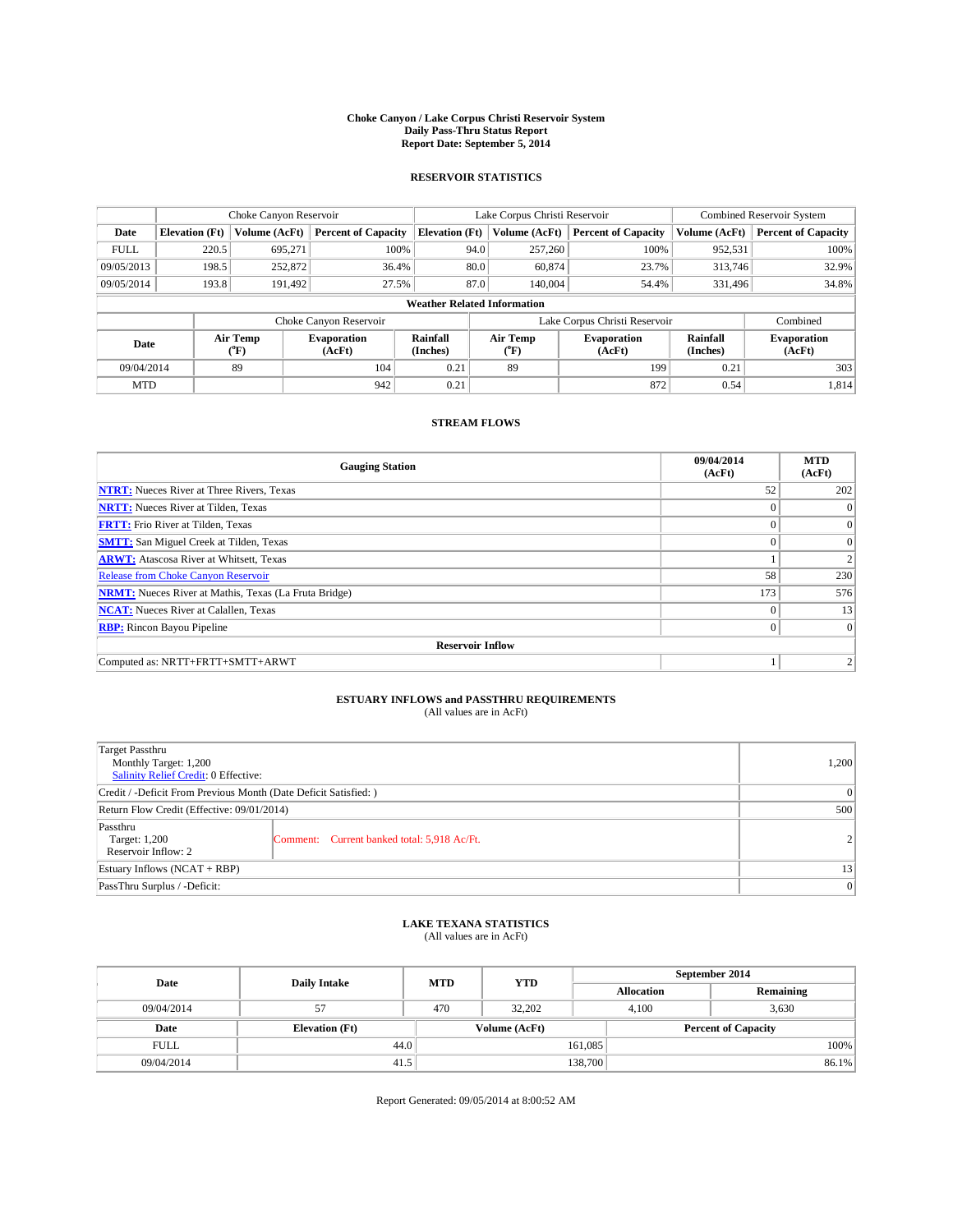#### **Choke Canyon / Lake Corpus Christi Reservoir System Daily Pass-Thru Status Report Report Date: September 5, 2014**

### **RESERVOIR STATISTICS**

|             |                       | Choke Canyon Reservoir |                              |                                    | Lake Corpus Christi Reservoir                         | Combined Reservoir System  |                      |                              |
|-------------|-----------------------|------------------------|------------------------------|------------------------------------|-------------------------------------------------------|----------------------------|----------------------|------------------------------|
| Date        | <b>Elevation</b> (Ft) | Volume (AcFt)          | <b>Percent of Capacity</b>   | <b>Elevation (Ft)</b>              | Volume (AcFt)                                         | <b>Percent of Capacity</b> | Volume (AcFt)        | <b>Percent of Capacity</b>   |
| <b>FULL</b> | 220.5                 | 695,271                | 100%                         | 94.0                               | 257,260                                               | 100%                       | 952,531              | 100%                         |
| 09/05/2013  | 198.5                 | 252,872                | 36.4%                        | 80.0                               | 60,874                                                | 23.7%                      | 313,746              | 32.9%                        |
| 09/05/2014  | 193.8                 | 191.492                | 27.5%                        | 87.0                               | 140,004                                               | 54.4%                      | 331.496              | 34.8%                        |
|             |                       |                        |                              | <b>Weather Related Information</b> |                                                       |                            |                      |                              |
|             |                       |                        | Choke Canyon Reservoir       |                                    | Lake Corpus Christi Reservoir                         |                            | Combined             |                              |
| Date        |                       | Air Temp<br>(°F)       | <b>Evaporation</b><br>(AcFt) | Rainfall<br>(Inches)               | Air Temp<br><b>Evaporation</b><br>(AcFt)<br>$(^{0}F)$ |                            | Rainfall<br>(Inches) | <b>Evaporation</b><br>(AcFt) |
| 09/04/2014  |                       | 89                     | 104                          | 0.21                               | 89                                                    | 199                        | 0.21                 | 303                          |
| <b>MTD</b>  |                       |                        | 942                          | 0.21                               |                                                       | 872                        | 0.54                 | 1,814                        |

### **STREAM FLOWS**

| <b>Gauging Station</b>                                       | 09/04/2014<br>(AcFt) | <b>MTD</b><br>(AcFt) |  |  |  |  |  |
|--------------------------------------------------------------|----------------------|----------------------|--|--|--|--|--|
| <b>NTRT:</b> Nueces River at Three Rivers, Texas             | 52                   | 202                  |  |  |  |  |  |
| <b>NRTT:</b> Nueces River at Tilden, Texas                   |                      | $\Omega$             |  |  |  |  |  |
| <b>FRTT:</b> Frio River at Tilden, Texas                     |                      | $\overline{0}$       |  |  |  |  |  |
| <b>SMTT:</b> San Miguel Creek at Tilden, Texas               | $\theta$             | $\overline{0}$       |  |  |  |  |  |
| <b>ARWT:</b> Atascosa River at Whitsett, Texas               |                      | 2                    |  |  |  |  |  |
| <b>Release from Choke Canyon Reservoir</b>                   | 58                   | 230                  |  |  |  |  |  |
| <b>NRMT:</b> Nueces River at Mathis, Texas (La Fruta Bridge) | 173                  | 576                  |  |  |  |  |  |
| <b>NCAT:</b> Nueces River at Calallen, Texas                 | $\theta$             | 13                   |  |  |  |  |  |
| <b>RBP:</b> Rincon Bayou Pipeline                            | $\Omega$             | $\vert 0 \vert$      |  |  |  |  |  |
| <b>Reservoir Inflow</b>                                      |                      |                      |  |  |  |  |  |
| Computed as: NRTT+FRTT+SMTT+ARWT                             |                      | 2                    |  |  |  |  |  |

# **ESTUARY INFLOWS and PASSTHRU REQUIREMENTS**<br>(All values are in AcFt)

| Target Passthru<br>Monthly Target: 1,200<br>Salinity Relief Credit: 0 Effective: |                                             | 1,200          |  |  |
|----------------------------------------------------------------------------------|---------------------------------------------|----------------|--|--|
| Credit / -Deficit From Previous Month (Date Deficit Satisfied: )                 |                                             |                |  |  |
| Return Flow Credit (Effective: 09/01/2014)                                       |                                             |                |  |  |
| Passthru<br>Target: 1,200<br>Reservoir Inflow: 2                                 | Comment: Current banked total: 5,918 Ac/Ft. | 2 <sup>1</sup> |  |  |
| Estuary Inflows (NCAT + RBP)                                                     |                                             |                |  |  |
| PassThru Surplus / -Deficit:                                                     | 0                                           |                |  |  |

## **LAKE TEXANA STATISTICS** (All values are in AcFt)

| Date        | <b>Daily Intake</b>   | <b>MTD</b> | <b>YTD</b> | September 2014    |                |                            |  |
|-------------|-----------------------|------------|------------|-------------------|----------------|----------------------------|--|
|             |                       |            |            | <b>Allocation</b> |                | Remaining                  |  |
| 09/04/2014  | 57                    | 470        | 32.202     |                   | 3,630<br>4.100 |                            |  |
| Date        | <b>Elevation</b> (Ft) |            |            | Volume (AcFt)     |                | <b>Percent of Capacity</b> |  |
| <b>FULL</b> | 44.0                  |            |            | 161,085           |                | 100%                       |  |
| 09/04/2014  | 41.5                  |            |            | 138,700           |                | 86.1%                      |  |

Report Generated: 09/05/2014 at 8:00:52 AM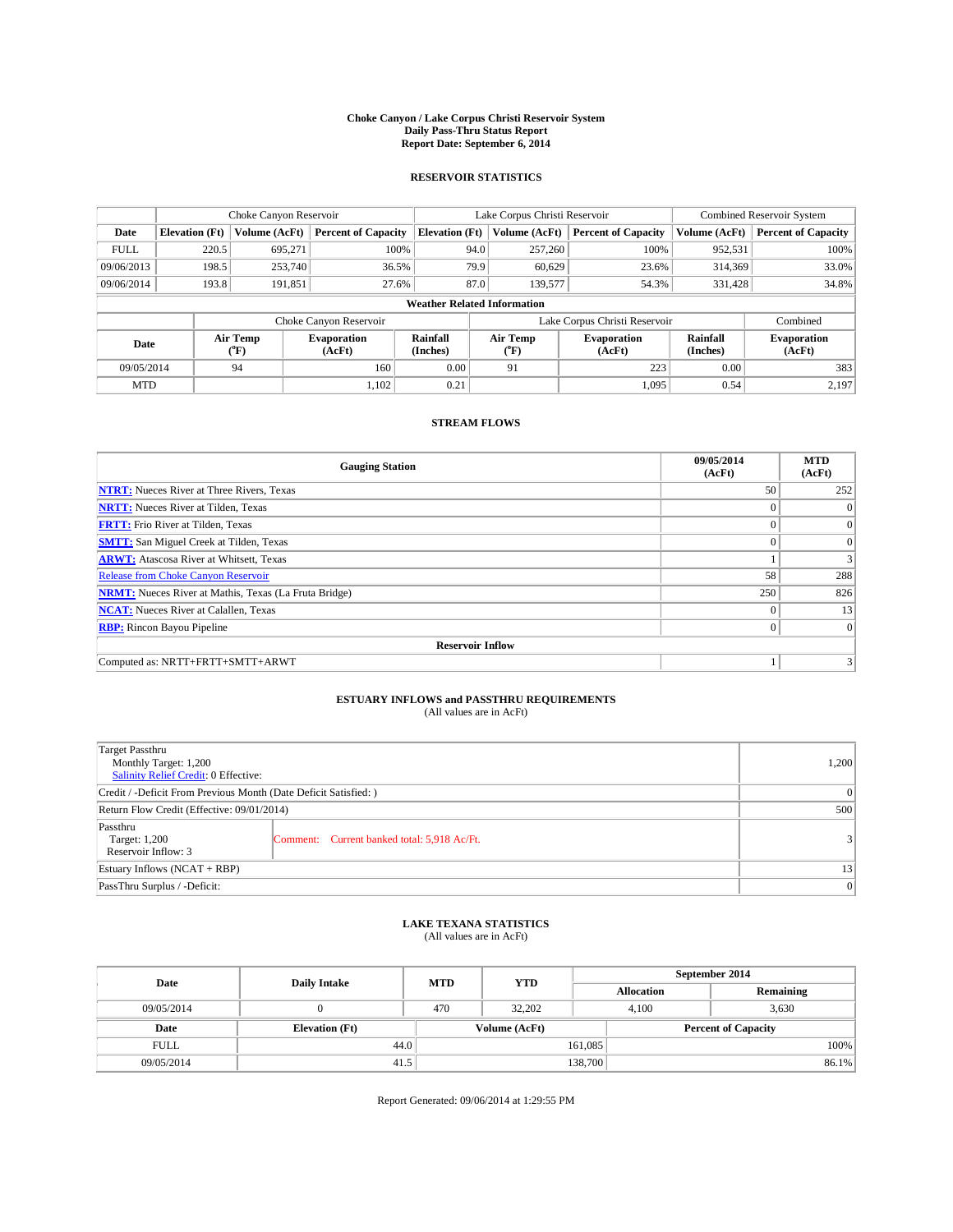#### **Choke Canyon / Lake Corpus Christi Reservoir System Daily Pass-Thru Status Report Report Date: September 6, 2014**

### **RESERVOIR STATISTICS**

|             |                       | Choke Canyon Reservoir |                              |                                    | Lake Corpus Christi Reservoir                                    | Combined Reservoir System     |                      |                              |
|-------------|-----------------------|------------------------|------------------------------|------------------------------------|------------------------------------------------------------------|-------------------------------|----------------------|------------------------------|
| Date        | <b>Elevation</b> (Ft) | Volume (AcFt)          | <b>Percent of Capacity</b>   | <b>Elevation (Ft)</b>              | Volume (AcFt)                                                    | <b>Percent of Capacity</b>    | Volume (AcFt)        | <b>Percent of Capacity</b>   |
| <b>FULL</b> | 220.5                 | 695,271                | 100%                         | 94.0                               | 257,260                                                          | 100%                          | 952,531              | 100%                         |
| 09/06/2013  | 198.5                 | 253,740                | 36.5%                        | 79.9                               | 60,629                                                           | 23.6%                         | 314,369              | 33.0%                        |
| 09/06/2014  | 193.8                 | 191,851                | 27.6%                        | 87.0                               | 139,577                                                          | 54.3%                         | 331.428              | 34.8%                        |
|             |                       |                        |                              | <b>Weather Related Information</b> |                                                                  |                               |                      |                              |
|             |                       |                        | Choke Canyon Reservoir       |                                    |                                                                  | Lake Corpus Christi Reservoir |                      | Combined                     |
| Date        |                       | Air Temp<br>(°F)       | <b>Evaporation</b><br>(AcFt) | Rainfall<br>(Inches)               | Air Temp<br><b>Evaporation</b><br>(AcFt)<br>$(^{\circ}\text{F})$ |                               | Rainfall<br>(Inches) | <b>Evaporation</b><br>(AcFt) |
| 09/05/2014  |                       | 94                     | 160                          | 0.00                               | 91                                                               | 223                           | 0.00                 | 383                          |
| <b>MTD</b>  |                       |                        | 1,102                        | 0.21                               |                                                                  | 1,095                         | 0.54                 | 2,197                        |

### **STREAM FLOWS**

| <b>Gauging Station</b>                                       | 09/05/2014<br>(AcFt) | <b>MTD</b><br>(AcFt) |  |  |  |  |  |
|--------------------------------------------------------------|----------------------|----------------------|--|--|--|--|--|
| <b>NTRT:</b> Nueces River at Three Rivers, Texas             | 50                   | 252                  |  |  |  |  |  |
| <b>NRTT:</b> Nueces River at Tilden, Texas                   | $\theta$             | $\Omega$             |  |  |  |  |  |
| <b>FRTT:</b> Frio River at Tilden, Texas                     |                      | $\overline{0}$       |  |  |  |  |  |
| <b>SMTT:</b> San Miguel Creek at Tilden, Texas               | $\theta$             | $\overline{0}$       |  |  |  |  |  |
| <b>ARWT:</b> Atascosa River at Whitsett, Texas               |                      | 3                    |  |  |  |  |  |
| <b>Release from Choke Canyon Reservoir</b>                   | 58                   | 288                  |  |  |  |  |  |
| <b>NRMT:</b> Nueces River at Mathis, Texas (La Fruta Bridge) | 250                  | 826                  |  |  |  |  |  |
| <b>NCAT:</b> Nueces River at Calallen, Texas                 | $\theta$             | 13                   |  |  |  |  |  |
| <b>RBP:</b> Rincon Bayou Pipeline                            | $\Omega$             | $\vert$ 0            |  |  |  |  |  |
| <b>Reservoir Inflow</b>                                      |                      |                      |  |  |  |  |  |
| Computed as: NRTT+FRTT+SMTT+ARWT                             |                      | 3                    |  |  |  |  |  |

# **ESTUARY INFLOWS and PASSTHRU REQUIREMENTS**<br>(All values are in AcFt)

| Target Passthru<br>Monthly Target: 1,200<br>Salinity Relief Credit: 0 Effective: |                                             | 1,200 |  |  |
|----------------------------------------------------------------------------------|---------------------------------------------|-------|--|--|
| Credit / -Deficit From Previous Month (Date Deficit Satisfied: )                 |                                             |       |  |  |
| Return Flow Credit (Effective: 09/01/2014)                                       |                                             |       |  |  |
| Passthru<br>Target: 1,200<br>Reservoir Inflow: 3                                 | Comment: Current banked total: 5,918 Ac/Ft. | 3     |  |  |
| Estuary Inflows (NCAT + RBP)                                                     |                                             |       |  |  |
| PassThru Surplus / -Deficit:                                                     |                                             |       |  |  |

## **LAKE TEXANA STATISTICS** (All values are in AcFt)

| Date        | <b>Daily Intake</b>   | <b>MTD</b> | <b>YTD</b>    | September 2014    |                |                            |  |  |
|-------------|-----------------------|------------|---------------|-------------------|----------------|----------------------------|--|--|
|             |                       |            |               | <b>Allocation</b> |                | Remaining                  |  |  |
| 09/05/2014  |                       | 470        | 32.202        |                   | 3,630<br>4.100 |                            |  |  |
| Date        | <b>Elevation</b> (Ft) |            | Volume (AcFt) |                   |                | <b>Percent of Capacity</b> |  |  |
| <b>FULL</b> |                       | 44.0       |               | 161,085           |                | 100%                       |  |  |
| 09/05/2014  | 41.5                  |            |               | 138,700           |                | 86.1%                      |  |  |

Report Generated: 09/06/2014 at 1:29:55 PM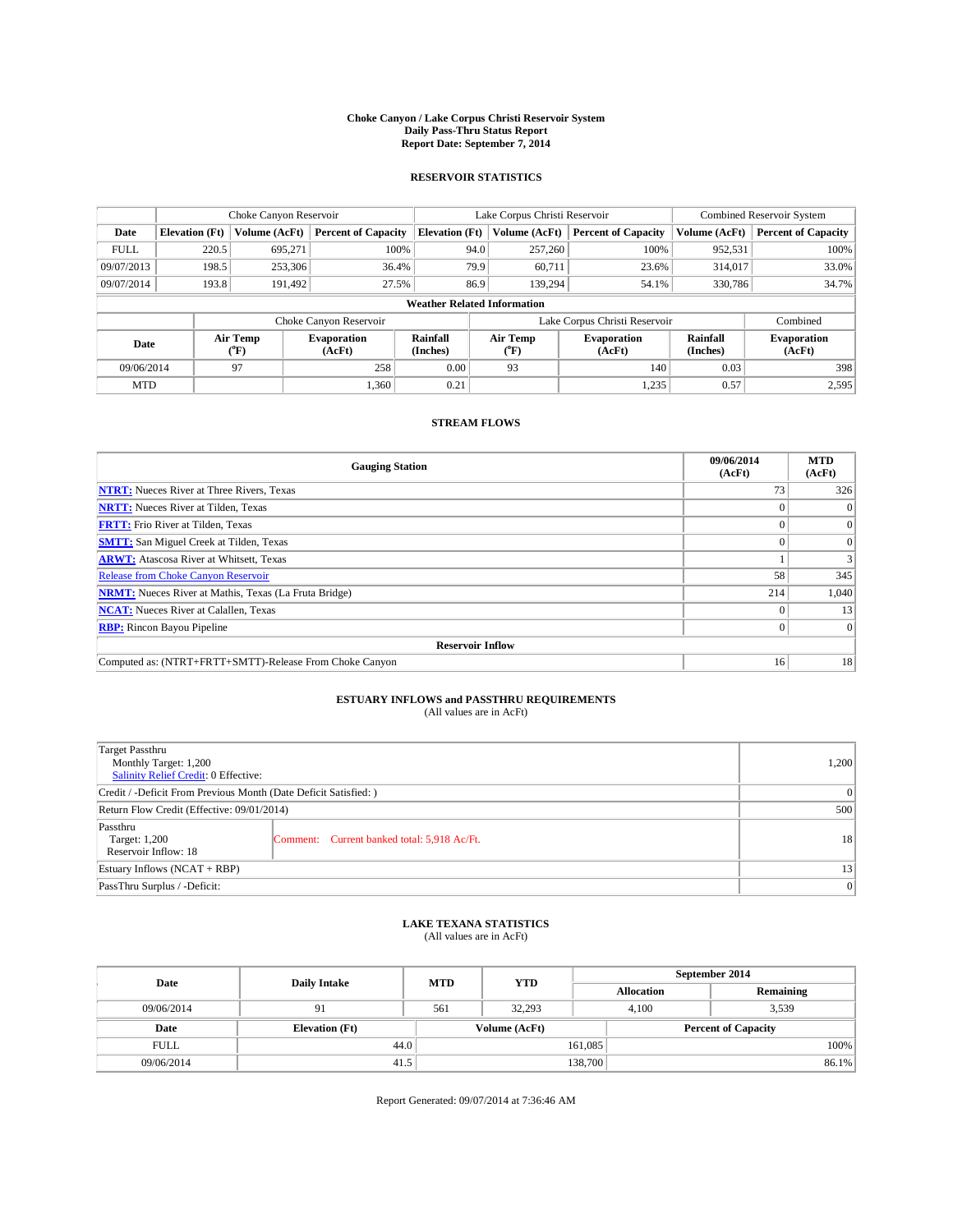#### **Choke Canyon / Lake Corpus Christi Reservoir System Daily Pass-Thru Status Report Report Date: September 7, 2014**

### **RESERVOIR STATISTICS**

|             |                       | Choke Canyon Reservoir |                              |                                    | Lake Corpus Christi Reservoir | <b>Combined Reservoir System</b> |                      |                              |
|-------------|-----------------------|------------------------|------------------------------|------------------------------------|-------------------------------|----------------------------------|----------------------|------------------------------|
| Date        | <b>Elevation</b> (Ft) | Volume (AcFt)          | <b>Percent of Capacity</b>   | <b>Elevation (Ft)</b>              | Volume (AcFt)                 | <b>Percent of Capacity</b>       | Volume (AcFt)        | Percent of Capacity          |
| <b>FULL</b> | 220.5                 | 695.271                | 100%                         | 94.0                               | 257,260                       | 100%                             | 952,531              | 100%                         |
| 09/07/2013  | 198.5                 | 253,306                | 36.4%                        | 79.9                               | 60,711                        | 23.6%                            | 314,017              | 33.0%                        |
| 09/07/2014  | 193.8                 | 191,492                | 27.5%                        | 86.9                               | 139.294                       | 54.1%                            | 330,786              | 34.7%                        |
|             |                       |                        |                              | <b>Weather Related Information</b> |                               |                                  |                      |                              |
|             |                       |                        | Choke Canyon Reservoir       |                                    | Lake Corpus Christi Reservoir |                                  | Combined             |                              |
| Date        |                       | Air Temp<br>(°F)       | <b>Evaporation</b><br>(AcFt) | Rainfall<br>(Inches)               | Air Temp<br>(°F)              | <b>Evaporation</b><br>(AcFt)     | Rainfall<br>(Inches) | <b>Evaporation</b><br>(AcFt) |
| 09/06/2014  |                       | 97                     | 258                          | 0.00                               | 93                            | 140                              | 0.03                 | 398                          |
| <b>MTD</b>  |                       |                        | 1,360                        | 0.21                               |                               | 1,235                            | 0.57                 | 2,595                        |

### **STREAM FLOWS**

| <b>Gauging Station</b>                                       | 09/06/2014<br>(AcFt) | <b>MTD</b><br>(AcFt) |  |  |  |  |
|--------------------------------------------------------------|----------------------|----------------------|--|--|--|--|
| <b>NTRT:</b> Nueces River at Three Rivers, Texas             | 73                   | 326                  |  |  |  |  |
| <b>NRTT:</b> Nueces River at Tilden, Texas                   |                      |                      |  |  |  |  |
| <b>FRTT:</b> Frio River at Tilden, Texas                     |                      | $\overline{0}$       |  |  |  |  |
| <b>SMTT:</b> San Miguel Creek at Tilden, Texas               |                      | $\Omega$             |  |  |  |  |
| <b>ARWT:</b> Atascosa River at Whitsett, Texas               |                      | 3                    |  |  |  |  |
| <b>Release from Choke Canyon Reservoir</b>                   | 58                   | 345                  |  |  |  |  |
| <b>NRMT:</b> Nueces River at Mathis, Texas (La Fruta Bridge) | 214                  | 1,040                |  |  |  |  |
| <b>NCAT:</b> Nueces River at Calallen, Texas                 |                      | 13                   |  |  |  |  |
| <b>RBP:</b> Rincon Bayou Pipeline                            | $\Omega$             | $\Omega$             |  |  |  |  |
| <b>Reservoir Inflow</b>                                      |                      |                      |  |  |  |  |
| Computed as: (NTRT+FRTT+SMTT)-Release From Choke Canyon      | 16                   | 18                   |  |  |  |  |

# **ESTUARY INFLOWS and PASSTHRU REQUIREMENTS**<br>(All values are in AcFt)

| Target Passthru<br>Monthly Target: 1,200<br>Salinity Relief Credit: 0 Effective: |                                             |    |  |  |
|----------------------------------------------------------------------------------|---------------------------------------------|----|--|--|
| Credit / -Deficit From Previous Month (Date Deficit Satisfied: )                 |                                             |    |  |  |
| Return Flow Credit (Effective: 09/01/2014)                                       |                                             |    |  |  |
| Passthru<br>Target: 1,200<br>Reservoir Inflow: 18                                | Comment: Current banked total: 5,918 Ac/Ft. | 18 |  |  |
| Estuary Inflows (NCAT + RBP)                                                     |                                             |    |  |  |
| PassThru Surplus / -Deficit:                                                     | 0                                           |    |  |  |

## **LAKE TEXANA STATISTICS** (All values are in AcFt)

| Date        | <b>Daily Intake</b>   | <b>MTD</b> | <b>YTD</b>    | September 2014    |                            |           |  |
|-------------|-----------------------|------------|---------------|-------------------|----------------------------|-----------|--|
|             |                       |            |               | <b>Allocation</b> |                            | Remaining |  |
| 09/06/2014  | 91                    | 561        | 32.293        |                   | 3,539<br>4.100             |           |  |
| Date        | <b>Elevation</b> (Ft) |            | Volume (AcFt) |                   | <b>Percent of Capacity</b> |           |  |
| <b>FULL</b> |                       | 44.0       |               | 161,085           |                            | 100%      |  |
| 09/06/2014  | 41.5                  |            |               | 138,700           |                            | 86.1%     |  |

Report Generated: 09/07/2014 at 7:36:46 AM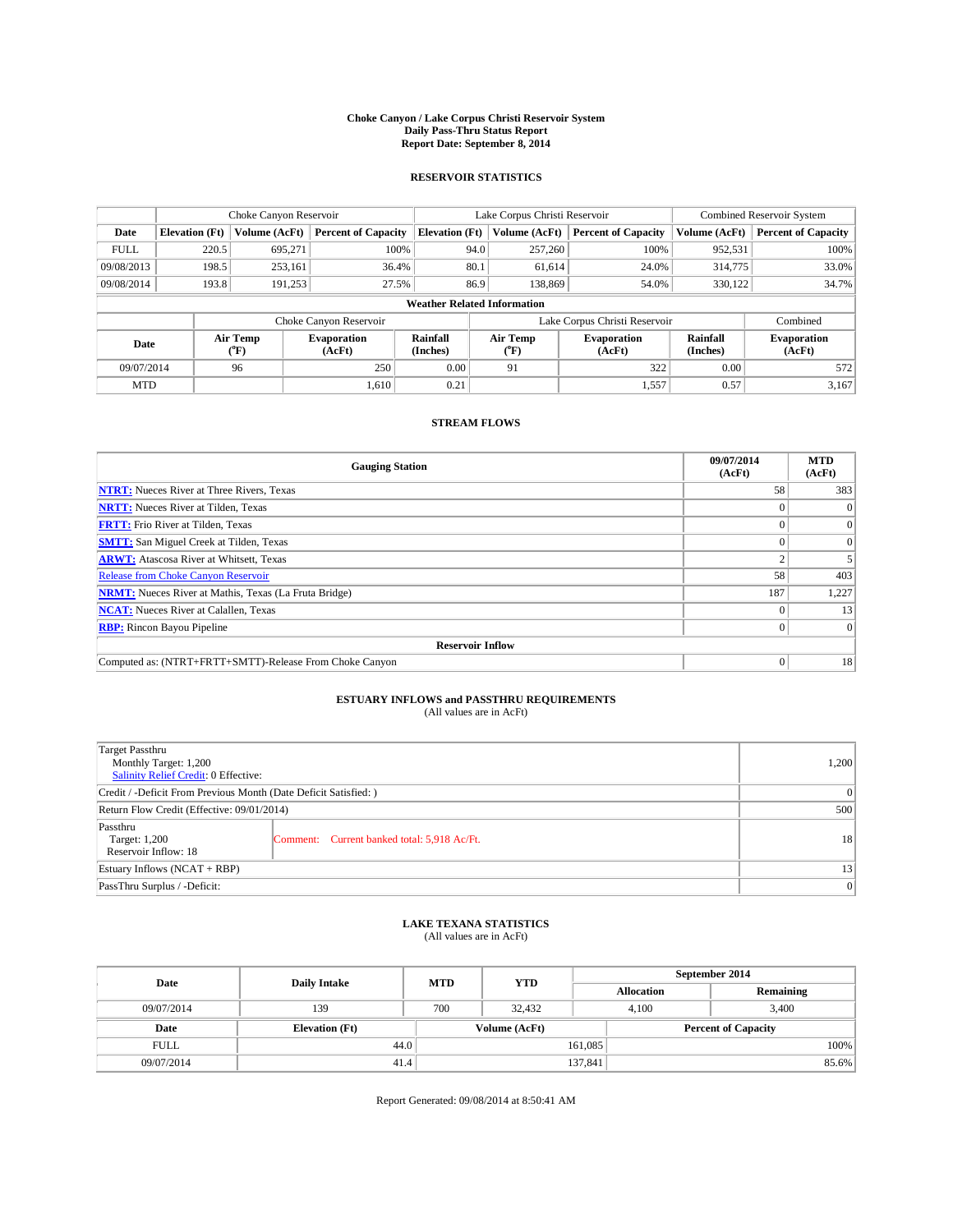#### **Choke Canyon / Lake Corpus Christi Reservoir System Daily Pass-Thru Status Report Report Date: September 8, 2014**

### **RESERVOIR STATISTICS**

|             |                       | Choke Canyon Reservoir |                              |                                    | Lake Corpus Christi Reservoir | <b>Combined Reservoir System</b> |                      |                              |
|-------------|-----------------------|------------------------|------------------------------|------------------------------------|-------------------------------|----------------------------------|----------------------|------------------------------|
| Date        | <b>Elevation</b> (Ft) | Volume (AcFt)          | <b>Percent of Capacity</b>   | <b>Elevation (Ft)</b>              | Volume (AcFt)                 | <b>Percent of Capacity</b>       | Volume (AcFt)        | <b>Percent of Capacity</b>   |
| <b>FULL</b> | 220.5                 | 695,271                | 100%                         | 94.0                               | 257,260                       | 100%                             | 952,531              | 100%                         |
| 09/08/2013  | 198.5                 | 253,161                | 36.4%                        | 80.1                               | 61,614                        | 24.0%                            | 314,775              | 33.0%                        |
| 09/08/2014  | 193.8                 | 191,253                | 27.5%                        | 86.9                               | 138,869                       | 54.0%                            | 330.122              | 34.7%                        |
|             |                       |                        |                              | <b>Weather Related Information</b> |                               |                                  |                      |                              |
|             |                       |                        | Choke Canyon Reservoir       |                                    | Lake Corpus Christi Reservoir |                                  | Combined             |                              |
| Date        |                       | Air Temp<br>(°F)       | <b>Evaporation</b><br>(AcFt) | Rainfall<br>(Inches)               | Air Temp<br>$(^{0}F)$         | <b>Evaporation</b><br>(AcFt)     | Rainfall<br>(Inches) | <b>Evaporation</b><br>(AcFt) |
| 09/07/2014  |                       | 96                     | 250                          | 0.00                               | 91                            | 322                              | 0.00                 | 572                          |
| <b>MTD</b>  |                       |                        | 1.610                        | 0.21                               |                               | 1,557                            | 0.57                 | 3,167                        |

### **STREAM FLOWS**

| <b>Gauging Station</b>                                       | 09/07/2014<br>(AcFt) | <b>MTD</b><br>(AcFt) |  |  |  |  |
|--------------------------------------------------------------|----------------------|----------------------|--|--|--|--|
| <b>NTRT:</b> Nueces River at Three Rivers, Texas             | 58                   | 383                  |  |  |  |  |
| <b>NRTT:</b> Nueces River at Tilden, Texas                   |                      |                      |  |  |  |  |
| <b>FRTT:</b> Frio River at Tilden, Texas                     |                      | $\overline{0}$       |  |  |  |  |
| <b>SMTT:</b> San Miguel Creek at Tilden, Texas               |                      | $\Omega$             |  |  |  |  |
| <b>ARWT:</b> Atascosa River at Whitsett, Texas               |                      |                      |  |  |  |  |
| <b>Release from Choke Canyon Reservoir</b>                   | 58                   | 403                  |  |  |  |  |
| <b>NRMT:</b> Nueces River at Mathis, Texas (La Fruta Bridge) | 187                  | 1,227                |  |  |  |  |
| <b>NCAT:</b> Nueces River at Calallen, Texas                 |                      | 13                   |  |  |  |  |
| <b>RBP:</b> Rincon Bayou Pipeline                            | $\Omega$             | $\Omega$             |  |  |  |  |
| <b>Reservoir Inflow</b>                                      |                      |                      |  |  |  |  |
| Computed as: (NTRT+FRTT+SMTT)-Release From Choke Canyon      | $\Omega$             | 18                   |  |  |  |  |

# **ESTUARY INFLOWS and PASSTHRU REQUIREMENTS**<br>(All values are in AcFt)

| Target Passthru<br>Monthly Target: 1,200<br>Salinity Relief Credit: 0 Effective: |                                             |    |  |  |
|----------------------------------------------------------------------------------|---------------------------------------------|----|--|--|
| Credit / -Deficit From Previous Month (Date Deficit Satisfied: )                 |                                             |    |  |  |
| Return Flow Credit (Effective: 09/01/2014)                                       |                                             |    |  |  |
| Passthru<br>Target: 1,200<br>Reservoir Inflow: 18                                | Comment: Current banked total: 5,918 Ac/Ft. | 18 |  |  |
| Estuary Inflows (NCAT + RBP)                                                     |                                             |    |  |  |
| PassThru Surplus / -Deficit:                                                     | 0                                           |    |  |  |

## **LAKE TEXANA STATISTICS** (All values are in AcFt)

| Date        | <b>Daily Intake</b>   | <b>MTD</b> | <b>YTD</b>    | September 2014    |                            |           |       |
|-------------|-----------------------|------------|---------------|-------------------|----------------------------|-----------|-------|
|             |                       |            |               | <b>Allocation</b> |                            | Remaining |       |
| 09/07/2014  | 139                   | 700        | 32.432        |                   | 3.400<br>4.100             |           |       |
| Date        | <b>Elevation</b> (Ft) |            | Volume (AcFt) |                   | <b>Percent of Capacity</b> |           |       |
| <b>FULL</b> | 44.0                  |            |               | 161,085           |                            |           | 100%  |
| 09/07/2014  | 41.4                  |            |               | 137,841           |                            |           | 85.6% |

Report Generated: 09/08/2014 at 8:50:41 AM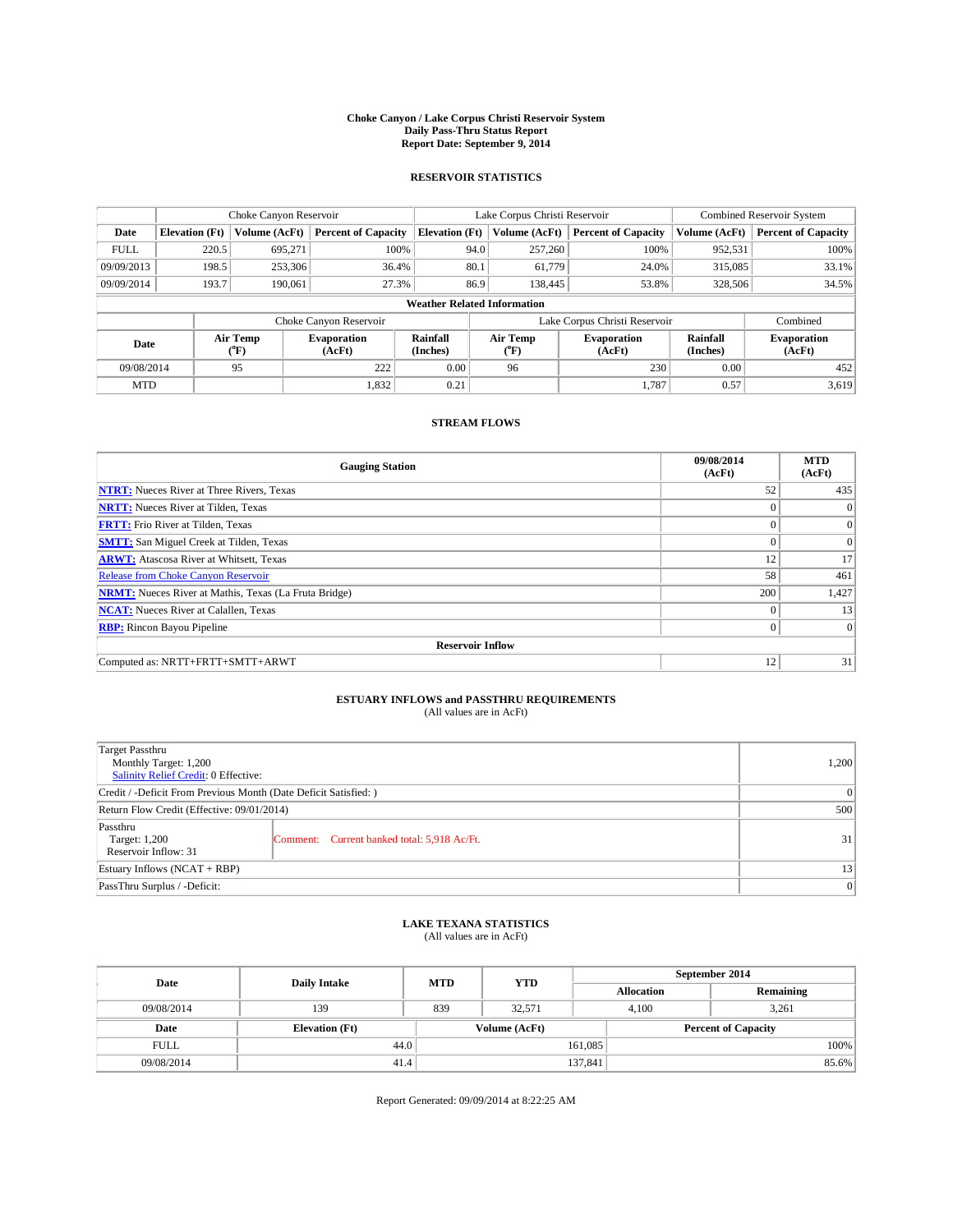#### **Choke Canyon / Lake Corpus Christi Reservoir System Daily Pass-Thru Status Report Report Date: September 9, 2014**

### **RESERVOIR STATISTICS**

|             |                       | Choke Canyon Reservoir |                              |                                    | Lake Corpus Christi Reservoir | <b>Combined Reservoir System</b> |                      |                              |
|-------------|-----------------------|------------------------|------------------------------|------------------------------------|-------------------------------|----------------------------------|----------------------|------------------------------|
| Date        | <b>Elevation</b> (Ft) | Volume (AcFt)          | <b>Percent of Capacity</b>   | <b>Elevation (Ft)</b>              | Volume (AcFt)                 | <b>Percent of Capacity</b>       | Volume (AcFt)        | <b>Percent of Capacity</b>   |
| <b>FULL</b> | 220.5                 | 695.271                | 100%                         | 94.0                               | 257,260                       | 100%                             | 952,531              | 100%                         |
| 09/09/2013  | 198.5                 | 253,306                | 36.4%                        | 80.1                               | 61,779                        | 24.0%                            | 315,085              | 33.1%                        |
| 09/09/2014  | 193.7                 | 190,061                | 27.3%                        | 86.9                               | 138,445                       | 53.8%                            | 328,506              | 34.5%                        |
|             |                       |                        |                              | <b>Weather Related Information</b> |                               |                                  |                      |                              |
|             |                       |                        | Choke Canyon Reservoir       |                                    | Lake Corpus Christi Reservoir |                                  | Combined             |                              |
| Date        |                       | Air Temp<br>(°F)       | <b>Evaporation</b><br>(AcFt) | Rainfall<br>(Inches)               | Air Temp<br>$(^{0}F)$         | <b>Evaporation</b><br>(AcFt)     | Rainfall<br>(Inches) | <b>Evaporation</b><br>(AcFt) |
| 09/08/2014  |                       | 95                     | 222                          | 0.00                               | 96                            | 230                              | 0.00                 | 452                          |
| <b>MTD</b>  |                       |                        | 1,832                        | 0.21                               |                               | 1.787                            | 0.57                 | 3,619                        |

### **STREAM FLOWS**

| <b>Gauging Station</b>                                       | 09/08/2014<br>(AcFt) | <b>MTD</b><br>(AcFt) |  |  |  |  |
|--------------------------------------------------------------|----------------------|----------------------|--|--|--|--|
| <b>NTRT:</b> Nueces River at Three Rivers, Texas             | 52                   | 435                  |  |  |  |  |
| <b>NRTT:</b> Nueces River at Tilden, Texas                   | $\theta$             | $\Omega$             |  |  |  |  |
| <b>FRTT:</b> Frio River at Tilden, Texas                     |                      | $\overline{0}$       |  |  |  |  |
| <b>SMTT:</b> San Miguel Creek at Tilden, Texas               | $\theta$             | $\overline{0}$       |  |  |  |  |
| <b>ARWT:</b> Atascosa River at Whitsett, Texas               | 12                   | 17                   |  |  |  |  |
| <b>Release from Choke Canyon Reservoir</b>                   | 58                   | 461                  |  |  |  |  |
| <b>NRMT:</b> Nueces River at Mathis, Texas (La Fruta Bridge) | 200                  | 1,427                |  |  |  |  |
| <b>NCAT:</b> Nueces River at Calallen, Texas                 | $\theta$             | 13                   |  |  |  |  |
| <b>RBP:</b> Rincon Bayou Pipeline                            | $\Omega$             | $\vert 0 \vert$      |  |  |  |  |
| <b>Reservoir Inflow</b>                                      |                      |                      |  |  |  |  |
| Computed as: NRTT+FRTT+SMTT+ARWT                             | 12                   | 31                   |  |  |  |  |

# **ESTUARY INFLOWS and PASSTHRU REQUIREMENTS**<br>(All values are in AcFt)

| <b>Target Passthru</b><br>Monthly Target: 1,200<br>Salinity Relief Credit: 0 Effective: |                                                                  |    |  |  |  |
|-----------------------------------------------------------------------------------------|------------------------------------------------------------------|----|--|--|--|
|                                                                                         | Credit / -Deficit From Previous Month (Date Deficit Satisfied: ) |    |  |  |  |
| Return Flow Credit (Effective: 09/01/2014)                                              |                                                                  |    |  |  |  |
| Passthru<br>Target: 1,200<br>Reservoir Inflow: 31                                       | Comment: Current banked total: 5,918 Ac/Ft.                      | 31 |  |  |  |
| Estuary Inflows (NCAT + RBP)                                                            |                                                                  |    |  |  |  |
| PassThru Surplus / -Deficit:                                                            | 0                                                                |    |  |  |  |

## **LAKE TEXANA STATISTICS** (All values are in AcFt)

| Date        | <b>Daily Intake</b>   | <b>MTD</b> | <b>YTD</b>    | September 2014    |                            |           |  |
|-------------|-----------------------|------------|---------------|-------------------|----------------------------|-----------|--|
|             |                       |            |               | <b>Allocation</b> |                            | Remaining |  |
| 09/08/2014  | 139                   | 839        | 32.571        |                   | 4.100<br>3,261             |           |  |
| Date        | <b>Elevation</b> (Ft) |            | Volume (AcFt) |                   | <b>Percent of Capacity</b> |           |  |
| <b>FULL</b> | 44.0                  |            |               | 161,085           |                            | 100%      |  |
| 09/08/2014  | 41.4                  |            |               | 137,841           |                            | 85.6%     |  |

Report Generated: 09/09/2014 at 8:22:25 AM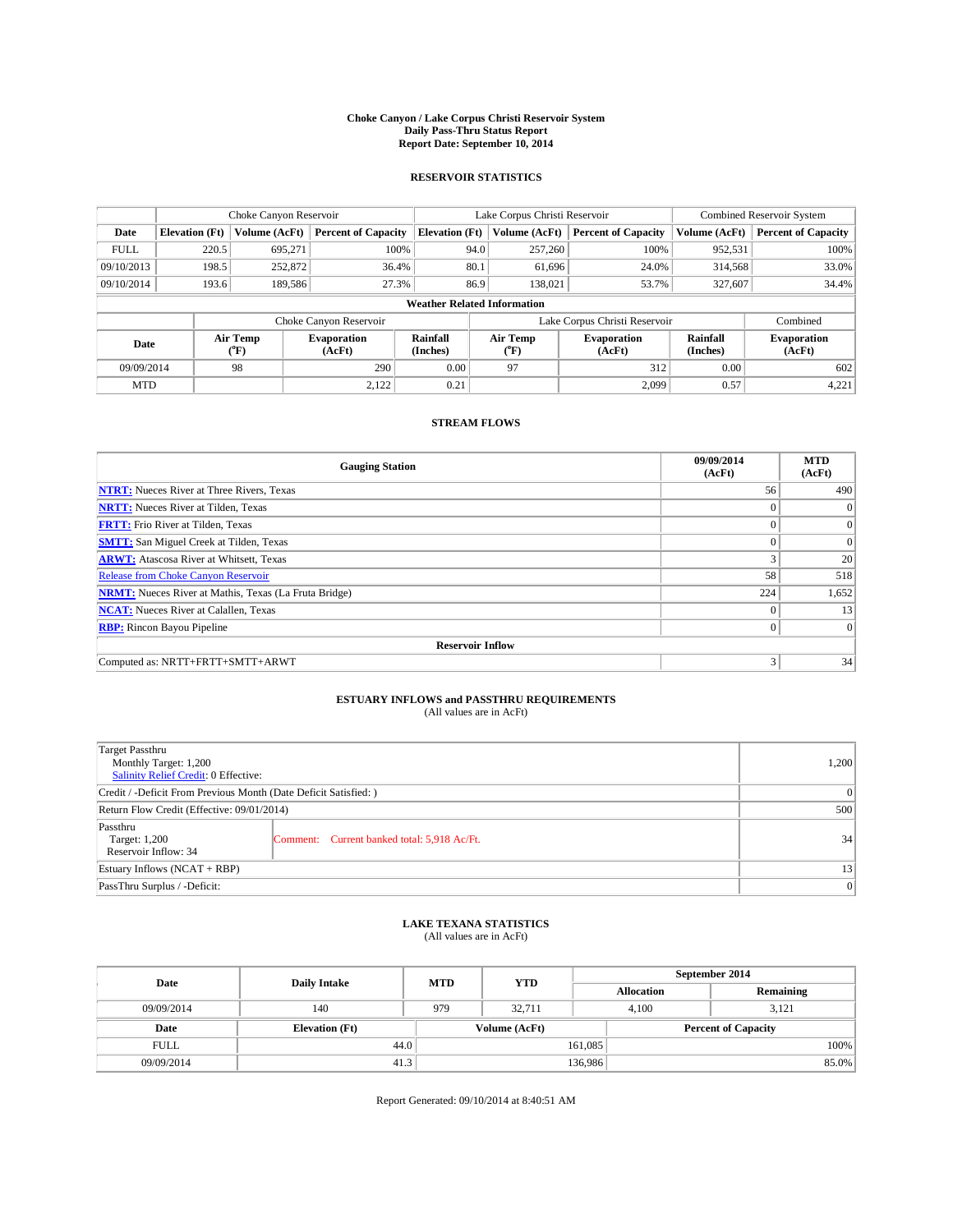#### **Choke Canyon / Lake Corpus Christi Reservoir System Daily Pass-Thru Status Report Report Date: September 10, 2014**

### **RESERVOIR STATISTICS**

|             |                                    | Choke Canyon Reservoir |                              |                       | Lake Corpus Christi Reservoir | <b>Combined Reservoir System</b> |                      |                              |  |
|-------------|------------------------------------|------------------------|------------------------------|-----------------------|-------------------------------|----------------------------------|----------------------|------------------------------|--|
| Date        | <b>Elevation</b> (Ft)              | Volume (AcFt)          | <b>Percent of Capacity</b>   | <b>Elevation (Ft)</b> | Volume (AcFt)                 | <b>Percent of Capacity</b>       | Volume (AcFt)        | <b>Percent of Capacity</b>   |  |
| <b>FULL</b> | 220.5                              | 695,271                | 100%                         | 94.0                  | 257,260                       | 100%                             | 952,531              | 100%                         |  |
| 09/10/2013  | 198.5                              | 252,872                | 36.4%                        | 80.1                  | 61,696                        | 24.0%                            | 314,568              | 33.0%                        |  |
| 09/10/2014  | 193.6                              | 189,586                | 27.3%                        | 86.9                  | 138,021                       | 53.7%                            | 327,607              | 34.4%                        |  |
|             | <b>Weather Related Information</b> |                        |                              |                       |                               |                                  |                      |                              |  |
|             |                                    |                        | Choke Canyon Reservoir       |                       |                               | Lake Corpus Christi Reservoir    |                      | Combined                     |  |
| Date        |                                    | Air Temp<br>(°F)       | <b>Evaporation</b><br>(AcFt) | Rainfall<br>(Inches)  | Air Temp<br>$(^{0}F)$         | <b>Evaporation</b><br>(AcFt)     | Rainfall<br>(Inches) | <b>Evaporation</b><br>(AcFt) |  |
| 09/09/2014  |                                    | 98                     | 290                          | 0.00                  | 97                            | 312                              | 0.00                 | 602                          |  |
| <b>MTD</b>  |                                    |                        | 2,122                        | 0.21                  |                               | 2,099                            | 0.57                 | 4,221                        |  |

### **STREAM FLOWS**

| <b>Gauging Station</b>                                       | 09/09/2014<br>(AcFt) | <b>MTD</b><br>(AcFt) |  |  |  |  |
|--------------------------------------------------------------|----------------------|----------------------|--|--|--|--|
| <b>NTRT:</b> Nueces River at Three Rivers, Texas             | 56                   | 490                  |  |  |  |  |
| <b>NRTT:</b> Nueces River at Tilden, Texas                   | $\theta$             | $\theta$             |  |  |  |  |
| <b>FRTT:</b> Frio River at Tilden, Texas                     |                      | $\overline{0}$       |  |  |  |  |
| <b>SMTT:</b> San Miguel Creek at Tilden, Texas               | $\theta$             | $\overline{0}$       |  |  |  |  |
| <b>ARWT:</b> Atascosa River at Whitsett, Texas               |                      | 20                   |  |  |  |  |
| <b>Release from Choke Canyon Reservoir</b>                   | 58                   | 518                  |  |  |  |  |
| <b>NRMT:</b> Nueces River at Mathis, Texas (La Fruta Bridge) | 224                  | 1,652                |  |  |  |  |
| <b>NCAT:</b> Nueces River at Calallen, Texas                 | $\theta$             | 13                   |  |  |  |  |
| <b>RBP:</b> Rincon Bayou Pipeline                            | $\Omega$             | $\Omega$             |  |  |  |  |
| <b>Reservoir Inflow</b>                                      |                      |                      |  |  |  |  |
| Computed as: NRTT+FRTT+SMTT+ARWT                             | 3                    | 34                   |  |  |  |  |

# **ESTUARY INFLOWS and PASSTHRU REQUIREMENTS**<br>(All values are in AcFt)

| <b>Target Passthru</b><br>Monthly Target: 1,200<br>Salinity Relief Credit: 0 Effective: |                                             |    |  |  |
|-----------------------------------------------------------------------------------------|---------------------------------------------|----|--|--|
| Credit / -Deficit From Previous Month (Date Deficit Satisfied: )                        | $\Omega$                                    |    |  |  |
| Return Flow Credit (Effective: 09/01/2014)                                              | 500                                         |    |  |  |
| Passthru<br>Target: 1,200<br>Reservoir Inflow: 34                                       | Comment: Current banked total: 5,918 Ac/Ft. | 34 |  |  |
| Estuary Inflows (NCAT + RBP)                                                            | 13                                          |    |  |  |
| PassThru Surplus / -Deficit:                                                            | 0                                           |    |  |  |

## **LAKE TEXANA STATISTICS** (All values are in AcFt)

| Date        | <b>Daily Intake</b>   | <b>MTD</b> | <b>YTD</b>    | September 2014    |                            |           |  |
|-------------|-----------------------|------------|---------------|-------------------|----------------------------|-----------|--|
|             |                       |            |               | <b>Allocation</b> |                            | Remaining |  |
| 09/09/2014  | 140                   | 979        | 32.711        |                   | 4.100<br>3.121             |           |  |
| Date        | <b>Elevation</b> (Ft) |            | Volume (AcFt) |                   | <b>Percent of Capacity</b> |           |  |
| <b>FULL</b> |                       | 44.0       |               | 161,085           |                            | 100%      |  |
| 09/09/2014  | 41.3                  |            |               | 136,986           |                            | 85.0%     |  |

Report Generated: 09/10/2014 at 8:40:51 AM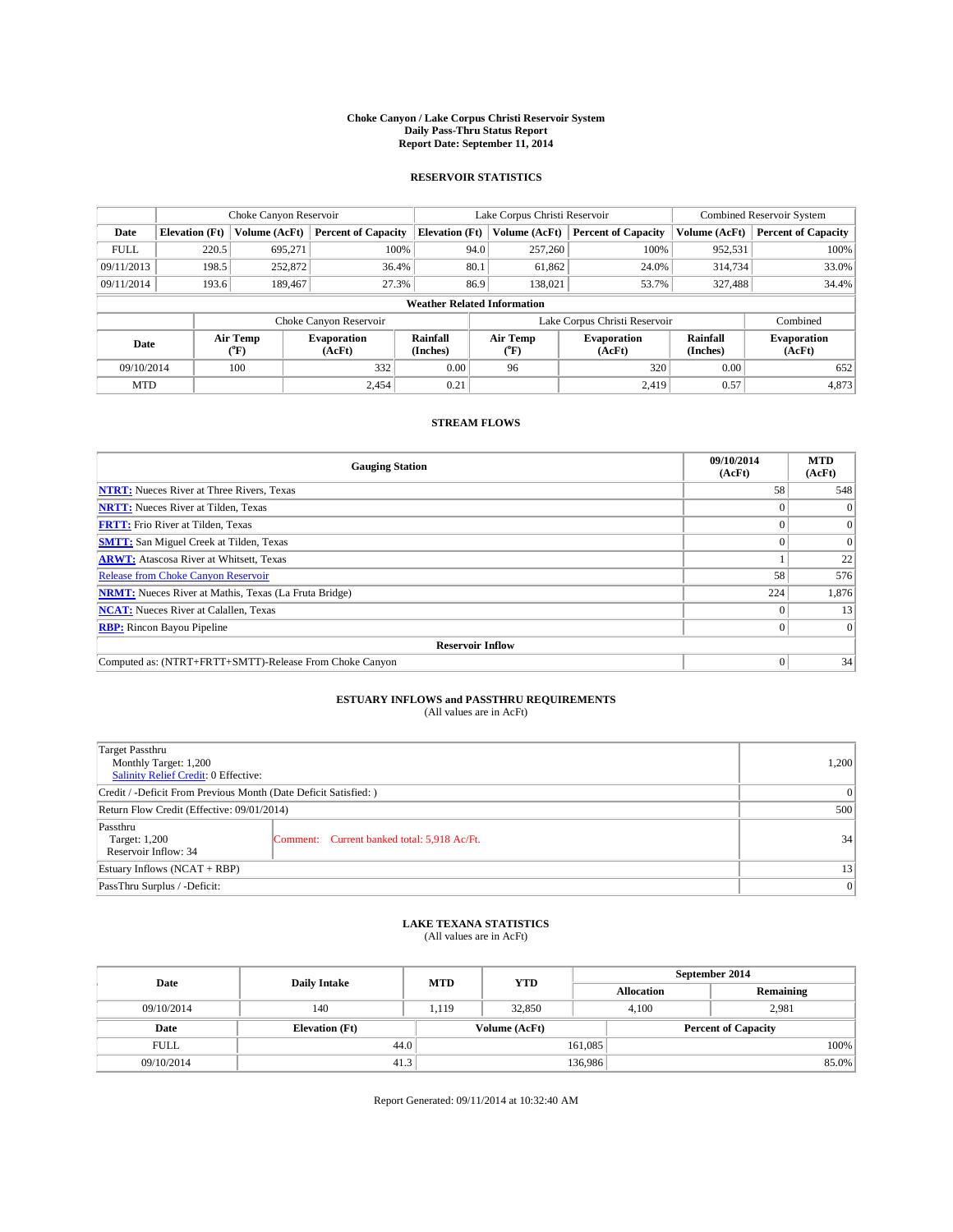#### **Choke Canyon / Lake Corpus Christi Reservoir System Daily Pass-Thru Status Report Report Date: September 11, 2014**

### **RESERVOIR STATISTICS**

|             |                                    | Choke Canyon Reservoir |                              |                       | Lake Corpus Christi Reservoir                         | Combined Reservoir System     |                      |                              |  |
|-------------|------------------------------------|------------------------|------------------------------|-----------------------|-------------------------------------------------------|-------------------------------|----------------------|------------------------------|--|
| Date        | <b>Elevation</b> (Ft)              | Volume (AcFt)          | <b>Percent of Capacity</b>   | <b>Elevation (Ft)</b> | Volume (AcFt)                                         | <b>Percent of Capacity</b>    | Volume (AcFt)        | <b>Percent of Capacity</b>   |  |
| <b>FULL</b> | 220.5                              | 695.271                | 100%                         | 94.0                  | 257,260                                               | 100%                          | 952,531              | 100%                         |  |
| 09/11/2013  | 198.5                              | 252,872                | 36.4%                        | 80.1                  | 61,862                                                | 24.0%                         | 314,734              | 33.0%                        |  |
| 09/11/2014  | 193.6                              | 189,467                | 27.3%                        | 86.9                  | 138,021                                               | 53.7%                         | 327,488              | 34.4%                        |  |
|             | <b>Weather Related Information</b> |                        |                              |                       |                                                       |                               |                      |                              |  |
|             |                                    |                        | Choke Canyon Reservoir       |                       |                                                       | Lake Corpus Christi Reservoir |                      | Combined                     |  |
| Date        |                                    | Air Temp<br>(°F)       | <b>Evaporation</b><br>(AcFt) | Rainfall<br>(Inches)  | Air Temp<br><b>Evaporation</b><br>(AcFt)<br>$(^{0}F)$ |                               | Rainfall<br>(Inches) | <b>Evaporation</b><br>(AcFt) |  |
| 09/10/2014  |                                    | 100                    | 332                          | 0.00                  | 96                                                    | 320                           | 0.00                 | 652                          |  |
| <b>MTD</b>  |                                    |                        | 2.454                        | 0.21                  |                                                       | 2,419                         | 0.57                 | 4,873                        |  |

### **STREAM FLOWS**

| <b>Gauging Station</b>                                       | 09/10/2014<br>(AcFt) | <b>MTD</b><br>(AcFt) |  |  |  |  |
|--------------------------------------------------------------|----------------------|----------------------|--|--|--|--|
| <b>NTRT:</b> Nueces River at Three Rivers, Texas             | 58                   | 548                  |  |  |  |  |
| <b>NRTT:</b> Nueces River at Tilden, Texas                   |                      | $\theta$             |  |  |  |  |
| <b>FRTT:</b> Frio River at Tilden, Texas                     |                      | $\overline{0}$       |  |  |  |  |
| <b>SMTT:</b> San Miguel Creek at Tilden, Texas               |                      | $\Omega$             |  |  |  |  |
| <b>ARWT:</b> Atascosa River at Whitsett, Texas               |                      | 22                   |  |  |  |  |
| <b>Release from Choke Canyon Reservoir</b>                   | 58                   | 576                  |  |  |  |  |
| <b>NRMT:</b> Nueces River at Mathis, Texas (La Fruta Bridge) | 224                  | 1,876                |  |  |  |  |
| <b>NCAT:</b> Nueces River at Calallen, Texas                 |                      | 13                   |  |  |  |  |
| <b>RBP:</b> Rincon Bayou Pipeline                            | 0                    | $\Omega$             |  |  |  |  |
| <b>Reservoir Inflow</b>                                      |                      |                      |  |  |  |  |
| Computed as: (NTRT+FRTT+SMTT)-Release From Choke Canyon      |                      | 34                   |  |  |  |  |

# **ESTUARY INFLOWS and PASSTHRU REQUIREMENTS**<br>(All values are in AcFt)

| Target Passthru<br>Monthly Target: 1,200<br>Salinity Relief Credit: 0 Effective: |                                             |    |  |  |
|----------------------------------------------------------------------------------|---------------------------------------------|----|--|--|
| Credit / -Deficit From Previous Month (Date Deficit Satisfied: )                 |                                             |    |  |  |
| Return Flow Credit (Effective: 09/01/2014)                                       |                                             |    |  |  |
| Passthru<br>Target: 1,200<br>Reservoir Inflow: 34                                | Comment: Current banked total: 5,918 Ac/Ft. | 34 |  |  |
| Estuary Inflows (NCAT + RBP)                                                     |                                             |    |  |  |
| PassThru Surplus / -Deficit:                                                     | 0                                           |    |  |  |

## **LAKE TEXANA STATISTICS** (All values are in AcFt)

| Date        | <b>Daily Intake</b>   | <b>MTD</b> | <b>YTD</b>    | September 2014    |                            |           |  |
|-------------|-----------------------|------------|---------------|-------------------|----------------------------|-----------|--|
|             |                       |            |               | <b>Allocation</b> |                            | Remaining |  |
| 09/10/2014  | 140                   | 1.119      | 32,850        |                   | 2.981<br>4.100             |           |  |
| Date        | <b>Elevation</b> (Ft) |            | Volume (AcFt) |                   | <b>Percent of Capacity</b> |           |  |
| <b>FULL</b> | 44.0                  |            |               | 161,085           |                            | 100%      |  |
| 09/10/2014  | 41.3                  |            |               | 136,986           |                            | 85.0%     |  |

Report Generated: 09/11/2014 at 10:32:40 AM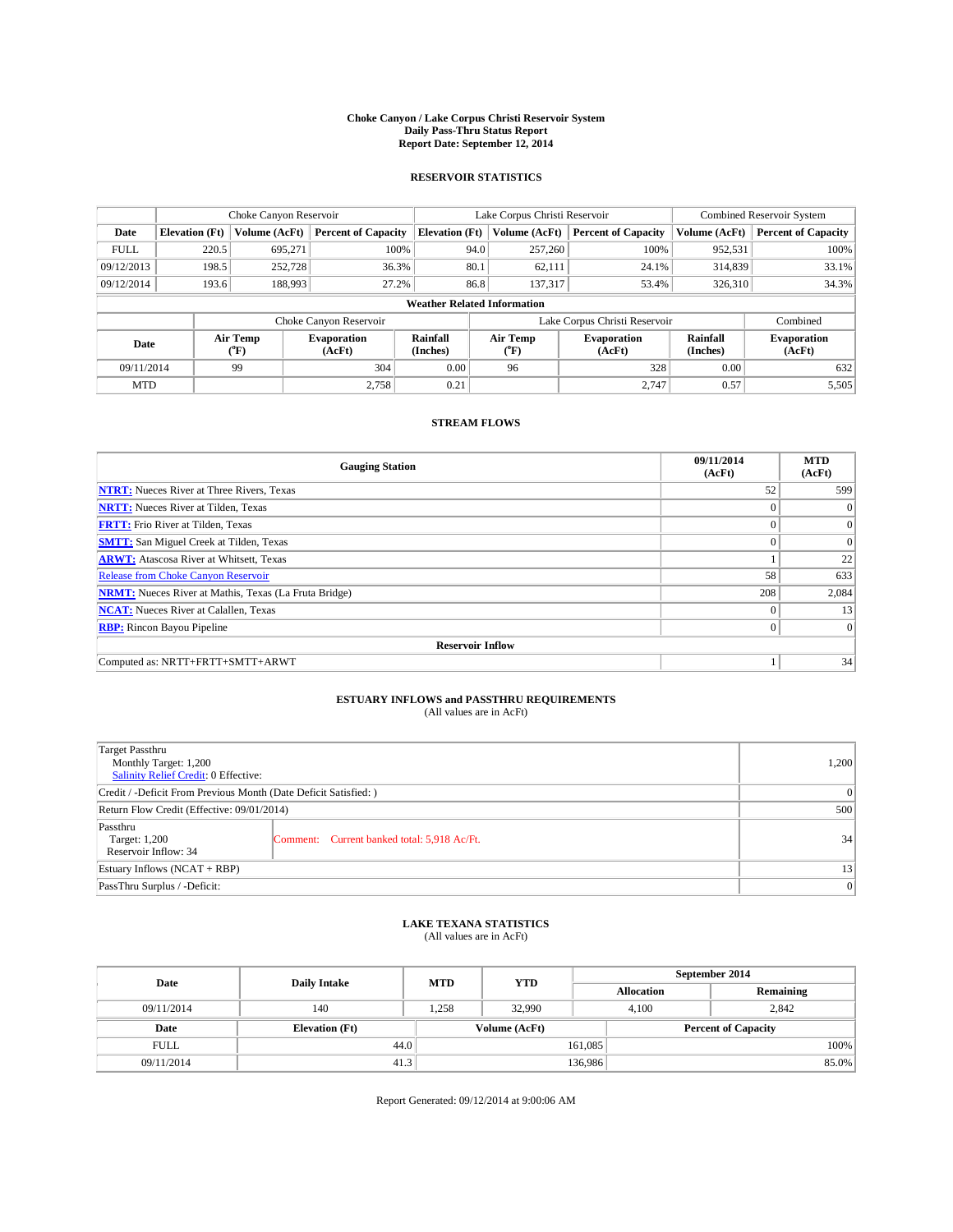#### **Choke Canyon / Lake Corpus Christi Reservoir System Daily Pass-Thru Status Report Report Date: September 12, 2014**

### **RESERVOIR STATISTICS**

|             |                                    | Choke Canyon Reservoir |                              |                       | Lake Corpus Christi Reservoir | <b>Combined Reservoir System</b> |                      |                              |  |  |
|-------------|------------------------------------|------------------------|------------------------------|-----------------------|-------------------------------|----------------------------------|----------------------|------------------------------|--|--|
| Date        | <b>Elevation</b> (Ft)              | Volume (AcFt)          | <b>Percent of Capacity</b>   | <b>Elevation (Ft)</b> | Volume (AcFt)                 | <b>Percent of Capacity</b>       | Volume (AcFt)        | <b>Percent of Capacity</b>   |  |  |
| <b>FULL</b> | 220.5                              | 695,271                | 100%                         | 94.0                  | 257,260                       | 100%                             | 952,531              | 100%                         |  |  |
| 09/12/2013  | 198.5                              | 252,728                | 36.3%                        | 80.1                  | 62,111                        | 24.1%                            | 314,839              | 33.1%                        |  |  |
| 09/12/2014  | 193.6                              | 188,993                | 27.2%                        | 86.8                  | 137,317                       | 53.4%                            | 326,310              | 34.3%                        |  |  |
|             | <b>Weather Related Information</b> |                        |                              |                       |                               |                                  |                      |                              |  |  |
|             |                                    |                        | Choke Canyon Reservoir       |                       |                               | Lake Corpus Christi Reservoir    |                      | Combined                     |  |  |
| Date        |                                    | Air Temp<br>(°F)       | <b>Evaporation</b><br>(AcFt) | Rainfall<br>(Inches)  | Air Temp<br>(°F)              | <b>Evaporation</b><br>(AcFt)     | Rainfall<br>(Inches) | <b>Evaporation</b><br>(AcFt) |  |  |
| 09/11/2014  |                                    | 99                     | 304                          | 0.00                  | 96                            | 328                              | 0.00                 | 632                          |  |  |
| <b>MTD</b>  |                                    |                        | 2.758                        | 0.21                  |                               | 2.747                            | 0.57                 | 5,505                        |  |  |

### **STREAM FLOWS**

| <b>Gauging Station</b>                                       | 09/11/2014<br>(AcFt) | <b>MTD</b><br>(AcFt) |  |  |  |  |
|--------------------------------------------------------------|----------------------|----------------------|--|--|--|--|
| <b>NTRT:</b> Nueces River at Three Rivers, Texas             | 52                   | 599                  |  |  |  |  |
| <b>NRTT:</b> Nueces River at Tilden, Texas                   |                      | $\mathbf{0}$         |  |  |  |  |
| <b>FRTT:</b> Frio River at Tilden, Texas                     |                      | $\overline{0}$       |  |  |  |  |
| <b>SMTT:</b> San Miguel Creek at Tilden, Texas               | $\theta$             | $\Omega$             |  |  |  |  |
| <b>ARWT:</b> Atascosa River at Whitsett, Texas               |                      | 22                   |  |  |  |  |
| <b>Release from Choke Canyon Reservoir</b>                   | 58                   | 633                  |  |  |  |  |
| <b>NRMT:</b> Nueces River at Mathis, Texas (La Fruta Bridge) | 208                  | 2,084                |  |  |  |  |
| <b>NCAT:</b> Nueces River at Calallen, Texas                 | $\theta$             | 13                   |  |  |  |  |
| <b>RBP:</b> Rincon Bayou Pipeline                            | $\theta$             | $\Omega$             |  |  |  |  |
| <b>Reservoir Inflow</b>                                      |                      |                      |  |  |  |  |
| Computed as: NRTT+FRTT+SMTT+ARWT                             |                      | 34                   |  |  |  |  |

# **ESTUARY INFLOWS and PASSTHRU REQUIREMENTS**<br>(All values are in AcFt)

| <b>Target Passthru</b><br>Monthly Target: 1,200<br>Salinity Relief Credit: 0 Effective: |                                             |    |  |  |
|-----------------------------------------------------------------------------------------|---------------------------------------------|----|--|--|
| Credit / -Deficit From Previous Month (Date Deficit Satisfied: )                        | $\Omega$                                    |    |  |  |
| Return Flow Credit (Effective: 09/01/2014)                                              | 500                                         |    |  |  |
| Passthru<br>Target: 1,200<br>Reservoir Inflow: 34                                       | Comment: Current banked total: 5,918 Ac/Ft. | 34 |  |  |
| Estuary Inflows (NCAT + RBP)                                                            | 13                                          |    |  |  |
| PassThru Surplus / -Deficit:                                                            | 0                                           |    |  |  |

## **LAKE TEXANA STATISTICS** (All values are in AcFt)

| Date        | <b>Daily Intake</b>   | <b>MTD</b> | <b>YTD</b>    | September 2014    |                |                            |  |
|-------------|-----------------------|------------|---------------|-------------------|----------------|----------------------------|--|
|             |                       |            |               | <b>Allocation</b> |                | Remaining                  |  |
| 09/11/2014  | 140                   | 1.258      | 32,990        |                   | 2.842<br>4.100 |                            |  |
| Date        | <b>Elevation</b> (Ft) |            | Volume (AcFt) |                   |                | <b>Percent of Capacity</b> |  |
| <b>FULL</b> | 44.0                  |            |               | 161,085           |                | 100%                       |  |
| 09/11/2014  | 41.3                  |            |               | 136,986           |                | 85.0%                      |  |

Report Generated: 09/12/2014 at 9:00:06 AM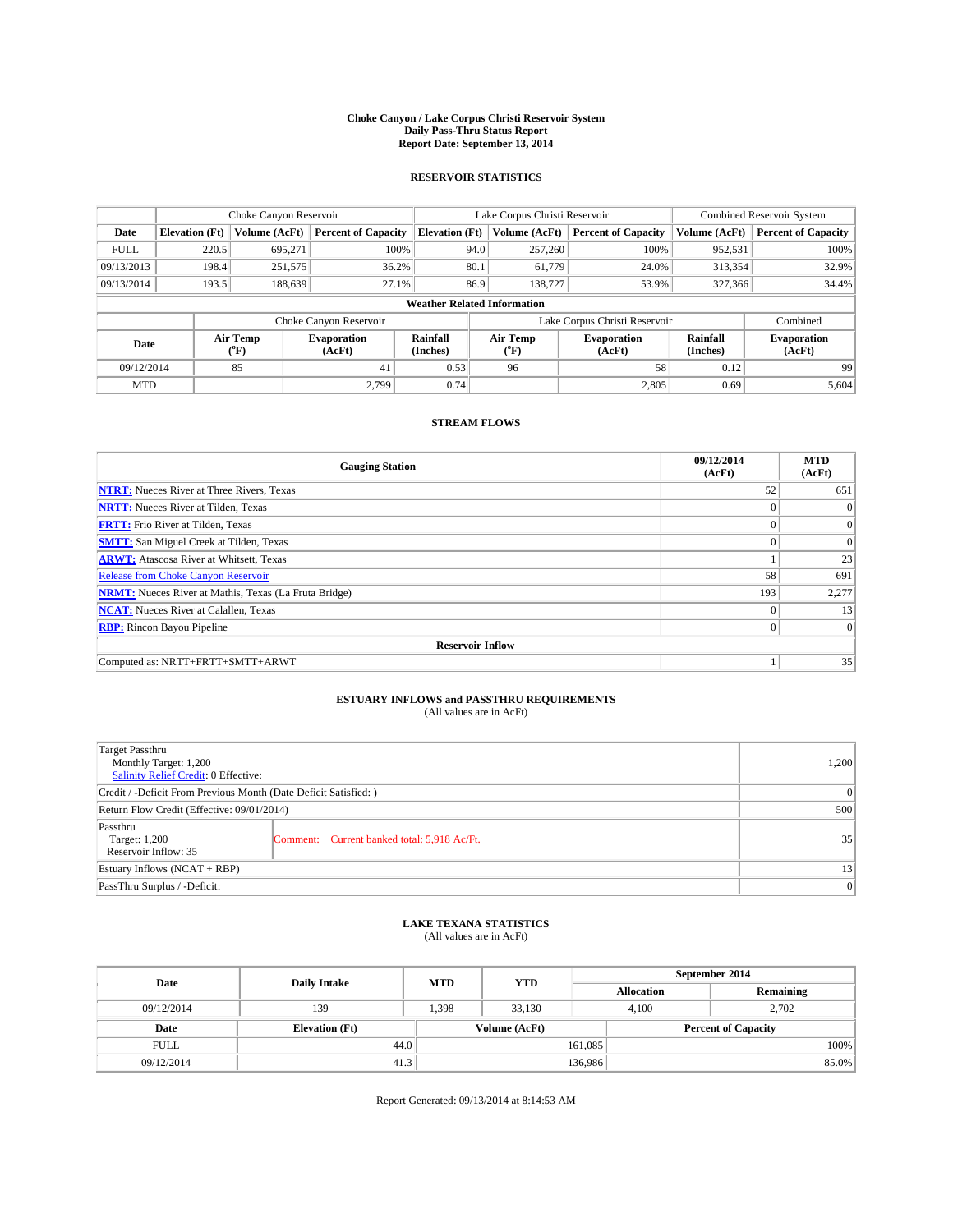#### **Choke Canyon / Lake Corpus Christi Reservoir System Daily Pass-Thru Status Report Report Date: September 13, 2014**

### **RESERVOIR STATISTICS**

|             | Choke Canyon Reservoir             |               |                              |                       | Lake Corpus Christi Reservoir | <b>Combined Reservoir System</b> |                      |                              |  |
|-------------|------------------------------------|---------------|------------------------------|-----------------------|-------------------------------|----------------------------------|----------------------|------------------------------|--|
| Date        | <b>Elevation</b> (Ft)              | Volume (AcFt) | <b>Percent of Capacity</b>   | <b>Elevation (Ft)</b> | Volume (AcFt)                 | <b>Percent of Capacity</b>       | Volume (AcFt)        | Percent of Capacity          |  |
| <b>FULL</b> | 220.5                              | 695,271       | 100%                         |                       | 94.0<br>257,260               | 100%                             | 952,531              | 100%                         |  |
| 09/13/2013  | 198.4                              | 251,575       | 36.2%                        | 80.1                  | 61,779                        | 24.0%                            | 313,354              | 32.9%                        |  |
| 09/13/2014  | 193.5                              | 188.639       | 27.1%                        |                       | 86.9<br>138,727               | 53.9%                            | 327,366              | 34.4%                        |  |
|             | <b>Weather Related Information</b> |               |                              |                       |                               |                                  |                      |                              |  |
|             |                                    |               | Choke Canyon Reservoir       |                       |                               | Lake Corpus Christi Reservoir    |                      | Combined                     |  |
| Date        | Air Temp<br>(°F)                   |               | <b>Evaporation</b><br>(AcFt) | Rainfall<br>(Inches)  | Air Temp<br>("F)              | <b>Evaporation</b><br>(AcFt)     | Rainfall<br>(Inches) | <b>Evaporation</b><br>(AcFt) |  |
| 09/12/2014  |                                    | 85<br>41      |                              | 0.53                  | 96                            | 58                               | 0.12                 | 99                           |  |
| <b>MTD</b>  |                                    |               | 2.799                        | 0.74                  |                               | 2,805                            | 0.69                 | 5,604                        |  |

### **STREAM FLOWS**

| <b>Gauging Station</b>                                       | 09/12/2014<br>(AcFt) | <b>MTD</b><br>(AcFt) |  |  |  |  |
|--------------------------------------------------------------|----------------------|----------------------|--|--|--|--|
| <b>NTRT:</b> Nueces River at Three Rivers, Texas             | 52                   | 651                  |  |  |  |  |
| <b>NRTT:</b> Nueces River at Tilden, Texas                   |                      | $\mathbf{0}$         |  |  |  |  |
| <b>FRTT:</b> Frio River at Tilden, Texas                     |                      | $\overline{0}$       |  |  |  |  |
| <b>SMTT:</b> San Miguel Creek at Tilden, Texas               | $\theta$             | $\Omega$             |  |  |  |  |
| <b>ARWT:</b> Atascosa River at Whitsett, Texas               |                      | 23                   |  |  |  |  |
| <b>Release from Choke Canyon Reservoir</b>                   | 58                   | 691                  |  |  |  |  |
| <b>NRMT:</b> Nueces River at Mathis, Texas (La Fruta Bridge) | 193                  | 2,277                |  |  |  |  |
| <b>NCAT:</b> Nueces River at Calallen, Texas                 | $\theta$             | 13                   |  |  |  |  |
| <b>RBP:</b> Rincon Bayou Pipeline                            | $\theta$             | $\Omega$             |  |  |  |  |
| <b>Reservoir Inflow</b>                                      |                      |                      |  |  |  |  |
| Computed as: NRTT+FRTT+SMTT+ARWT                             |                      | 35                   |  |  |  |  |

# **ESTUARY INFLOWS and PASSTHRU REQUIREMENTS**<br>(All values are in AcFt)

| Target Passthru<br>Monthly Target: 1,200<br>Salinity Relief Credit: 0 Effective: |                                             | 1,200 |  |  |
|----------------------------------------------------------------------------------|---------------------------------------------|-------|--|--|
| Credit / -Deficit From Previous Month (Date Deficit Satisfied: )                 |                                             |       |  |  |
| Return Flow Credit (Effective: 09/01/2014)                                       |                                             |       |  |  |
| Passthru<br>Target: 1,200<br>Reservoir Inflow: 35                                | Comment: Current banked total: 5,918 Ac/Ft. | 35    |  |  |
| Estuary Inflows (NCAT + RBP)                                                     |                                             |       |  |  |
| PassThru Surplus / -Deficit:                                                     |                                             |       |  |  |

## **LAKE TEXANA STATISTICS** (All values are in AcFt)

| Date        | <b>Daily Intake</b>   | <b>MTD</b> | <b>YTD</b>    | September 2014    |                            |           |  |
|-------------|-----------------------|------------|---------------|-------------------|----------------------------|-----------|--|
|             |                       |            |               | <b>Allocation</b> |                            | Remaining |  |
| 09/12/2014  | 139                   | 1,398      | 33.130        |                   | 2.702<br>4.100             |           |  |
| Date        | <b>Elevation</b> (Ft) |            | Volume (AcFt) |                   | <b>Percent of Capacity</b> |           |  |
| <b>FULL</b> | 44.0                  |            |               | 161,085           |                            | 100%      |  |
| 09/12/2014  | 41.3                  |            |               | 136,986           |                            | 85.0%     |  |

Report Generated: 09/13/2014 at 8:14:53 AM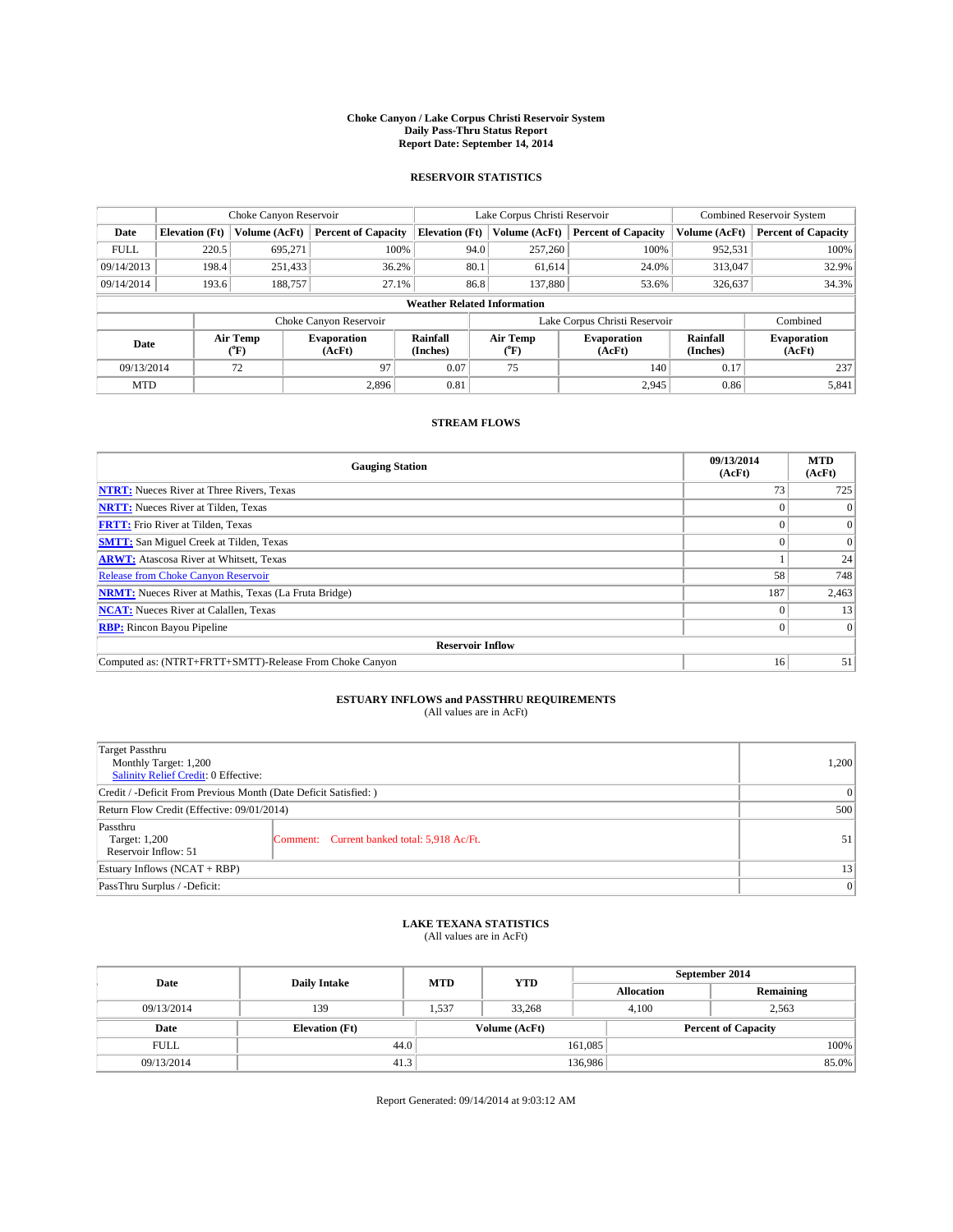#### **Choke Canyon / Lake Corpus Christi Reservoir System Daily Pass-Thru Status Report Report Date: September 14, 2014**

### **RESERVOIR STATISTICS**

|             | Choke Canyon Reservoir             |                  | Lake Corpus Christi Reservoir |                       |      |                       | <b>Combined Reservoir System</b> |                      |                              |
|-------------|------------------------------------|------------------|-------------------------------|-----------------------|------|-----------------------|----------------------------------|----------------------|------------------------------|
| Date        | <b>Elevation</b> (Ft)              | Volume (AcFt)    | <b>Percent of Capacity</b>    | <b>Elevation (Ft)</b> |      | Volume (AcFt)         | <b>Percent of Capacity</b>       | Volume (AcFt)        | <b>Percent of Capacity</b>   |
| <b>FULL</b> | 220.5                              | 695,271          | 100%                          |                       | 94.0 | 257,260               | 100%                             | 952,531              | 100%                         |
| 09/14/2013  | 198.4                              | 251,433          | 36.2%                         |                       | 80.1 | 61,614                | 24.0%                            | 313,047              | 32.9%                        |
| 09/14/2014  | 193.6                              | 188,757          | 27.1%                         |                       | 86.8 | 137,880               | 53.6%                            | 326,637              | 34.3%                        |
|             | <b>Weather Related Information</b> |                  |                               |                       |      |                       |                                  |                      |                              |
|             |                                    |                  | Choke Canyon Reservoir        |                       |      |                       | Lake Corpus Christi Reservoir    |                      | Combined                     |
| Date        |                                    | Air Temp<br>(°F) | <b>Evaporation</b><br>(AcFt)  | Rainfall<br>(Inches)  |      | Air Temp<br>$(^{0}F)$ | <b>Evaporation</b><br>(AcFt)     | Rainfall<br>(Inches) | <b>Evaporation</b><br>(AcFt) |
| 09/13/2014  |                                    | 72               | 97                            | 0.07                  |      | 75                    | 140                              | 0.17                 | 237                          |
| <b>MTD</b>  |                                    |                  | 2.896                         | 0.81                  |      |                       | 2,945                            | 0.86                 | 5,841                        |

### **STREAM FLOWS**

| <b>Gauging Station</b>                                       | 09/13/2014<br>(AcFt) | <b>MTD</b><br>(AcFt) |  |  |  |  |
|--------------------------------------------------------------|----------------------|----------------------|--|--|--|--|
| <b>NTRT:</b> Nueces River at Three Rivers, Texas             | 73                   | 725                  |  |  |  |  |
| <b>NRTT:</b> Nueces River at Tilden, Texas                   |                      | $\Omega$             |  |  |  |  |
| <b>FRTT:</b> Frio River at Tilden, Texas                     |                      | $\overline{0}$       |  |  |  |  |
| <b>SMTT:</b> San Miguel Creek at Tilden, Texas               |                      | $\overline{0}$       |  |  |  |  |
| <b>ARWT:</b> Atascosa River at Whitsett, Texas               |                      | 24                   |  |  |  |  |
| <b>Release from Choke Canyon Reservoir</b>                   | 58                   | 748                  |  |  |  |  |
| <b>NRMT:</b> Nueces River at Mathis, Texas (La Fruta Bridge) | 187                  | 2,463                |  |  |  |  |
| <b>NCAT:</b> Nueces River at Calallen, Texas                 |                      | 13                   |  |  |  |  |
| <b>RBP:</b> Rincon Bayou Pipeline                            | 0                    | $\Omega$             |  |  |  |  |
| <b>Reservoir Inflow</b>                                      |                      |                      |  |  |  |  |
| Computed as: (NTRT+FRTT+SMTT)-Release From Choke Canyon      | 16                   | 51                   |  |  |  |  |

# **ESTUARY INFLOWS and PASSTHRU REQUIREMENTS**<br>(All values are in AcFt)

| Target Passthru<br>Monthly Target: 1,200<br>Salinity Relief Credit: 0 Effective: |                                             | 1,200 |  |  |
|----------------------------------------------------------------------------------|---------------------------------------------|-------|--|--|
| Credit / -Deficit From Previous Month (Date Deficit Satisfied: )                 |                                             |       |  |  |
| Return Flow Credit (Effective: 09/01/2014)                                       |                                             |       |  |  |
| Passthru<br>Target: 1,200<br>Reservoir Inflow: 51                                | Comment: Current banked total: 5,918 Ac/Ft. | 51    |  |  |
| Estuary Inflows (NCAT + RBP)                                                     |                                             |       |  |  |
| PassThru Surplus / -Deficit:                                                     | 0                                           |       |  |  |

## **LAKE TEXANA STATISTICS** (All values are in AcFt)

| Date        | <b>Daily Intake</b>   | <b>MTD</b> | <b>YTD</b>    | September 2014    |                            |           |  |
|-------------|-----------------------|------------|---------------|-------------------|----------------------------|-----------|--|
|             |                       |            |               | <b>Allocation</b> |                            | Remaining |  |
| 09/13/2014  | 139                   | 1.537      | 33,268        |                   | 2,563<br>4.100             |           |  |
| Date        | <b>Elevation</b> (Ft) |            | Volume (AcFt) |                   | <b>Percent of Capacity</b> |           |  |
| <b>FULL</b> | 44.0                  |            |               | 161,085           |                            | 100%      |  |
| 09/13/2014  | 41.3                  |            |               | 136,986           |                            | 85.0%     |  |

Report Generated: 09/14/2014 at 9:03:12 AM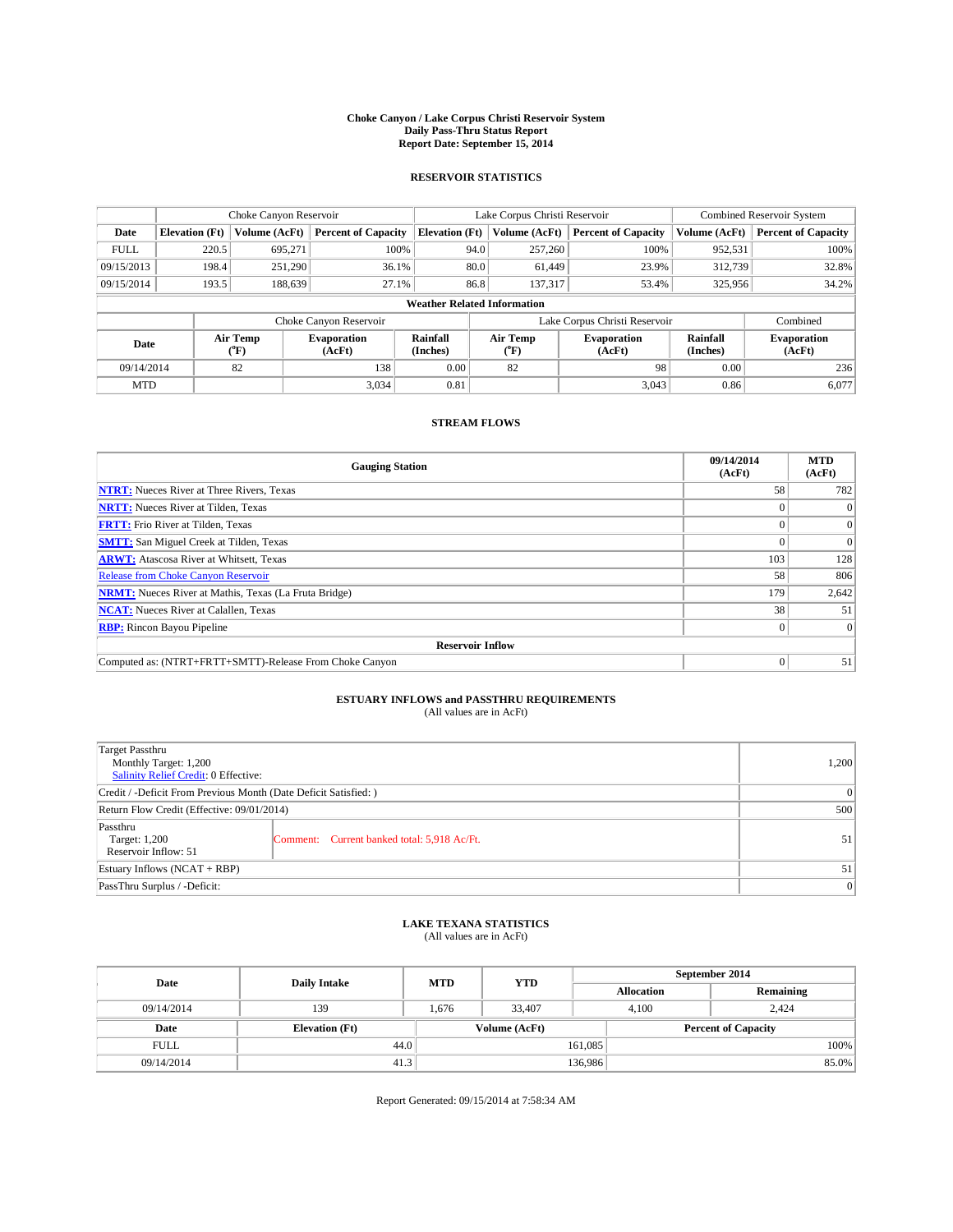#### **Choke Canyon / Lake Corpus Christi Reservoir System Daily Pass-Thru Status Report Report Date: September 15, 2014**

### **RESERVOIR STATISTICS**

|             | Choke Canyon Reservoir             |                  | Lake Corpus Christi Reservoir |                       |      |                                                       | <b>Combined Reservoir System</b> |                      |                              |
|-------------|------------------------------------|------------------|-------------------------------|-----------------------|------|-------------------------------------------------------|----------------------------------|----------------------|------------------------------|
| Date        | <b>Elevation</b> (Ft)              | Volume (AcFt)    | <b>Percent of Capacity</b>    | <b>Elevation (Ft)</b> |      | Volume (AcFt)                                         | <b>Percent of Capacity</b>       | Volume (AcFt)        | <b>Percent of Capacity</b>   |
| <b>FULL</b> | 220.5                              | 695,271          | 100%                          |                       | 94.0 | 257,260                                               | 100%                             | 952,531              | 100%                         |
| 09/15/2013  | 198.4                              | 251,290          | 36.1%                         |                       | 80.0 | 61.449                                                | 23.9%                            | 312,739              | 32.8%                        |
| 09/15/2014  | 193.5                              | 188.639          | 27.1%                         |                       | 86.8 | 137,317                                               | 53.4%                            | 325,956              | 34.2%                        |
|             | <b>Weather Related Information</b> |                  |                               |                       |      |                                                       |                                  |                      |                              |
|             |                                    |                  | Choke Canyon Reservoir        |                       |      |                                                       | Lake Corpus Christi Reservoir    |                      | Combined                     |
| Date        |                                    | Air Temp<br>(°F) | <b>Evaporation</b><br>(AcFt)  | Rainfall<br>(Inches)  |      | Air Temp<br><b>Evaporation</b><br>(AcFt)<br>$(^{0}F)$ |                                  | Rainfall<br>(Inches) | <b>Evaporation</b><br>(AcFt) |
| 09/14/2014  |                                    | 82               | 138                           | 0.00                  |      | 82                                                    | 98                               | 0.00                 | 236                          |
| <b>MTD</b>  |                                    |                  | 3.034                         | 0.81                  |      |                                                       | 3,043                            | 0.86                 | 6,077                        |

### **STREAM FLOWS**

| <b>Gauging Station</b>                                       | 09/14/2014<br>(AcFt) | <b>MTD</b><br>(AcFt) |  |  |  |  |
|--------------------------------------------------------------|----------------------|----------------------|--|--|--|--|
| <b>NTRT:</b> Nueces River at Three Rivers, Texas             | 58                   | 782                  |  |  |  |  |
| <b>NRTT:</b> Nueces River at Tilden, Texas                   |                      | $\Omega$             |  |  |  |  |
| <b>FRTT:</b> Frio River at Tilden, Texas                     |                      | $\overline{0}$       |  |  |  |  |
| <b>SMTT:</b> San Miguel Creek at Tilden, Texas               |                      | $\overline{0}$       |  |  |  |  |
| <b>ARWT:</b> Atascosa River at Whitsett, Texas               | 103                  | 128                  |  |  |  |  |
| <b>Release from Choke Canyon Reservoir</b>                   | 58                   | 806                  |  |  |  |  |
| <b>NRMT:</b> Nueces River at Mathis, Texas (La Fruta Bridge) | 179                  | 2,642                |  |  |  |  |
| <b>NCAT:</b> Nueces River at Calallen, Texas                 | 38                   | 51                   |  |  |  |  |
| <b>RBP:</b> Rincon Bayou Pipeline                            | 0                    | $\Omega$             |  |  |  |  |
| <b>Reservoir Inflow</b>                                      |                      |                      |  |  |  |  |
| Computed as: (NTRT+FRTT+SMTT)-Release From Choke Canyon      | $\Omega$             | 51                   |  |  |  |  |

# **ESTUARY INFLOWS and PASSTHRU REQUIREMENTS**<br>(All values are in AcFt)

| Target Passthru<br>Monthly Target: 1,200<br>Salinity Relief Credit: 0 Effective: |                                             | 1,200 |  |  |  |
|----------------------------------------------------------------------------------|---------------------------------------------|-------|--|--|--|
| Credit / -Deficit From Previous Month (Date Deficit Satisfied: )                 |                                             |       |  |  |  |
| Return Flow Credit (Effective: 09/01/2014)                                       |                                             |       |  |  |  |
| Passthru<br>Target: 1,200<br>Reservoir Inflow: 51                                | Comment: Current banked total: 5,918 Ac/Ft. | 51    |  |  |  |
| Estuary Inflows (NCAT + RBP)                                                     |                                             |       |  |  |  |
| PassThru Surplus / -Deficit:                                                     | 0                                           |       |  |  |  |

## **LAKE TEXANA STATISTICS** (All values are in AcFt)

| Date        | <b>Daily Intake</b>   | <b>MTD</b> | <b>YTD</b>    | September 2014    |                            |           |  |
|-------------|-----------------------|------------|---------------|-------------------|----------------------------|-----------|--|
|             |                       |            |               | <b>Allocation</b> |                            | Remaining |  |
| 09/14/2014  | 139                   | 1.676      | 33,407        |                   | 4.100<br>2.424             |           |  |
| Date        | <b>Elevation</b> (Ft) |            | Volume (AcFt) |                   | <b>Percent of Capacity</b> |           |  |
| <b>FULL</b> | 44.0                  |            |               | 161,085           |                            | 100%      |  |
| 09/14/2014  | 41.3                  |            |               | 136,986           |                            | 85.0%     |  |

Report Generated: 09/15/2014 at 7:58:34 AM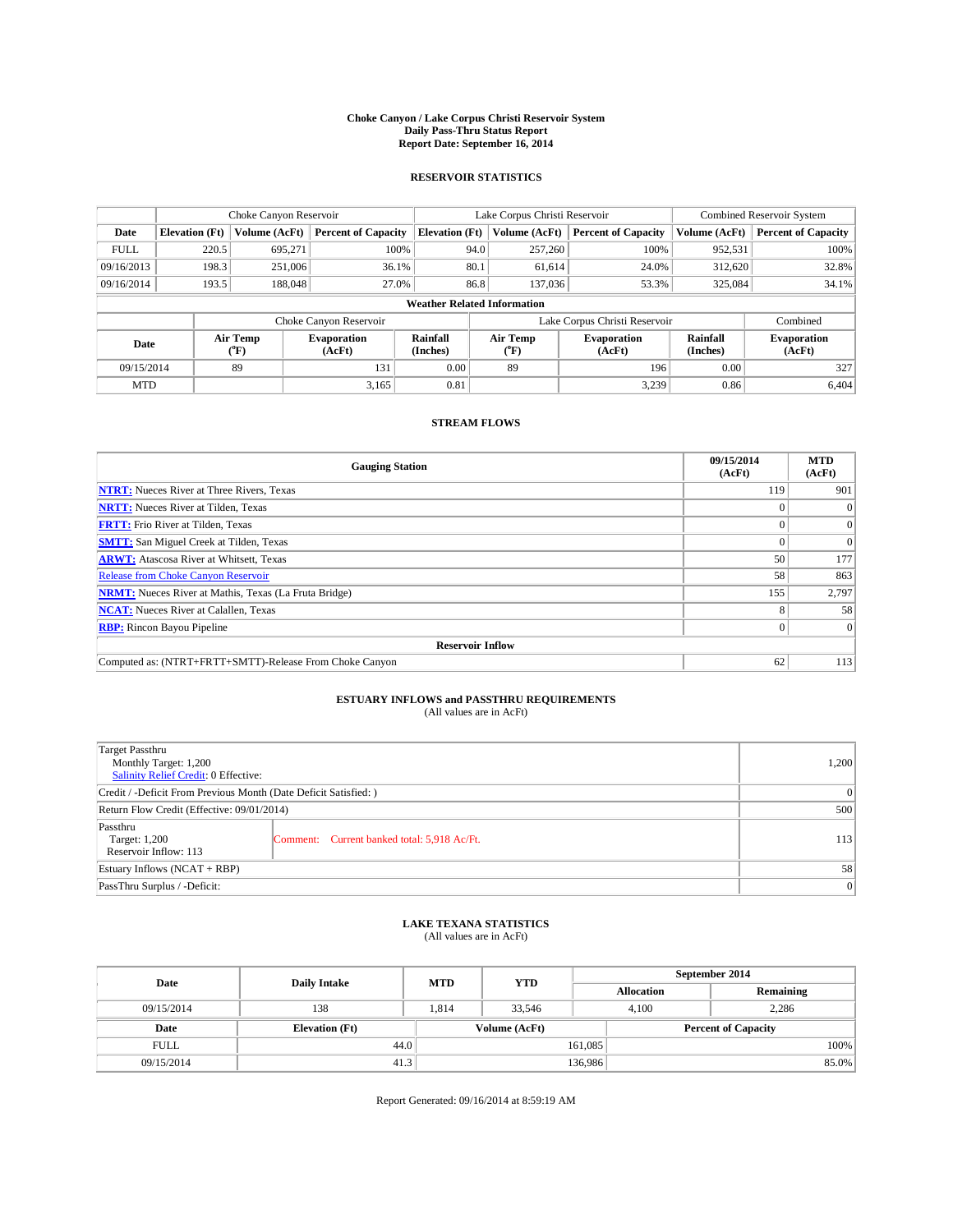#### **Choke Canyon / Lake Corpus Christi Reservoir System Daily Pass-Thru Status Report Report Date: September 16, 2014**

### **RESERVOIR STATISTICS**

|             |                                    | Choke Canyon Reservoir |                              |                       | Lake Corpus Christi Reservoir    | Combined Reservoir System    |                      |                              |  |
|-------------|------------------------------------|------------------------|------------------------------|-----------------------|----------------------------------|------------------------------|----------------------|------------------------------|--|
| Date        | <b>Elevation</b> (Ft)              | Volume (AcFt)          | <b>Percent of Capacity</b>   | <b>Elevation (Ft)</b> | Volume (AcFt)                    | <b>Percent of Capacity</b>   | Volume (AcFt)        | <b>Percent of Capacity</b>   |  |
| <b>FULL</b> | 220.5                              | 695,271                | 100%                         | 94.0                  | 257,260                          | 100%                         | 952,531              | 100%                         |  |
| 09/16/2013  | 198.3                              | 251,006                | 36.1%                        | 80.1                  | 61,614                           | 24.0%                        | 312,620              | 32.8%                        |  |
| 09/16/2014  | 193.5                              | 188,048                | 27.0%                        | 86.8                  | 137,036                          | 53.3%                        | 325,084              | 34.1%                        |  |
|             | <b>Weather Related Information</b> |                        |                              |                       |                                  |                              |                      |                              |  |
|             |                                    |                        | Choke Canyon Reservoir       |                       | Lake Corpus Christi Reservoir    |                              | Combined             |                              |  |
| Date        |                                    | Air Temp<br>(°F)       | <b>Evaporation</b><br>(AcFt) | Rainfall<br>(Inches)  | Air Temp<br>$(^{\circ}\text{F})$ | <b>Evaporation</b><br>(AcFt) | Rainfall<br>(Inches) | <b>Evaporation</b><br>(AcFt) |  |
| 09/15/2014  |                                    | 89                     | 131                          |                       | 89                               | 196                          | 0.00                 | 327                          |  |
| <b>MTD</b>  |                                    |                        | 3.165                        | 0.81                  |                                  | 3,239                        | 0.86                 | 6.404                        |  |

### **STREAM FLOWS**

| <b>Gauging Station</b>                                       | 09/15/2014<br>(AcFt) | <b>MTD</b><br>(AcFt) |  |  |  |  |
|--------------------------------------------------------------|----------------------|----------------------|--|--|--|--|
| <b>NTRT:</b> Nueces River at Three Rivers, Texas             | 119                  | 901                  |  |  |  |  |
| <b>NRTT:</b> Nueces River at Tilden, Texas                   |                      |                      |  |  |  |  |
| <b>FRTT:</b> Frio River at Tilden, Texas                     |                      | $\overline{0}$       |  |  |  |  |
| <b>SMTT:</b> San Miguel Creek at Tilden, Texas               |                      | $\Omega$             |  |  |  |  |
| <b>ARWT:</b> Atascosa River at Whitsett, Texas               | 50                   | 177                  |  |  |  |  |
| Release from Choke Canyon Reservoir                          | 58                   | 863                  |  |  |  |  |
| <b>NRMT:</b> Nueces River at Mathis, Texas (La Fruta Bridge) | 155                  | 2,797                |  |  |  |  |
| <b>NCAT:</b> Nueces River at Calallen, Texas                 |                      | 58                   |  |  |  |  |
| <b>RBP:</b> Rincon Bayou Pipeline                            | 0                    | $\Omega$             |  |  |  |  |
| <b>Reservoir Inflow</b>                                      |                      |                      |  |  |  |  |
| Computed as: (NTRT+FRTT+SMTT)-Release From Choke Canyon      | 62                   | 113                  |  |  |  |  |

# **ESTUARY INFLOWS and PASSTHRU REQUIREMENTS**<br>(All values are in AcFt)

| Target Passthru<br>Monthly Target: 1,200<br>Salinity Relief Credit: 0 Effective: |                                             | 1,200 |  |  |
|----------------------------------------------------------------------------------|---------------------------------------------|-------|--|--|
| Credit / -Deficit From Previous Month (Date Deficit Satisfied: )                 |                                             |       |  |  |
| Return Flow Credit (Effective: 09/01/2014)                                       |                                             |       |  |  |
| Passthru<br>Target: 1,200<br>Reservoir Inflow: 113                               | Comment: Current banked total: 5,918 Ac/Ft. | 113   |  |  |
| Estuary Inflows (NCAT + RBP)                                                     |                                             |       |  |  |
| PassThru Surplus / -Deficit:                                                     | 0                                           |       |  |  |

## **LAKE TEXANA STATISTICS** (All values are in AcFt)

| Date        | <b>Daily Intake</b>   | <b>MTD</b> | <b>YTD</b>    | September 2014    |                            |           |  |
|-------------|-----------------------|------------|---------------|-------------------|----------------------------|-----------|--|
|             |                       |            |               | <b>Allocation</b> |                            | Remaining |  |
| 09/15/2014  | 138                   | 1.814      | 33.546        |                   | 2,286<br>4.100             |           |  |
| Date        | <b>Elevation</b> (Ft) |            | Volume (AcFt) |                   | <b>Percent of Capacity</b> |           |  |
| <b>FULL</b> | 44.0                  |            |               | 161,085           |                            | 100%      |  |
| 09/15/2014  | 41.3                  |            |               | 136,986           |                            | 85.0%     |  |

Report Generated: 09/16/2014 at 8:59:19 AM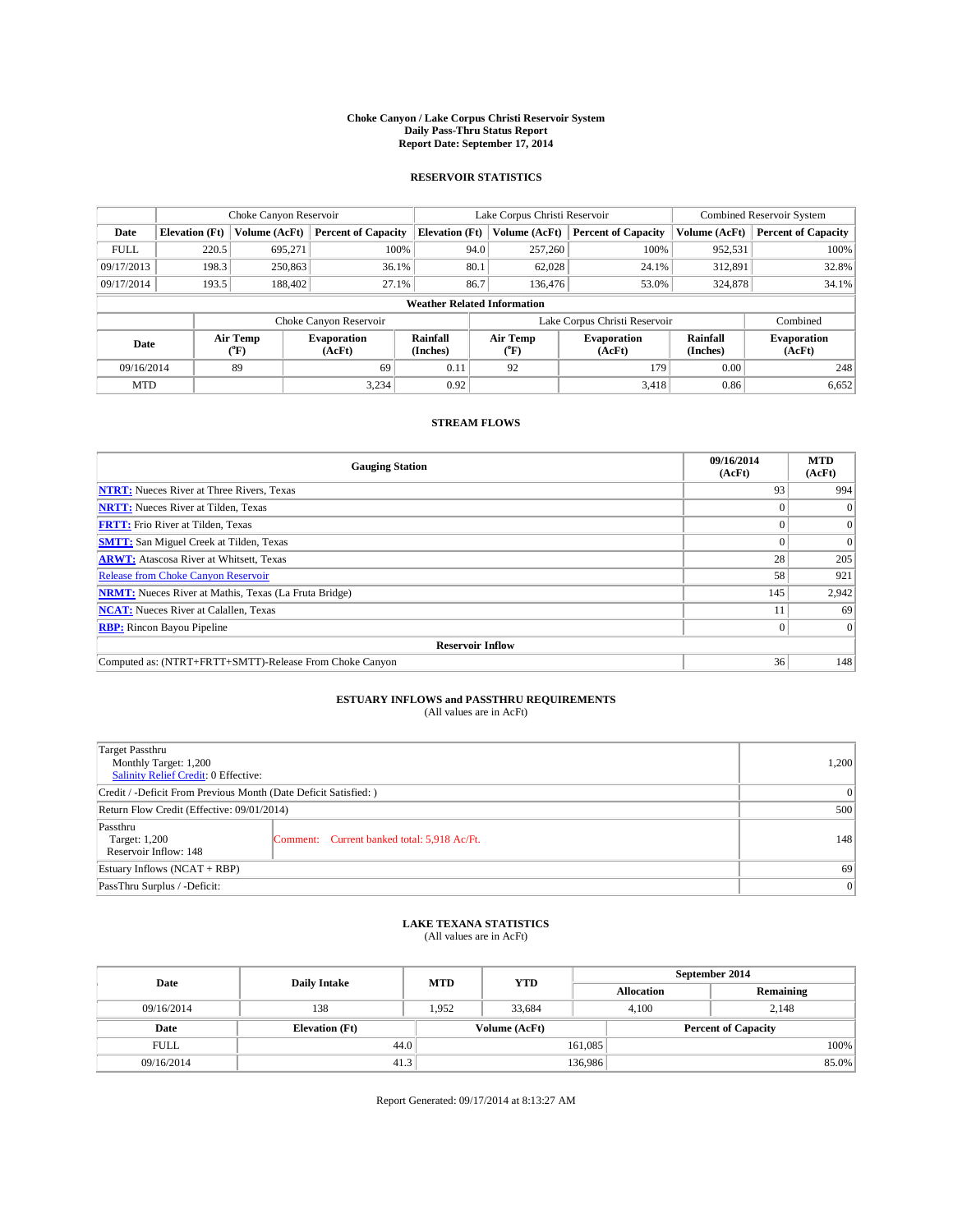#### **Choke Canyon / Lake Corpus Christi Reservoir System Daily Pass-Thru Status Report Report Date: September 17, 2014**

### **RESERVOIR STATISTICS**

|             |                                    | Choke Canyon Reservoir |                              |                       | Lake Corpus Christi Reservoir | Combined Reservoir System    |                      |                              |  |
|-------------|------------------------------------|------------------------|------------------------------|-----------------------|-------------------------------|------------------------------|----------------------|------------------------------|--|
| Date        | <b>Elevation</b> (Ft)              | Volume (AcFt)          | <b>Percent of Capacity</b>   | <b>Elevation (Ft)</b> | Volume (AcFt)                 | <b>Percent of Capacity</b>   | Volume (AcFt)        | <b>Percent of Capacity</b>   |  |
| <b>FULL</b> | 220.5                              | 695.271                | 100%                         | 94.0                  | 257,260                       | 100%                         | 952,531              | 100%                         |  |
| 09/17/2013  | 198.3                              | 250,863                | 36.1%                        | 80.1                  | 62,028                        | 24.1%                        | 312,891              | 32.8%                        |  |
| 09/17/2014  | 193.5                              | 188,402                | 27.1%                        | 86.7                  | 136,476                       | 53.0%                        | 324,878              | 34.1%                        |  |
|             | <b>Weather Related Information</b> |                        |                              |                       |                               |                              |                      |                              |  |
|             |                                    |                        | Choke Canyon Reservoir       |                       | Lake Corpus Christi Reservoir | Combined                     |                      |                              |  |
| Date        |                                    | Air Temp<br>(°F)       | <b>Evaporation</b><br>(AcFt) | Rainfall<br>(Inches)  | Air Temp<br>$(^{0}F)$         | <b>Evaporation</b><br>(AcFt) | Rainfall<br>(Inches) | <b>Evaporation</b><br>(AcFt) |  |
| 09/16/2014  |                                    | 89                     | 69                           | 0.11                  | 92                            | 179                          | 0.00                 | 248                          |  |
| <b>MTD</b>  |                                    |                        | 3.234                        | 0.92                  |                               | 3,418                        | 0.86                 | 6,652                        |  |

### **STREAM FLOWS**

| <b>Gauging Station</b>                                       | 09/16/2014<br>(AcFt) | <b>MTD</b><br>(AcFt) |  |  |  |  |
|--------------------------------------------------------------|----------------------|----------------------|--|--|--|--|
| <b>NTRT:</b> Nueces River at Three Rivers, Texas             | 93                   | 994                  |  |  |  |  |
| <b>NRTT:</b> Nueces River at Tilden, Texas                   |                      | $\Omega$             |  |  |  |  |
| <b>FRTT:</b> Frio River at Tilden, Texas                     |                      | $\overline{0}$       |  |  |  |  |
| <b>SMTT:</b> San Miguel Creek at Tilden, Texas               |                      | $\Omega$             |  |  |  |  |
| <b>ARWT:</b> Atascosa River at Whitsett, Texas               | 28                   | 205                  |  |  |  |  |
| <b>Release from Choke Canyon Reservoir</b>                   | 58                   | 921                  |  |  |  |  |
| <b>NRMT:</b> Nueces River at Mathis, Texas (La Fruta Bridge) | 145                  | 2,942                |  |  |  |  |
| <b>NCAT:</b> Nueces River at Calallen, Texas                 |                      | 69                   |  |  |  |  |
| <b>RBP:</b> Rincon Bayou Pipeline                            | $\Omega$             | $\Omega$             |  |  |  |  |
| <b>Reservoir Inflow</b>                                      |                      |                      |  |  |  |  |
| Computed as: (NTRT+FRTT+SMTT)-Release From Choke Canyon      | 36                   | 148                  |  |  |  |  |

# **ESTUARY INFLOWS and PASSTHRU REQUIREMENTS**<br>(All values are in AcFt)

| Target Passthru<br>Monthly Target: 1,200<br>Salinity Relief Credit: 0 Effective: |                                             | 1.200 |  |  |
|----------------------------------------------------------------------------------|---------------------------------------------|-------|--|--|
| Credit / -Deficit From Previous Month (Date Deficit Satisfied: )                 |                                             |       |  |  |
| Return Flow Credit (Effective: 09/01/2014)                                       | 500                                         |       |  |  |
| Passthru<br>Target: 1,200<br>Reservoir Inflow: 148                               | Comment: Current banked total: 5,918 Ac/Ft. | 148   |  |  |
| Estuary Inflows (NCAT + RBP)                                                     |                                             |       |  |  |
| PassThru Surplus / -Deficit:                                                     | 0                                           |       |  |  |

## **LAKE TEXANA STATISTICS** (All values are in AcFt)

| Date        | <b>Daily Intake</b>   | <b>MTD</b>    | <b>YTD</b> | September 2014    |                            |           |  |
|-------------|-----------------------|---------------|------------|-------------------|----------------------------|-----------|--|
|             |                       |               |            | <b>Allocation</b> |                            | Remaining |  |
| 09/16/2014  | 138                   | 1,952         | 33,684     |                   | 4,100<br>2,148             |           |  |
| Date        | <b>Elevation</b> (Ft) | Volume (AcFt) |            |                   | <b>Percent of Capacity</b> |           |  |
| <b>FULL</b> | 44.0                  |               |            | 161,085           |                            | 100%      |  |
| 09/16/2014  | 41.3                  |               |            | 136,986           |                            | 85.0%     |  |

Report Generated: 09/17/2014 at 8:13:27 AM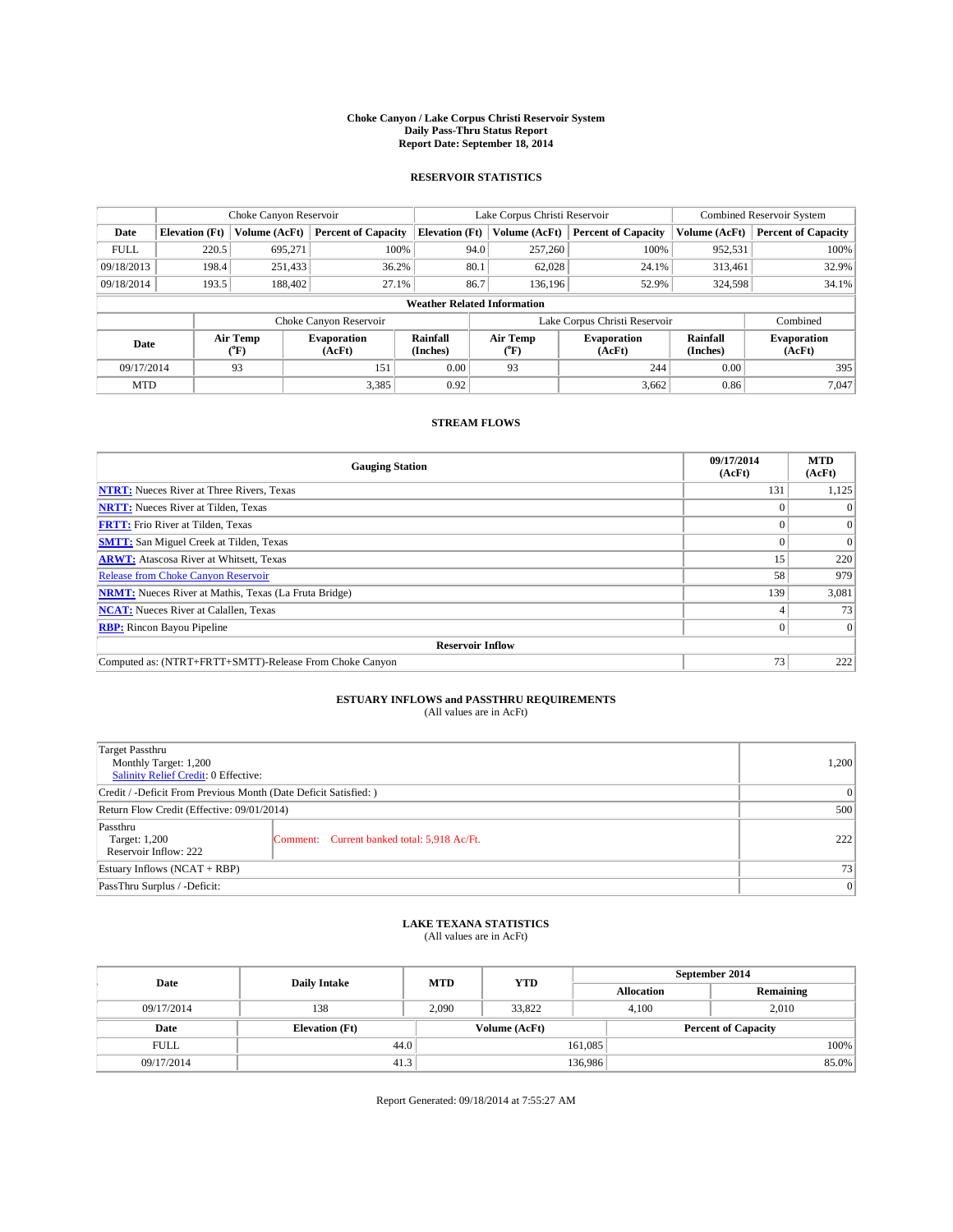#### **Choke Canyon / Lake Corpus Christi Reservoir System Daily Pass-Thru Status Report Report Date: September 18, 2014**

### **RESERVOIR STATISTICS**

|             | Choke Canyon Reservoir             |               | Lake Corpus Christi Reservoir |                       |                               |                       | Combined Reservoir System    |                      |                              |
|-------------|------------------------------------|---------------|-------------------------------|-----------------------|-------------------------------|-----------------------|------------------------------|----------------------|------------------------------|
| Date        | <b>Elevation</b> (Ft)              | Volume (AcFt) | <b>Percent of Capacity</b>    | <b>Elevation (Ft)</b> |                               | Volume (AcFt)         | <b>Percent of Capacity</b>   | Volume (AcFt)        | <b>Percent of Capacity</b>   |
| <b>FULL</b> | 220.5                              | 695,271       | 100%                          |                       | 94.0                          | 257,260               | 100%                         | 952,531              | 100%                         |
| 09/18/2013  | 198.4                              | 251,433       | 36.2%                         |                       | 80.1                          | 62,028                | 24.1%                        | 313,461              | 32.9%                        |
| 09/18/2014  | 193.5                              | 188,402       | 27.1%                         |                       | 86.7                          | 136.196               | 52.9%                        | 324,598              | 34.1%                        |
|             | <b>Weather Related Information</b> |               |                               |                       |                               |                       |                              |                      |                              |
|             |                                    |               | Choke Canyon Reservoir        |                       | Lake Corpus Christi Reservoir |                       |                              |                      | Combined                     |
| Date        | Air Temp<br>(°F)                   |               | <b>Evaporation</b><br>(AcFt)  | Rainfall<br>(Inches)  |                               | Air Temp<br>$(^{0}F)$ | <b>Evaporation</b><br>(AcFt) | Rainfall<br>(Inches) | <b>Evaporation</b><br>(AcFt) |
| 09/17/2014  |                                    | 93            | 151                           | 0.00                  |                               | 93                    | 244                          | 0.00                 | 395                          |
| <b>MTD</b>  |                                    |               | 3,385                         | 0.92                  |                               |                       | 3,662                        | 0.86                 | 7.047                        |

### **STREAM FLOWS**

| <b>Gauging Station</b>                                       | 09/17/2014<br>(AcFt) | <b>MTD</b><br>(AcFt) |  |  |  |  |
|--------------------------------------------------------------|----------------------|----------------------|--|--|--|--|
| <b>NTRT:</b> Nueces River at Three Rivers, Texas             | 131                  | 1,125                |  |  |  |  |
| <b>NRTT:</b> Nueces River at Tilden, Texas                   |                      |                      |  |  |  |  |
| <b>FRTT:</b> Frio River at Tilden, Texas                     |                      | $\Omega$             |  |  |  |  |
| <b>SMTT:</b> San Miguel Creek at Tilden, Texas               |                      | $\Omega$             |  |  |  |  |
| <b>ARWT:</b> Atascosa River at Whitsett, Texas               | 15                   | 220                  |  |  |  |  |
| Release from Choke Canyon Reservoir                          | 58                   | 979                  |  |  |  |  |
| <b>NRMT:</b> Nueces River at Mathis, Texas (La Fruta Bridge) | 139                  | 3,081                |  |  |  |  |
| <b>NCAT:</b> Nueces River at Calallen, Texas                 |                      | 73                   |  |  |  |  |
| <b>RBP:</b> Rincon Bayou Pipeline                            | 0                    | $\Omega$             |  |  |  |  |
| <b>Reservoir Inflow</b>                                      |                      |                      |  |  |  |  |
| Computed as: (NTRT+FRTT+SMTT)-Release From Choke Canyon      | 73 <sub>1</sub>      | 222                  |  |  |  |  |

# **ESTUARY INFLOWS and PASSTHRU REQUIREMENTS**<br>(All values are in AcFt)

| Target Passthru<br>Monthly Target: 1,200<br>Salinity Relief Credit: 0 Effective: |                                             | 1,200 |  |  |
|----------------------------------------------------------------------------------|---------------------------------------------|-------|--|--|
| Credit / -Deficit From Previous Month (Date Deficit Satisfied: )                 |                                             |       |  |  |
| Return Flow Credit (Effective: 09/01/2014)                                       |                                             |       |  |  |
| Passthru<br>Target: 1,200<br>Reservoir Inflow: 222                               | Comment: Current banked total: 5,918 Ac/Ft. | 222   |  |  |
| Estuary Inflows (NCAT + RBP)                                                     |                                             |       |  |  |
| PassThru Surplus / -Deficit:                                                     | 0                                           |       |  |  |

## **LAKE TEXANA STATISTICS** (All values are in AcFt)

| Date        | <b>Daily Intake</b>   | <b>MTD</b> | <b>YTD</b>    | September 2014    |                            |           |  |
|-------------|-----------------------|------------|---------------|-------------------|----------------------------|-----------|--|
|             |                       |            |               | <b>Allocation</b> |                            | Remaining |  |
| 09/17/2014  | 138                   | 2,090      | 33,822        |                   | 2.010<br>4.100             |           |  |
| Date        | <b>Elevation</b> (Ft) |            | Volume (AcFt) |                   | <b>Percent of Capacity</b> |           |  |
| <b>FULL</b> | 44.0                  |            |               | 161,085           |                            | 100%      |  |
| 09/17/2014  | 41.3                  |            |               | 136,986           |                            | 85.0%     |  |

Report Generated: 09/18/2014 at 7:55:27 AM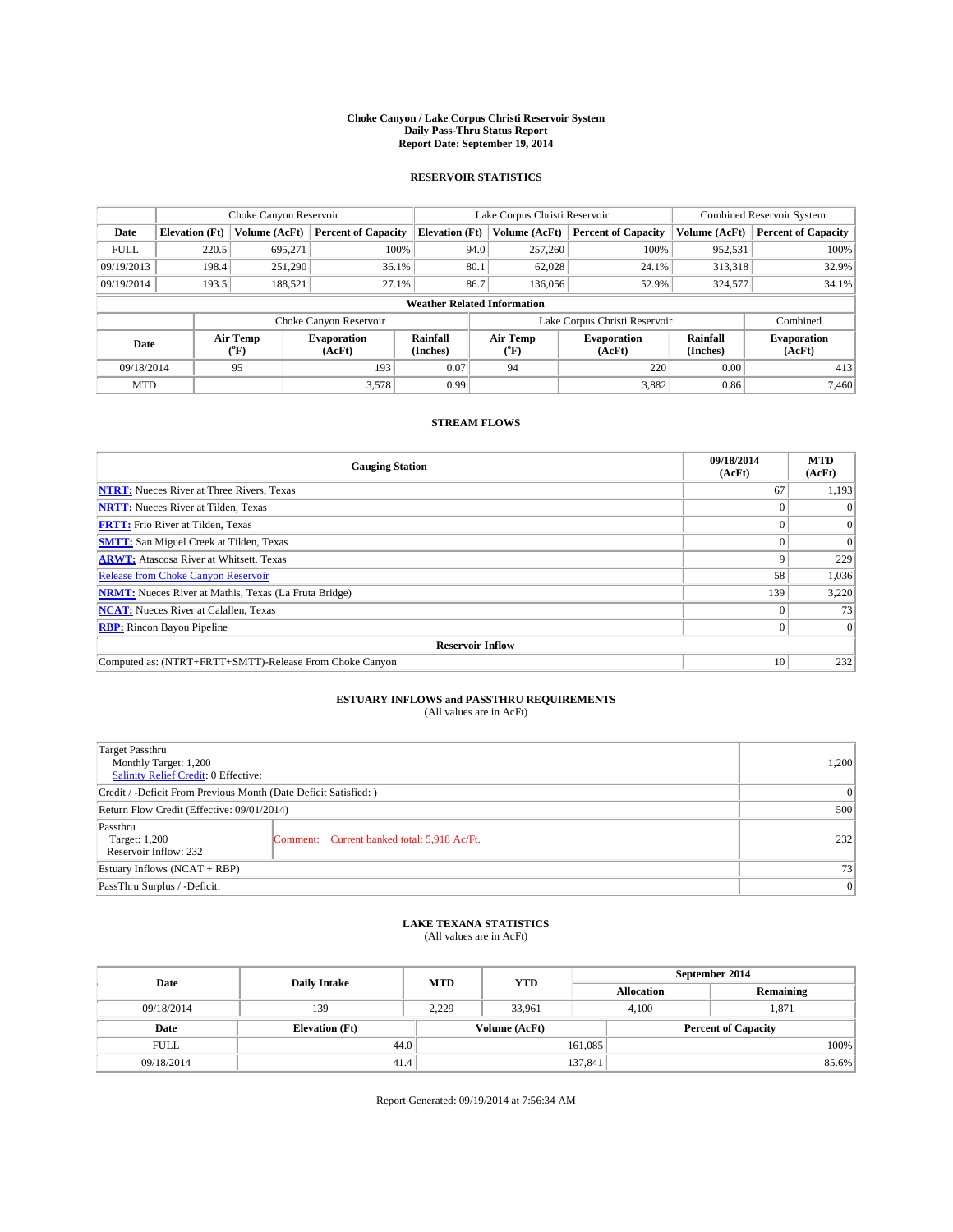#### **Choke Canyon / Lake Corpus Christi Reservoir System Daily Pass-Thru Status Report Report Date: September 19, 2014**

### **RESERVOIR STATISTICS**

|             | Choke Canyon Reservoir             |                  | Lake Corpus Christi Reservoir |                       | <b>Combined Reservoir System</b> |         |                               |                      |                              |
|-------------|------------------------------------|------------------|-------------------------------|-----------------------|----------------------------------|---------|-------------------------------|----------------------|------------------------------|
| Date        | <b>Elevation</b> (Ft)              | Volume (AcFt)    | <b>Percent of Capacity</b>    | <b>Elevation (Ft)</b> | Volume (AcFt)                    |         | <b>Percent of Capacity</b>    | Volume (AcFt)        | <b>Percent of Capacity</b>   |
| <b>FULL</b> | 220.5                              | 695,271          | 100%                          | 94.0                  |                                  | 257,260 | 100%                          | 952,531              | 100%                         |
| 09/19/2013  | 198.4                              | 251,290          | 36.1%                         | 80.1                  |                                  | 62,028  | 24.1%                         | 313,318              | 32.9%                        |
| 09/19/2014  | 193.5                              | 188,521          | 27.1%                         | 86.7                  |                                  | 136,056 | 52.9%                         | 324,577              | 34.1%                        |
|             | <b>Weather Related Information</b> |                  |                               |                       |                                  |         |                               |                      |                              |
|             |                                    |                  | Choke Canyon Reservoir        |                       |                                  |         | Lake Corpus Christi Reservoir |                      | Combined                     |
| Date        |                                    | Air Temp<br>(°F) | <b>Evaporation</b><br>(AcFt)  | Rainfall<br>(Inches)  | Air Temp<br>$(^{0}F)$            |         | <b>Evaporation</b><br>(AcFt)  | Rainfall<br>(Inches) | <b>Evaporation</b><br>(AcFt) |
| 09/18/2014  |                                    | 95               | 193                           |                       | 94                               |         | 220                           | 0.00                 | 413                          |
| <b>MTD</b>  |                                    |                  | 3,578                         | 0.99                  |                                  |         | 3,882                         | 0.86                 | 7.460                        |

### **STREAM FLOWS**

| <b>Gauging Station</b>                                       | 09/18/2014<br>(AcFt) | <b>MTD</b><br>(AcFt) |  |  |  |  |
|--------------------------------------------------------------|----------------------|----------------------|--|--|--|--|
| <b>NTRT:</b> Nueces River at Three Rivers, Texas             | 67                   | 1,193                |  |  |  |  |
| <b>NRTT:</b> Nueces River at Tilden, Texas                   |                      |                      |  |  |  |  |
| <b>FRTT:</b> Frio River at Tilden, Texas                     |                      | $\Omega$             |  |  |  |  |
| <b>SMTT:</b> San Miguel Creek at Tilden, Texas               |                      | $\Omega$             |  |  |  |  |
| <b>ARWT:</b> Atascosa River at Whitsett, Texas               | Q                    | 229                  |  |  |  |  |
| <b>Release from Choke Canyon Reservoir</b>                   | 58                   | 1,036                |  |  |  |  |
| <b>NRMT:</b> Nueces River at Mathis, Texas (La Fruta Bridge) | 139                  | 3,220                |  |  |  |  |
| <b>NCAT:</b> Nueces River at Calallen, Texas                 |                      | 73                   |  |  |  |  |
| <b>RBP:</b> Rincon Bayou Pipeline                            | $\Omega$             | $\Omega$             |  |  |  |  |
| <b>Reservoir Inflow</b>                                      |                      |                      |  |  |  |  |
| Computed as: (NTRT+FRTT+SMTT)-Release From Choke Canyon      | 10                   | 232                  |  |  |  |  |

# **ESTUARY INFLOWS and PASSTHRU REQUIREMENTS**<br>(All values are in AcFt)

| Target Passthru<br>Monthly Target: 1,200<br>Salinity Relief Credit: 0 Effective: |                                             | 1,200 |  |  |
|----------------------------------------------------------------------------------|---------------------------------------------|-------|--|--|
| Credit / -Deficit From Previous Month (Date Deficit Satisfied: )                 |                                             |       |  |  |
| Return Flow Credit (Effective: 09/01/2014)                                       |                                             |       |  |  |
| Passthru<br>Target: 1,200<br>Reservoir Inflow: 232                               | Comment: Current banked total: 5,918 Ac/Ft. | 232   |  |  |
| Estuary Inflows (NCAT + RBP)                                                     |                                             |       |  |  |
| PassThru Surplus / -Deficit:                                                     | 0                                           |       |  |  |

## **LAKE TEXANA STATISTICS** (All values are in AcFt)

| Date        | <b>Daily Intake</b>   | <b>MTD</b> | <b>YTD</b>    | September 2014             |                |           |  |
|-------------|-----------------------|------------|---------------|----------------------------|----------------|-----------|--|
|             |                       |            |               | <b>Allocation</b>          |                | Remaining |  |
| 09/18/2014  | 139                   | 2.229      | 33,961        |                            | 1.871<br>4.100 |           |  |
| Date        | <b>Elevation</b> (Ft) |            | Volume (AcFt) | <b>Percent of Capacity</b> |                |           |  |
| <b>FULL</b> |                       | 44.0       |               | 161,085                    |                | 100%      |  |
| 09/18/2014  | 41.4                  |            |               | 137,841                    |                | 85.6%     |  |

Report Generated: 09/19/2014 at 7:56:34 AM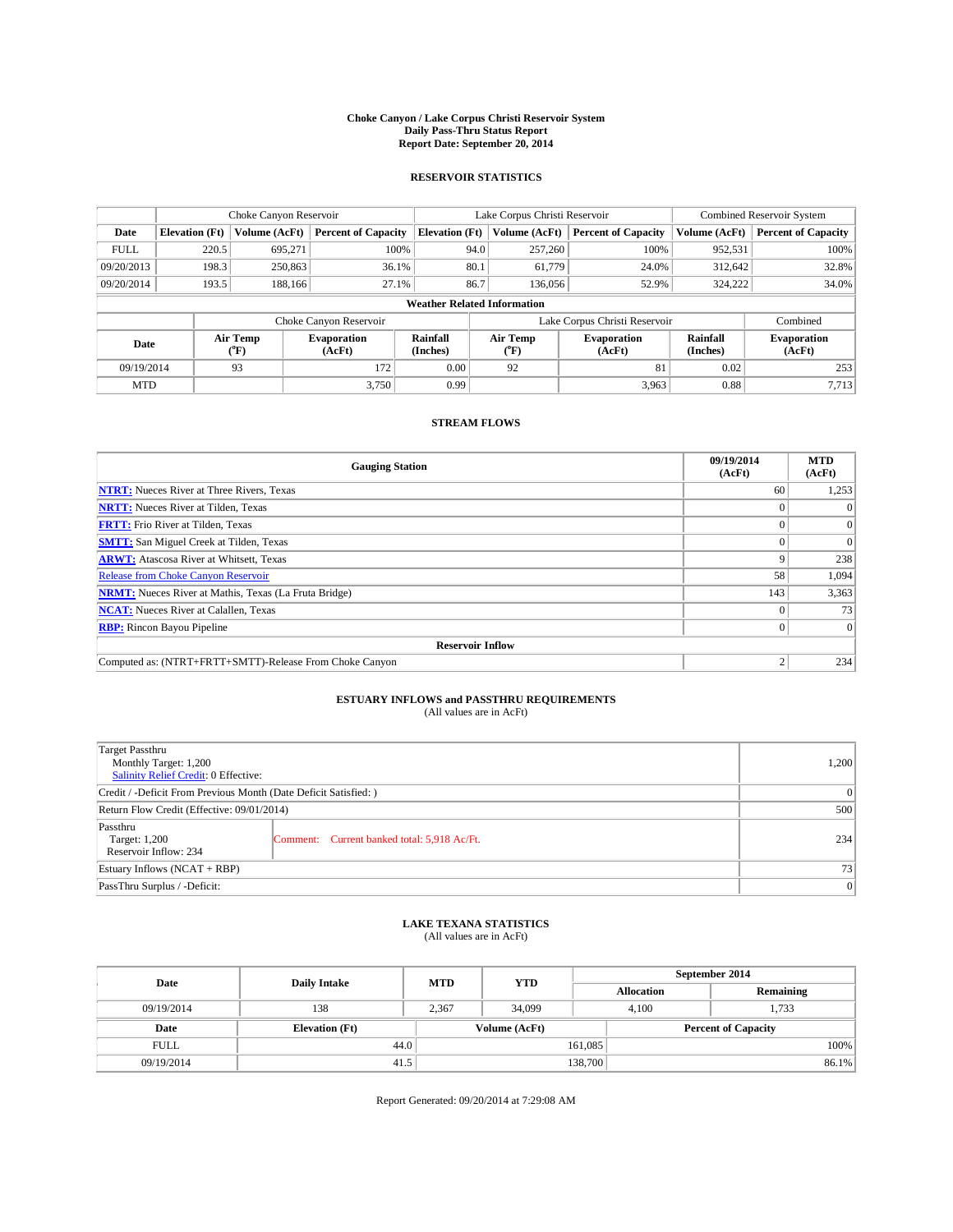#### **Choke Canyon / Lake Corpus Christi Reservoir System Daily Pass-Thru Status Report Report Date: September 20, 2014**

### **RESERVOIR STATISTICS**

|             |                                    | Choke Canyon Reservoir |                              |                       | Lake Corpus Christi Reservoir | Combined Reservoir System     |                      |                              |  |
|-------------|------------------------------------|------------------------|------------------------------|-----------------------|-------------------------------|-------------------------------|----------------------|------------------------------|--|
| Date        | <b>Elevation</b> (Ft)              | Volume (AcFt)          | <b>Percent of Capacity</b>   | <b>Elevation (Ft)</b> | Volume (AcFt)                 | <b>Percent of Capacity</b>    | Volume (AcFt)        | <b>Percent of Capacity</b>   |  |
| <b>FULL</b> | 220.5                              | 695.271                | 100%                         | 94.0                  | 257,260                       | 100%                          | 952,531              | 100%                         |  |
| 09/20/2013  | 198.3                              | 250,863                | 36.1%                        | 80.1                  | 61,779                        | 24.0%                         | 312,642              | 32.8%                        |  |
| 09/20/2014  | 193.5                              | 188,166                | 27.1%                        | 86.7                  | 136,056                       | 52.9%                         | 324.222              | 34.0%                        |  |
|             | <b>Weather Related Information</b> |                        |                              |                       |                               |                               |                      |                              |  |
|             |                                    |                        | Choke Canyon Reservoir       |                       |                               | Lake Corpus Christi Reservoir |                      | Combined                     |  |
| Date        |                                    | Air Temp<br>(°F)       | <b>Evaporation</b><br>(AcFt) | Rainfall<br>(Inches)  | Air Temp<br>$(^{0}F)$         | <b>Evaporation</b><br>(AcFt)  | Rainfall<br>(Inches) | <b>Evaporation</b><br>(AcFt) |  |
| 09/19/2014  |                                    | 93<br>172              |                              | 0.00                  | 92                            | 81                            | 0.02                 | 253                          |  |
| <b>MTD</b>  |                                    |                        | 3.750                        | 0.99                  |                               | 3,963                         | 0.88                 | 7,713                        |  |

### **STREAM FLOWS**

| <b>Gauging Station</b>                                       | 09/19/2014<br>(AcFt) | <b>MTD</b><br>(AcFt) |  |  |  |  |
|--------------------------------------------------------------|----------------------|----------------------|--|--|--|--|
| <b>NTRT:</b> Nueces River at Three Rivers, Texas             | 60                   | 1,253                |  |  |  |  |
| <b>NRTT:</b> Nueces River at Tilden, Texas                   |                      | $\theta$             |  |  |  |  |
| <b>FRTT:</b> Frio River at Tilden, Texas                     |                      | $\Omega$             |  |  |  |  |
| <b>SMTT:</b> San Miguel Creek at Tilden, Texas               |                      | $\Omega$             |  |  |  |  |
| <b>ARWT:</b> Atascosa River at Whitsett, Texas               | Q                    | 238                  |  |  |  |  |
| <b>Release from Choke Canyon Reservoir</b>                   | 58                   | 1,094                |  |  |  |  |
| <b>NRMT:</b> Nueces River at Mathis, Texas (La Fruta Bridge) | 143                  | 3,363                |  |  |  |  |
| <b>NCAT:</b> Nueces River at Calallen, Texas                 |                      | 73                   |  |  |  |  |
| <b>RBP:</b> Rincon Bayou Pipeline                            | 0                    | $\Omega$             |  |  |  |  |
| <b>Reservoir Inflow</b>                                      |                      |                      |  |  |  |  |
| Computed as: (NTRT+FRTT+SMTT)-Release From Choke Canyon      | h                    | 234                  |  |  |  |  |

# **ESTUARY INFLOWS and PASSTHRU REQUIREMENTS**<br>(All values are in AcFt)

| Target Passthru<br>Monthly Target: 1,200<br>Salinity Relief Credit: 0 Effective: |                                             | 1,200 |  |  |
|----------------------------------------------------------------------------------|---------------------------------------------|-------|--|--|
| Credit / -Deficit From Previous Month (Date Deficit Satisfied: )                 |                                             |       |  |  |
| Return Flow Credit (Effective: 09/01/2014)                                       |                                             |       |  |  |
| Passthru<br>Target: 1,200<br>Reservoir Inflow: 234                               | Comment: Current banked total: 5,918 Ac/Ft. | 234   |  |  |
| Estuary Inflows (NCAT + RBP)                                                     |                                             |       |  |  |
| PassThru Surplus / -Deficit:                                                     | 0                                           |       |  |  |

## **LAKE TEXANA STATISTICS** (All values are in AcFt)

| Date        | <b>Daily Intake</b>   | <b>MTD</b> | <b>YTD</b>    | September 2014             |                |           |  |
|-------------|-----------------------|------------|---------------|----------------------------|----------------|-----------|--|
|             |                       |            |               | <b>Allocation</b>          |                | Remaining |  |
| 09/19/2014  | 138                   | 2.367      | 34,099        |                            | 1,733<br>4.100 |           |  |
| Date        | <b>Elevation</b> (Ft) |            | Volume (AcFt) | <b>Percent of Capacity</b> |                |           |  |
| <b>FULL</b> | 44.0                  |            |               | 161,085                    |                | 100%      |  |
| 09/19/2014  | 41.5                  |            |               | 138,700                    |                | 86.1%     |  |

Report Generated: 09/20/2014 at 7:29:08 AM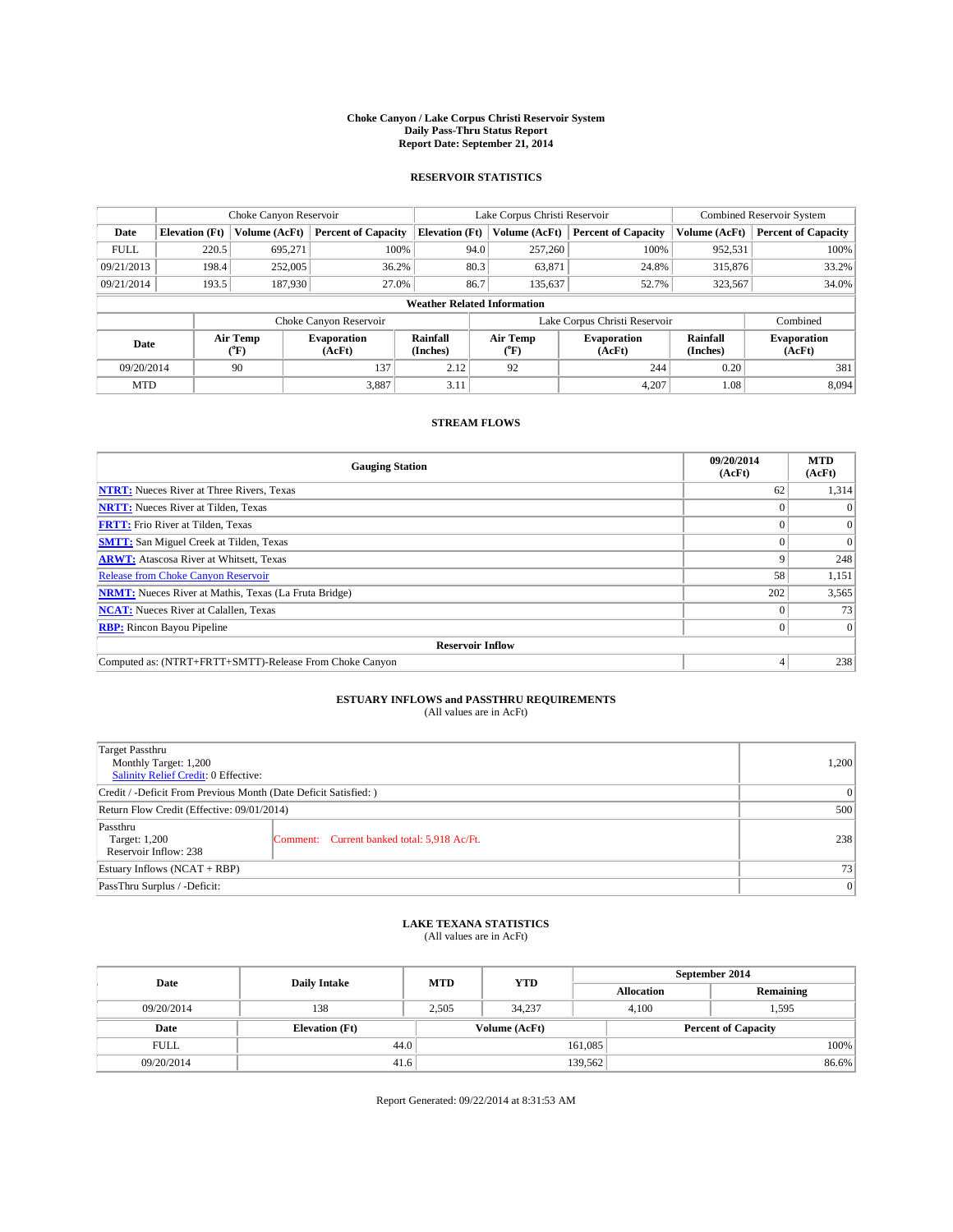#### **Choke Canyon / Lake Corpus Christi Reservoir System Daily Pass-Thru Status Report Report Date: September 21, 2014**

### **RESERVOIR STATISTICS**

|             |                                    | Choke Canyon Reservoir |                              |                       | Lake Corpus Christi Reservoir | <b>Combined Reservoir System</b> |                      |                              |  |
|-------------|------------------------------------|------------------------|------------------------------|-----------------------|-------------------------------|----------------------------------|----------------------|------------------------------|--|
| Date        | <b>Elevation</b> (Ft)              | Volume (AcFt)          | <b>Percent of Capacity</b>   | <b>Elevation (Ft)</b> | Volume (AcFt)                 | <b>Percent of Capacity</b>       | Volume (AcFt)        | <b>Percent of Capacity</b>   |  |
| <b>FULL</b> | 220.5                              | 695.271                | 100%                         | 94.0                  | 257,260                       | 100%                             | 952,531              | 100%                         |  |
| 09/21/2013  | 198.4                              | 252,005                | 36.2%                        | 80.3                  | 63,871                        | 24.8%                            | 315,876              | 33.2%                        |  |
| 09/21/2014  | 193.5                              | 187,930                | 27.0%                        | 86.7                  | 135.637                       | 52.7%                            | 323,567              | 34.0%                        |  |
|             | <b>Weather Related Information</b> |                        |                              |                       |                               |                                  |                      |                              |  |
|             |                                    |                        | Choke Canyon Reservoir       |                       |                               | Lake Corpus Christi Reservoir    |                      | Combined                     |  |
| Date        |                                    | Air Temp<br>(°F)       | <b>Evaporation</b><br>(AcFt) | Rainfall<br>(Inches)  | Air Temp<br>$(^{0}F)$         | <b>Evaporation</b><br>(AcFt)     | Rainfall<br>(Inches) | <b>Evaporation</b><br>(AcFt) |  |
| 09/20/2014  |                                    | 90                     | 137                          | 2.12                  | 92                            | 244                              | 0.20                 | 381                          |  |
| <b>MTD</b>  |                                    |                        | 3.887                        | 3.11                  |                               | 4,207                            | 1.08                 | 8.094                        |  |

### **STREAM FLOWS**

| <b>Gauging Station</b>                                       | 09/20/2014<br>(AcFt) | <b>MTD</b><br>(AcFt) |  |  |  |  |
|--------------------------------------------------------------|----------------------|----------------------|--|--|--|--|
| <b>NTRT:</b> Nueces River at Three Rivers, Texas             | 62                   | 1,314                |  |  |  |  |
| <b>NRTT:</b> Nueces River at Tilden, Texas                   |                      |                      |  |  |  |  |
| <b>FRTT:</b> Frio River at Tilden, Texas                     |                      | $\Omega$             |  |  |  |  |
| <b>SMTT:</b> San Miguel Creek at Tilden, Texas               |                      | $\Omega$             |  |  |  |  |
| <b>ARWT:</b> Atascosa River at Whitsett, Texas               |                      | 248                  |  |  |  |  |
| <b>Release from Choke Canyon Reservoir</b>                   | 58                   | 1,151                |  |  |  |  |
| <b>NRMT:</b> Nueces River at Mathis, Texas (La Fruta Bridge) | 202                  | 3,565                |  |  |  |  |
| <b>NCAT:</b> Nueces River at Calallen, Texas                 |                      | 73                   |  |  |  |  |
| <b>RBP:</b> Rincon Bayou Pipeline                            | 0                    | $\Omega$             |  |  |  |  |
| <b>Reservoir Inflow</b>                                      |                      |                      |  |  |  |  |
| Computed as: (NTRT+FRTT+SMTT)-Release From Choke Canyon      |                      | 238                  |  |  |  |  |

# **ESTUARY INFLOWS and PASSTHRU REQUIREMENTS**<br>(All values are in AcFt)

| Target Passthru<br>Monthly Target: 1,200<br>Salinity Relief Credit: 0 Effective: |                                             | 1.200 |  |  |
|----------------------------------------------------------------------------------|---------------------------------------------|-------|--|--|
| Credit / -Deficit From Previous Month (Date Deficit Satisfied: )                 |                                             |       |  |  |
| Return Flow Credit (Effective: 09/01/2014)                                       |                                             |       |  |  |
| Passthru<br>Target: 1,200<br>Reservoir Inflow: 238                               | Comment: Current banked total: 5,918 Ac/Ft. | 238   |  |  |
| Estuary Inflows (NCAT + RBP)                                                     |                                             |       |  |  |
| PassThru Surplus / -Deficit:                                                     | 0                                           |       |  |  |

## **LAKE TEXANA STATISTICS** (All values are in AcFt)

| Date        | <b>Daily Intake</b>   | <b>MTD</b> | <b>YTD</b>    | September 2014             |                |           |  |
|-------------|-----------------------|------------|---------------|----------------------------|----------------|-----------|--|
|             |                       |            |               | <b>Allocation</b>          |                | Remaining |  |
| 09/20/2014  | 138                   | 2.505      | 34,237        |                            | 1,595<br>4.100 |           |  |
| Date        | <b>Elevation</b> (Ft) |            | Volume (AcFt) | <b>Percent of Capacity</b> |                |           |  |
| <b>FULL</b> | 44.0                  |            |               | 161,085                    |                | 100%      |  |
| 09/20/2014  | 41.6                  |            |               | 139,562                    |                | 86.6%     |  |

Report Generated: 09/22/2014 at 8:31:53 AM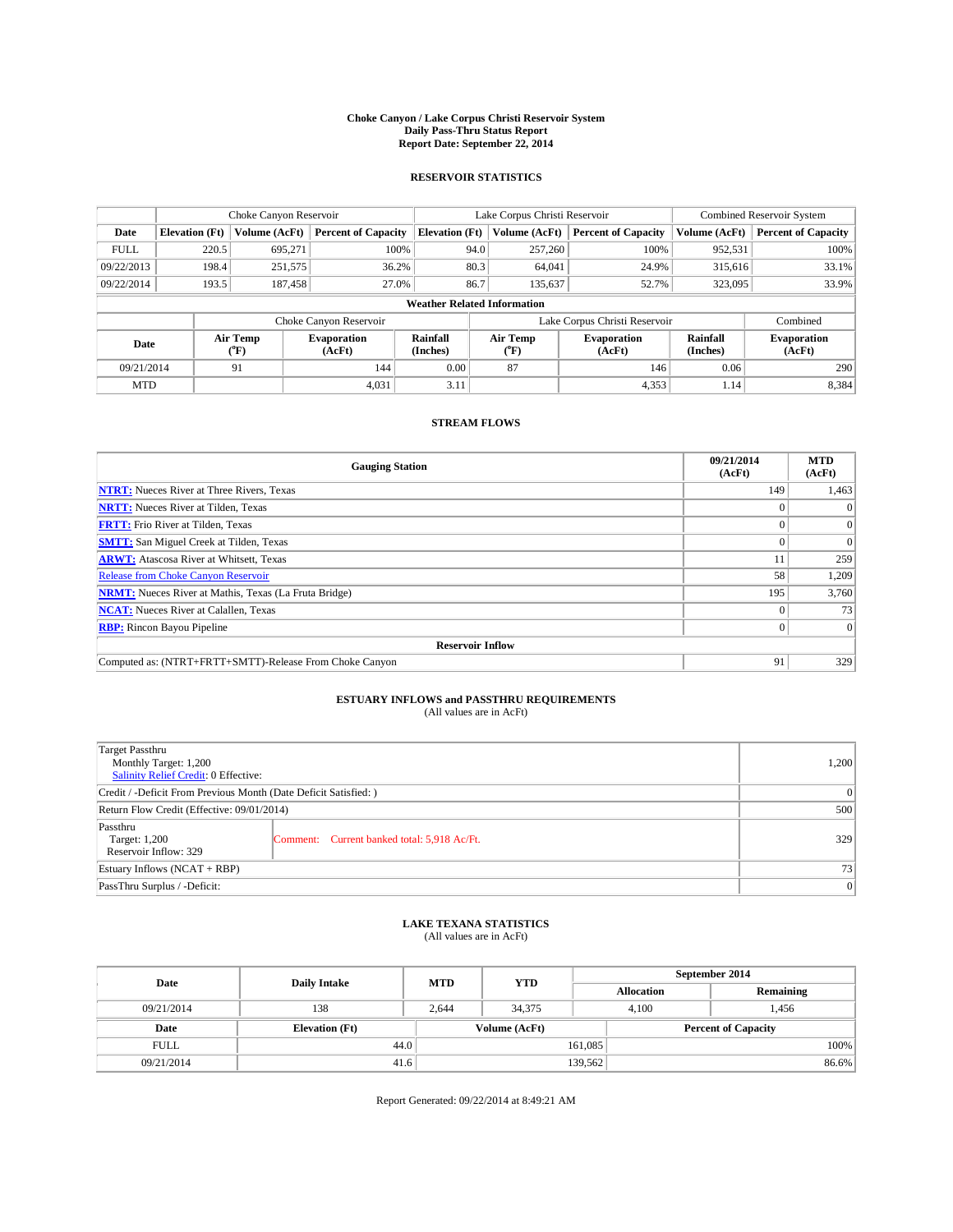#### **Choke Canyon / Lake Corpus Christi Reservoir System Daily Pass-Thru Status Report Report Date: September 22, 2014**

### **RESERVOIR STATISTICS**

|             |                                    | Choke Canyon Reservoir |                              |                       | Lake Corpus Christi Reservoir | <b>Combined Reservoir System</b> |                      |                              |  |  |
|-------------|------------------------------------|------------------------|------------------------------|-----------------------|-------------------------------|----------------------------------|----------------------|------------------------------|--|--|
| Date        | <b>Elevation</b> (Ft)              | Volume (AcFt)          | <b>Percent of Capacity</b>   | <b>Elevation (Ft)</b> | Volume (AcFt)                 | <b>Percent of Capacity</b>       | Volume (AcFt)        | <b>Percent of Capacity</b>   |  |  |
| <b>FULL</b> | 220.5                              | 695,271                | 100%                         | 94.0                  | 257,260                       | 100%                             | 952,531              | 100%                         |  |  |
| 09/22/2013  | 198.4                              | 251,575                | 36.2%                        | 80.3                  | 64,041                        | 24.9%                            | 315,616              | 33.1%                        |  |  |
| 09/22/2014  | 193.5                              | 187,458                | 27.0%                        | 86.7                  | 135.637                       | 52.7%                            | 323,095              | 33.9%                        |  |  |
|             | <b>Weather Related Information</b> |                        |                              |                       |                               |                                  |                      |                              |  |  |
|             |                                    |                        | Choke Canyon Reservoir       |                       | Lake Corpus Christi Reservoir |                                  | Combined             |                              |  |  |
| Date        | Air Temp<br>(°F)                   |                        | <b>Evaporation</b><br>(AcFt) | Rainfall<br>(Inches)  | Air Temp<br>$(^{0}F)$         | <b>Evaporation</b><br>(AcFt)     | Rainfall<br>(Inches) | <b>Evaporation</b><br>(AcFt) |  |  |
| 09/21/2014  |                                    | 91                     | 144                          | 0.00                  | 87                            | 146                              | 0.06                 | 290                          |  |  |
| <b>MTD</b>  |                                    |                        | 4.031                        | 3.11                  |                               | 4,353                            | 1.14                 | 8,384                        |  |  |

### **STREAM FLOWS**

| <b>Gauging Station</b>                                       | 09/21/2014<br>(AcFt) | <b>MTD</b><br>(AcFt) |
|--------------------------------------------------------------|----------------------|----------------------|
| <b>NTRT:</b> Nueces River at Three Rivers, Texas             | 149                  | 1,463                |
| <b>NRTT:</b> Nueces River at Tilden, Texas                   |                      | $\Omega$             |
| <b>FRTT:</b> Frio River at Tilden, Texas                     | $\Omega$             | $\overline{0}$       |
| <b>SMTT:</b> San Miguel Creek at Tilden, Texas               |                      | $\Omega$             |
| <b>ARWT:</b> Atascosa River at Whitsett, Texas               |                      | 259                  |
| <b>Release from Choke Canyon Reservoir</b>                   | 58                   | 1,209                |
| <b>NRMT:</b> Nueces River at Mathis, Texas (La Fruta Bridge) | 195                  | 3,760                |
| <b>NCAT:</b> Nueces River at Calallen, Texas                 |                      | 73                   |
| <b>RBP:</b> Rincon Bayou Pipeline                            | $\Omega$             | $\Omega$             |
| <b>Reservoir Inflow</b>                                      |                      |                      |
| Computed as: (NTRT+FRTT+SMTT)-Release From Choke Canyon      | 91                   | 329                  |

# **ESTUARY INFLOWS and PASSTHRU REQUIREMENTS**<br>(All values are in AcFt)

| Target Passthru<br>Monthly Target: 1,200<br>Salinity Relief Credit: 0 Effective: |                                             | 1,200 |  |  |
|----------------------------------------------------------------------------------|---------------------------------------------|-------|--|--|
| Credit / -Deficit From Previous Month (Date Deficit Satisfied: )                 |                                             |       |  |  |
| Return Flow Credit (Effective: 09/01/2014)                                       |                                             |       |  |  |
| Passthru<br>Target: 1,200<br>Reservoir Inflow: 329                               | Comment: Current banked total: 5,918 Ac/Ft. | 329   |  |  |
| Estuary Inflows (NCAT + RBP)                                                     |                                             |       |  |  |
| PassThru Surplus / -Deficit:                                                     |                                             |       |  |  |

## **LAKE TEXANA STATISTICS** (All values are in AcFt)

| Date        | <b>Daily Intake</b>   | <b>MTD</b> | <b>YTD</b>    | September 2014    |                            |           |       |  |
|-------------|-----------------------|------------|---------------|-------------------|----------------------------|-----------|-------|--|
|             |                       |            |               | <b>Allocation</b> |                            | Remaining |       |  |
| 09/21/2014  | 138                   | 2.644      | 34,375        | 4.100             |                            | 1,456     |       |  |
| Date        | <b>Elevation</b> (Ft) |            | Volume (AcFt) |                   | <b>Percent of Capacity</b> |           |       |  |
| <b>FULL</b> | 44.0                  |            |               | 161,085           |                            |           | 100%  |  |
| 09/21/2014  | 41.6                  |            |               | 139,562           |                            |           | 86.6% |  |

Report Generated: 09/22/2014 at 8:49:21 AM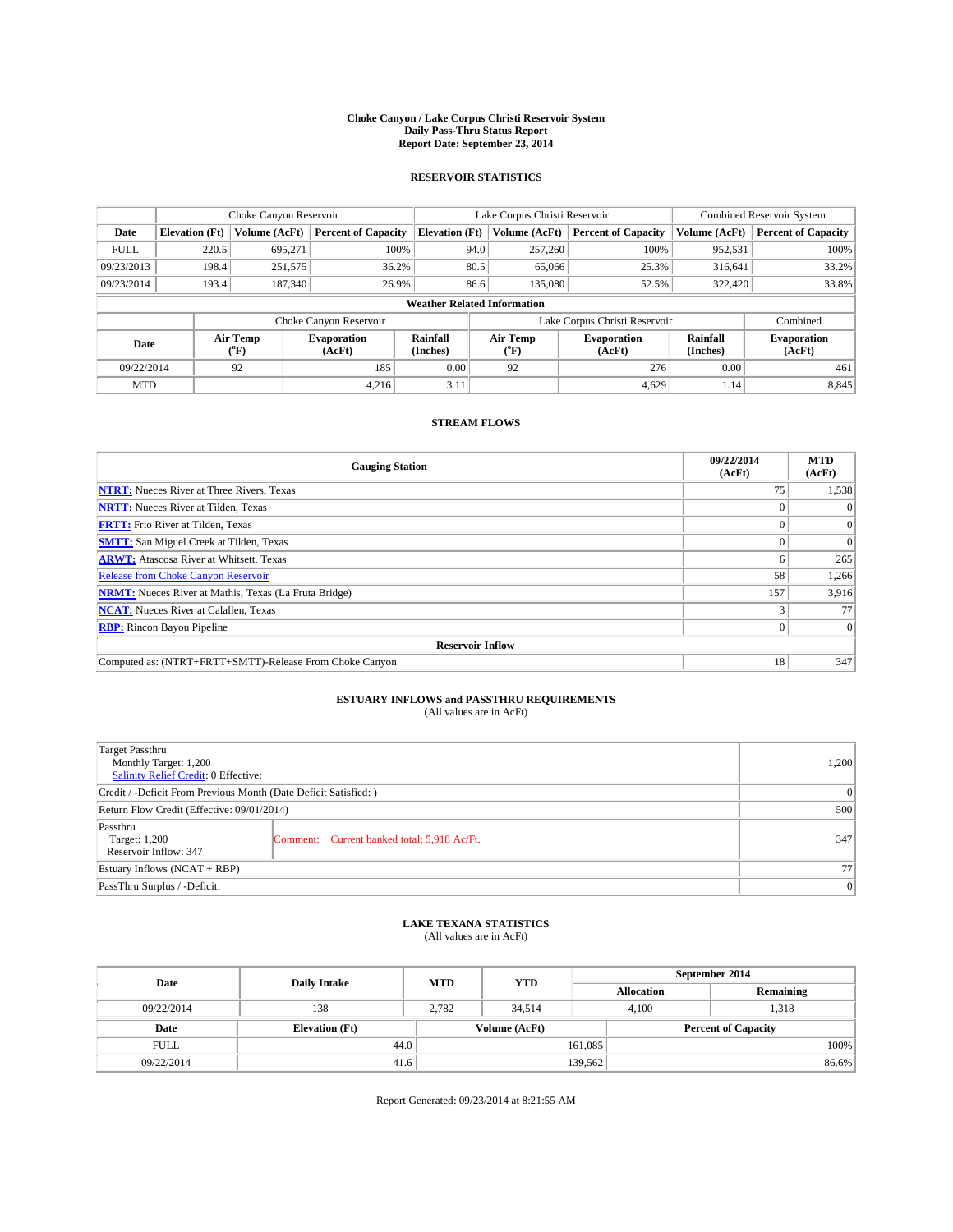#### **Choke Canyon / Lake Corpus Christi Reservoir System Daily Pass-Thru Status Report Report Date: September 23, 2014**

### **RESERVOIR STATISTICS**

|             |                                    | Choke Canyon Reservoir |                              |                       | Lake Corpus Christi Reservoir | Combined Reservoir System    |                      |                              |  |  |
|-------------|------------------------------------|------------------------|------------------------------|-----------------------|-------------------------------|------------------------------|----------------------|------------------------------|--|--|
| Date        | <b>Elevation</b> (Ft)              | Volume (AcFt)          | <b>Percent of Capacity</b>   | <b>Elevation (Ft)</b> | Volume (AcFt)                 | <b>Percent of Capacity</b>   | Volume (AcFt)        | <b>Percent of Capacity</b>   |  |  |
| <b>FULL</b> | 220.5                              | 695.271                | 100%                         | 94.0                  | 257,260                       | 100%                         | 952,531              | 100%                         |  |  |
| 09/23/2013  | 198.4                              | 251,575                | 36.2%                        | 80.5                  | 65,066                        | 25.3%                        | 316,641              | 33.2%                        |  |  |
| 09/23/2014  | 193.4                              | 187,340                | 26.9%                        | 86.6                  | 135,080                       | 52.5%                        | 322,420              | 33.8%                        |  |  |
|             | <b>Weather Related Information</b> |                        |                              |                       |                               |                              |                      |                              |  |  |
|             |                                    |                        | Choke Canyon Reservoir       |                       | Lake Corpus Christi Reservoir |                              | Combined             |                              |  |  |
| Date        |                                    | Air Temp<br>(°F)       | <b>Evaporation</b><br>(AcFt) | Rainfall<br>(Inches)  | Air Temp<br>$(^{0}F)$         | <b>Evaporation</b><br>(AcFt) | Rainfall<br>(Inches) | <b>Evaporation</b><br>(AcFt) |  |  |
| 09/22/2014  |                                    | 92                     | 185                          | 0.00                  | 92                            | 276                          | 0.00                 | 461                          |  |  |
| <b>MTD</b>  |                                    |                        | 4.216                        | 3.11                  |                               | 4,629                        | 1.14                 | 8,845                        |  |  |

### **STREAM FLOWS**

| <b>Gauging Station</b>                                       | 09/22/2014<br>(AcFt) | <b>MTD</b><br>(AcFt) |  |  |  |  |  |
|--------------------------------------------------------------|----------------------|----------------------|--|--|--|--|--|
| <b>NTRT:</b> Nueces River at Three Rivers, Texas             | 75                   | 1,538                |  |  |  |  |  |
| <b>NRTT:</b> Nueces River at Tilden, Texas                   |                      |                      |  |  |  |  |  |
| <b>FRTT:</b> Frio River at Tilden, Texas                     |                      | $\Omega$             |  |  |  |  |  |
| <b>SMTT:</b> San Miguel Creek at Tilden, Texas               |                      | $\Omega$             |  |  |  |  |  |
| <b>ARWT:</b> Atascosa River at Whitsett, Texas               |                      | 265                  |  |  |  |  |  |
| <b>Release from Choke Canyon Reservoir</b>                   | 58                   | 1,266                |  |  |  |  |  |
| <b>NRMT:</b> Nueces River at Mathis, Texas (La Fruta Bridge) | 157                  | 3,916                |  |  |  |  |  |
| <b>NCAT:</b> Nueces River at Calallen, Texas                 |                      | 77                   |  |  |  |  |  |
| <b>RBP:</b> Rincon Bayou Pipeline                            | 0                    | $\Omega$             |  |  |  |  |  |
| <b>Reservoir Inflow</b>                                      |                      |                      |  |  |  |  |  |
| Computed as: (NTRT+FRTT+SMTT)-Release From Choke Canyon      | 18                   | 347                  |  |  |  |  |  |

# **ESTUARY INFLOWS and PASSTHRU REQUIREMENTS**<br>(All values are in AcFt)

| Target Passthru<br>Monthly Target: 1,200<br>Salinity Relief Credit: 0 Effective: |                                             | 1.200 |  |  |
|----------------------------------------------------------------------------------|---------------------------------------------|-------|--|--|
| Credit / -Deficit From Previous Month (Date Deficit Satisfied: )                 |                                             |       |  |  |
| Return Flow Credit (Effective: 09/01/2014)                                       |                                             |       |  |  |
| Passthru<br>Target: 1,200<br>Reservoir Inflow: 347                               | Comment: Current banked total: 5,918 Ac/Ft. | 347   |  |  |
| Estuary Inflows (NCAT + RBP)                                                     |                                             |       |  |  |
| PassThru Surplus / -Deficit:                                                     | 0                                           |       |  |  |

## **LAKE TEXANA STATISTICS** (All values are in AcFt)

| Date        | <b>Daily Intake</b>   | <b>MTD</b> | <b>YTD</b>    | September 2014    |                            |           |       |  |
|-------------|-----------------------|------------|---------------|-------------------|----------------------------|-----------|-------|--|
|             |                       |            |               | <b>Allocation</b> |                            | Remaining |       |  |
| 09/22/2014  | 138                   | 2.782      | 34.514        | 4.100             |                            | 1.318     |       |  |
| Date        | <b>Elevation</b> (Ft) |            | Volume (AcFt) |                   | <b>Percent of Capacity</b> |           |       |  |
| <b>FULL</b> | 44.0                  |            |               | 161,085           |                            |           | 100%  |  |
| 09/22/2014  | 41.6                  |            |               | 139,562           |                            |           | 86.6% |  |

Report Generated: 09/23/2014 at 8:21:55 AM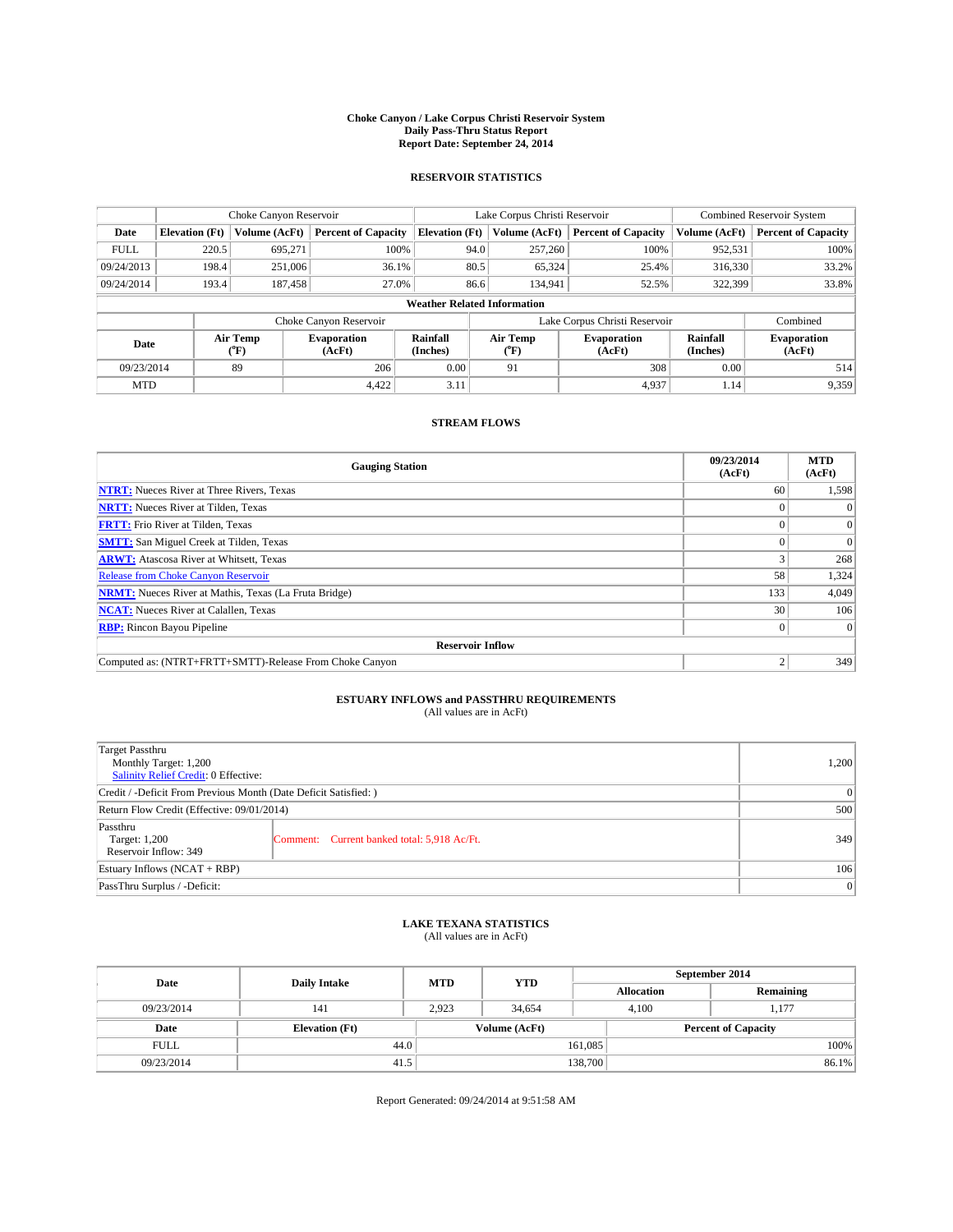#### **Choke Canyon / Lake Corpus Christi Reservoir System Daily Pass-Thru Status Report Report Date: September 24, 2014**

### **RESERVOIR STATISTICS**

|             |                                    | Choke Canyon Reservoir |                              |                       | Lake Corpus Christi Reservoir    | Combined Reservoir System    |                      |                              |  |  |
|-------------|------------------------------------|------------------------|------------------------------|-----------------------|----------------------------------|------------------------------|----------------------|------------------------------|--|--|
| Date        | <b>Elevation</b> (Ft)              | Volume (AcFt)          | <b>Percent of Capacity</b>   | <b>Elevation (Ft)</b> | Volume (AcFt)                    | <b>Percent of Capacity</b>   | Volume (AcFt)        | <b>Percent of Capacity</b>   |  |  |
| <b>FULL</b> | 220.5                              | 695,271                | 100%                         | 94.0                  | 257,260                          | 100%                         | 952,531              | 100%                         |  |  |
| 09/24/2013  | 198.4                              | 251,006                | 36.1%                        | 80.5                  | 65,324                           | 25.4%                        | 316,330              | 33.2%                        |  |  |
| 09/24/2014  | 193.4                              | 187,458                | 27.0%                        | 86.6                  | 134.941                          | 52.5%                        | 322,399              | 33.8%                        |  |  |
|             | <b>Weather Related Information</b> |                        |                              |                       |                                  |                              |                      |                              |  |  |
|             |                                    |                        | Choke Canyon Reservoir       |                       | Lake Corpus Christi Reservoir    |                              | Combined             |                              |  |  |
| Date        |                                    | Air Temp<br>(°F)       | <b>Evaporation</b><br>(AcFt) | Rainfall<br>(Inches)  | Air Temp<br>$(^{\circ}\text{F})$ | <b>Evaporation</b><br>(AcFt) | Rainfall<br>(Inches) | <b>Evaporation</b><br>(AcFt) |  |  |
| 09/23/2014  |                                    | 89                     | 206                          | 0.00                  | 91                               | 308                          | 0.00                 | 514                          |  |  |
| <b>MTD</b>  |                                    |                        | 4.422                        | 3.11                  |                                  | 4.937                        | 1.14                 | 9,359                        |  |  |

### **STREAM FLOWS**

| <b>Gauging Station</b>                                       | 09/23/2014<br>(AcFt) | <b>MTD</b><br>(AcFt) |
|--------------------------------------------------------------|----------------------|----------------------|
| <b>NTRT:</b> Nueces River at Three Rivers, Texas             | 60                   | 1,598                |
| <b>NRTT:</b> Nueces River at Tilden, Texas                   |                      | $\Omega$             |
| <b>FRTT:</b> Frio River at Tilden, Texas                     | 0                    | $\overline{0}$       |
| <b>SMTT:</b> San Miguel Creek at Tilden, Texas               |                      | $\Omega$             |
| <b>ARWT:</b> Atascosa River at Whitsett, Texas               |                      | 268                  |
| <b>Release from Choke Canyon Reservoir</b>                   | 58                   | 1,324                |
| <b>NRMT:</b> Nueces River at Mathis, Texas (La Fruta Bridge) | 133                  | 4,049                |
| <b>NCAT:</b> Nueces River at Calallen, Texas                 | 30                   | 106                  |
| <b>RBP:</b> Rincon Bayou Pipeline                            | $\Omega$             | $\Omega$             |
| <b>Reservoir Inflow</b>                                      |                      |                      |
| Computed as: (NTRT+FRTT+SMTT)-Release From Choke Canyon      |                      | 349                  |

# **ESTUARY INFLOWS and PASSTHRU REQUIREMENTS**<br>(All values are in AcFt)

| Target Passthru<br>Monthly Target: 1,200<br>Salinity Relief Credit: 0 Effective: |                                             | 1.200 |  |  |
|----------------------------------------------------------------------------------|---------------------------------------------|-------|--|--|
| Credit / -Deficit From Previous Month (Date Deficit Satisfied: )                 |                                             |       |  |  |
| Return Flow Credit (Effective: 09/01/2014)                                       |                                             |       |  |  |
| Passthru<br>Target: 1,200<br>Reservoir Inflow: 349                               | Comment: Current banked total: 5,918 Ac/Ft. | 349   |  |  |
| Estuary Inflows (NCAT + RBP)                                                     |                                             |       |  |  |
| PassThru Surplus / -Deficit:                                                     | 0                                           |       |  |  |

## **LAKE TEXANA STATISTICS** (All values are in AcFt)

| Date        | <b>Daily Intake</b>   | <b>MTD</b> | <b>YTD</b>    | September 2014    |                            |           |       |
|-------------|-----------------------|------------|---------------|-------------------|----------------------------|-----------|-------|
|             |                       |            |               | <b>Allocation</b> |                            | Remaining |       |
| 09/23/2014  | 141                   | 2.923      | 34.654        |                   | 4.100<br>1.177             |           |       |
| Date        | <b>Elevation</b> (Ft) |            | Volume (AcFt) |                   | <b>Percent of Capacity</b> |           |       |
| <b>FULL</b> | 44.0                  |            |               | 161,085           |                            |           | 100%  |
| 09/23/2014  | 41.5                  |            |               | 138,700           |                            |           | 86.1% |

Report Generated: 09/24/2014 at 9:51:58 AM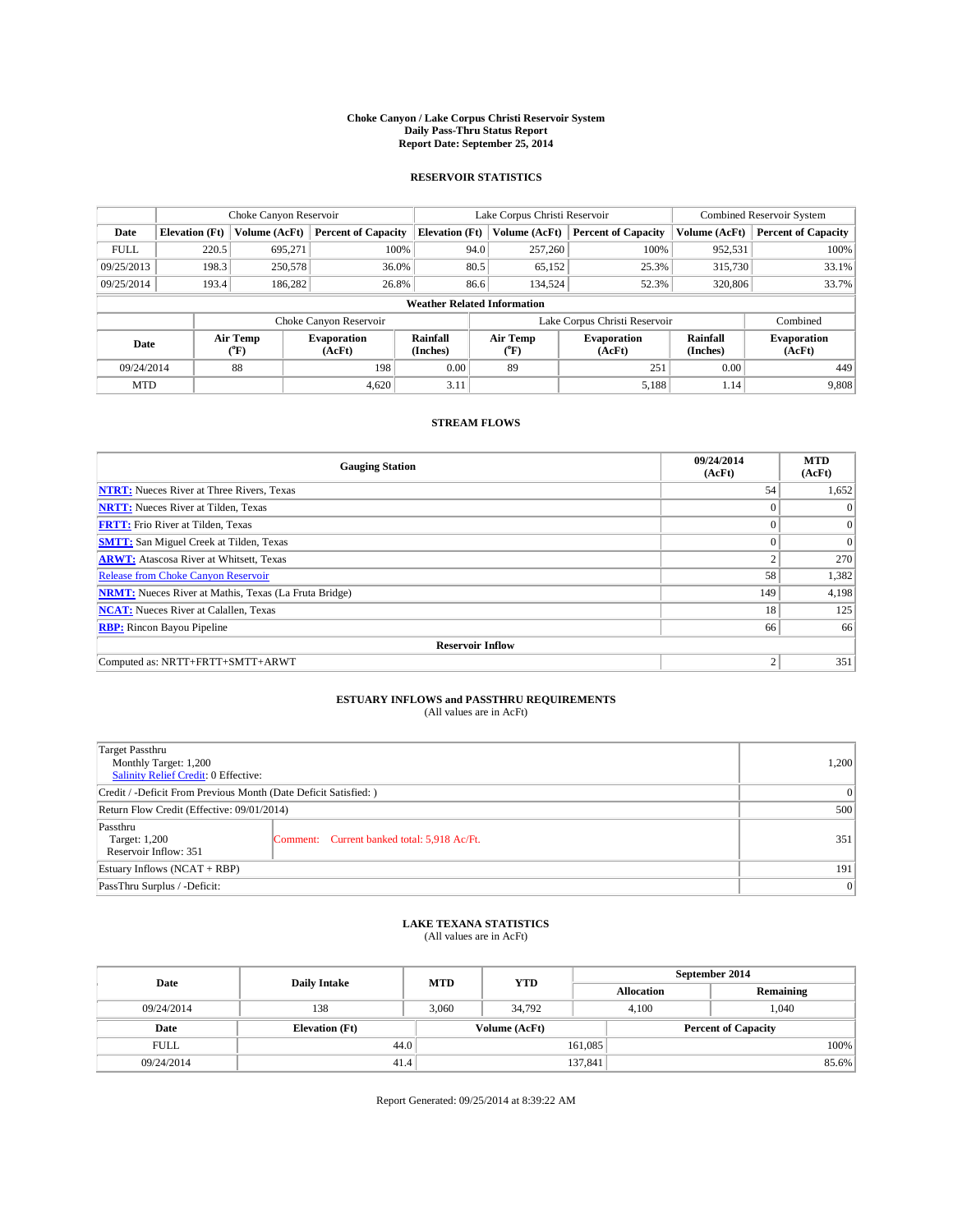#### **Choke Canyon / Lake Corpus Christi Reservoir System Daily Pass-Thru Status Report Report Date: September 25, 2014**

### **RESERVOIR STATISTICS**

|             |                                    | Choke Canyon Reservoir |                              |                       | Lake Corpus Christi Reservoir | <b>Combined Reservoir System</b> |                      |                              |  |
|-------------|------------------------------------|------------------------|------------------------------|-----------------------|-------------------------------|----------------------------------|----------------------|------------------------------|--|
| Date        | <b>Elevation</b> (Ft)              | Volume (AcFt)          | <b>Percent of Capacity</b>   | <b>Elevation (Ft)</b> | Volume (AcFt)                 | <b>Percent of Capacity</b>       | Volume (AcFt)        | Percent of Capacity          |  |
| <b>FULL</b> | 220.5                              | 695,271                | 100%                         | 94.0                  | 257,260                       | 100%                             | 952,531              | 100%                         |  |
| 09/25/2013  | 198.3                              | 250,578                | 36.0%                        | 80.5                  | 65,152                        | 25.3%                            | 315,730              | $33.1\%$                     |  |
| 09/25/2014  | 193.4                              | 186,282                | 26.8%                        | 86.6                  | 134,524                       | 52.3%                            | 320,806              | 33.7%                        |  |
|             | <b>Weather Related Information</b> |                        |                              |                       |                               |                                  |                      |                              |  |
|             |                                    |                        | Choke Canyon Reservoir       |                       | Lake Corpus Christi Reservoir | Combined                         |                      |                              |  |
| Date        | Air Temp<br>(°F)                   |                        | <b>Evaporation</b><br>(AcFt) | Rainfall<br>(Inches)  | Air Temp<br>("F)              | <b>Evaporation</b><br>(AcFt)     | Rainfall<br>(Inches) | <b>Evaporation</b><br>(AcFt) |  |
| 09/24/2014  |                                    | 88                     | 198                          | 0.00                  | 89                            | 251                              | 0.00                 | 449                          |  |
| <b>MTD</b>  |                                    |                        | 4.620                        | 3.11                  |                               | 5,188                            | 1.14                 | 9,808                        |  |

### **STREAM FLOWS**

| <b>Gauging Station</b>                                       | 09/24/2014<br>(AcFt) | <b>MTD</b><br>(AcFt) |
|--------------------------------------------------------------|----------------------|----------------------|
| <b>NTRT:</b> Nueces River at Three Rivers, Texas             | 54                   | 1,652                |
| <b>NRTT:</b> Nueces River at Tilden, Texas                   |                      | $\theta$             |
| <b>FRTT:</b> Frio River at Tilden, Texas                     | $\theta$             | $\overline{0}$       |
| <b>SMTT:</b> San Miguel Creek at Tilden, Texas               |                      | $\Omega$             |
| <b>ARWT:</b> Atascosa River at Whitsett, Texas               | $\mathfrak{2}$       | 270                  |
| Release from Choke Canyon Reservoir                          | 58                   | 1,382                |
| <b>NRMT:</b> Nueces River at Mathis, Texas (La Fruta Bridge) | 149                  | 4,198                |
| <b>NCAT:</b> Nueces River at Calallen, Texas                 | 18                   | 125                  |
| <b>RBP:</b> Rincon Bayou Pipeline                            | 66                   | 66                   |
| <b>Reservoir Inflow</b>                                      |                      |                      |
| Computed as: NRTT+FRTT+SMTT+ARWT                             | $\overline{2}$       | 351                  |

## **ESTUARY INFLOWS and PASSTHRU REQUIREMENTS**<br>(All values are in AcFt)

| <b>Target Passthru</b><br>Monthly Target: 1,200<br>Salinity Relief Credit: 0 Effective: |                                             | 1,200 |  |  |
|-----------------------------------------------------------------------------------------|---------------------------------------------|-------|--|--|
| Credit / -Deficit From Previous Month (Date Deficit Satisfied: )                        |                                             |       |  |  |
| Return Flow Credit (Effective: 09/01/2014)                                              |                                             |       |  |  |
| Passthru<br>Target: 1,200<br>Reservoir Inflow: 351                                      | Comment: Current banked total: 5,918 Ac/Ft. | 351   |  |  |
| Estuary Inflows (NCAT + RBP)                                                            |                                             |       |  |  |
| PassThru Surplus / -Deficit:                                                            |                                             |       |  |  |

### **LAKE TEXANA STATISTICS** (All values are in AcFt)

| Date        | <b>Daily Intake</b>   | <b>MTD</b> | <b>YTD</b>    | September 2014    |  |                            |       |  |
|-------------|-----------------------|------------|---------------|-------------------|--|----------------------------|-------|--|
|             |                       |            |               | <b>Allocation</b> |  | Remaining                  |       |  |
| 09/24/2014  | 138                   | 3.060      | 34.792        | 4.100             |  | .040                       |       |  |
| Date        | <b>Elevation</b> (Ft) |            | Volume (AcFt) |                   |  | <b>Percent of Capacity</b> |       |  |
| <b>FULL</b> | 44.0                  |            |               | 161,085           |  |                            | 100%  |  |
| 09/24/2014  | 41.4                  |            |               | 137,841           |  |                            | 85.6% |  |

Report Generated: 09/25/2014 at 8:39:22 AM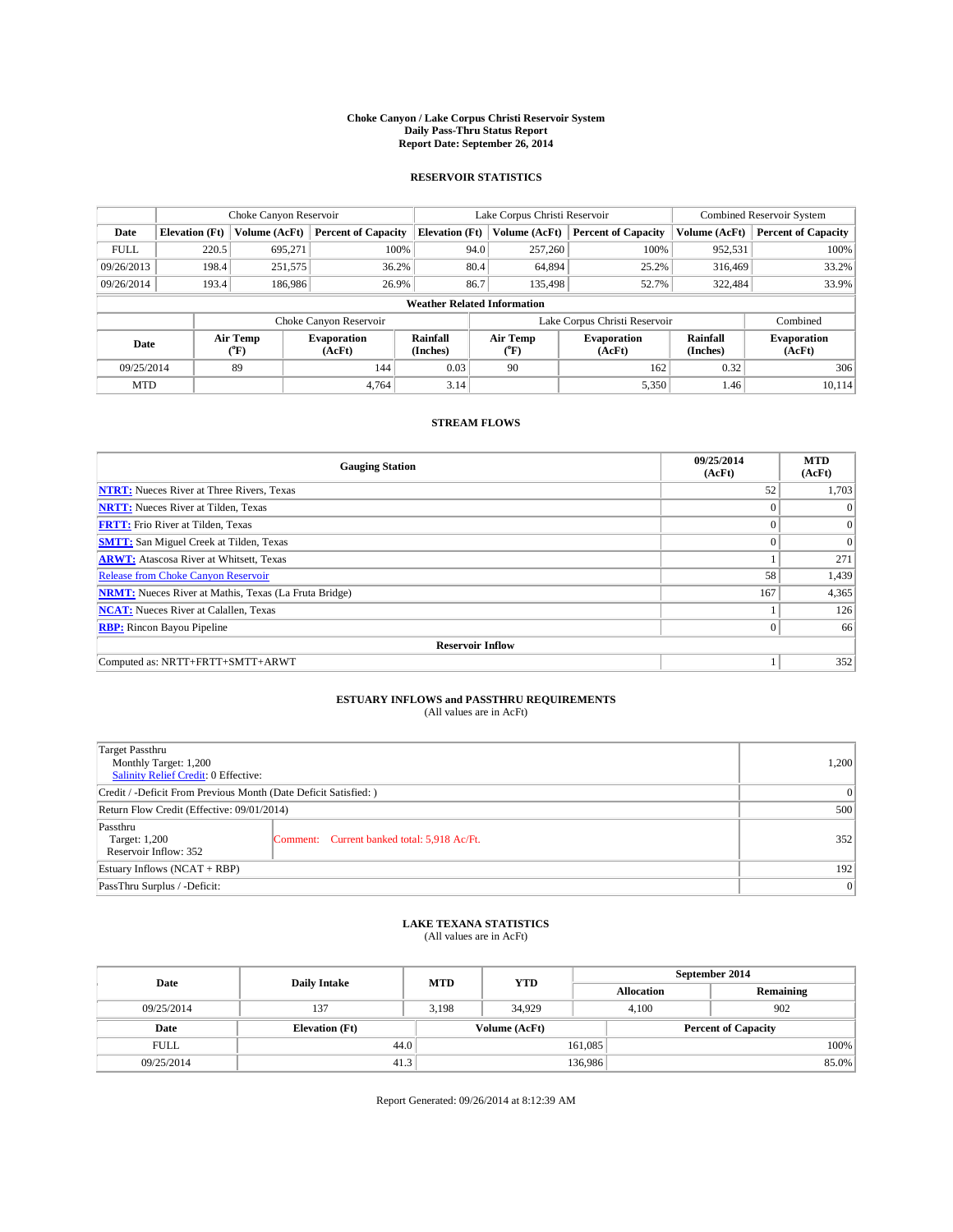#### **Choke Canyon / Lake Corpus Christi Reservoir System Daily Pass-Thru Status Report Report Date: September 26, 2014**

### **RESERVOIR STATISTICS**

|             |                                    | Choke Canyon Reservoir |                              |                       | Lake Corpus Christi Reservoir                    | <b>Combined Reservoir System</b> |                      |                              |  |
|-------------|------------------------------------|------------------------|------------------------------|-----------------------|--------------------------------------------------|----------------------------------|----------------------|------------------------------|--|
| Date        | <b>Elevation</b> (Ft)              | Volume (AcFt)          | <b>Percent of Capacity</b>   | <b>Elevation (Ft)</b> | Volume (AcFt)                                    | <b>Percent of Capacity</b>       | Volume (AcFt)        | <b>Percent of Capacity</b>   |  |
| <b>FULL</b> | 220.5                              | 695,271                | 100%                         | 94.0                  | 257,260                                          | 100%                             | 952,531              | 100%                         |  |
| 09/26/2013  | 198.4                              | 251,575                | 36.2%                        |                       | 80.4<br>64,894                                   | 25.2%                            | 316,469              | 33.2%                        |  |
| 09/26/2014  | 193.4                              | 186,986                | 26.9%                        | 86.7                  | 135,498                                          | 52.7%                            | 322,484              | 33.9%                        |  |
|             | <b>Weather Related Information</b> |                        |                              |                       |                                                  |                                  |                      |                              |  |
|             |                                    |                        | Choke Canyon Reservoir       |                       | Lake Corpus Christi Reservoir                    |                                  |                      |                              |  |
| Date        |                                    | Air Temp<br>(°F)       | <b>Evaporation</b><br>(AcFt) | Rainfall<br>(Inches)  | Air Temp<br><b>Evaporation</b><br>(AcFt)<br>(°F) |                                  | Rainfall<br>(Inches) | <b>Evaporation</b><br>(AcFt) |  |
| 09/25/2014  |                                    | 89                     | 144                          | 0.03                  | 90                                               | 162                              | 0.32                 | 306                          |  |
| <b>MTD</b>  |                                    |                        | 4.764                        | 3.14                  |                                                  | 5,350                            | 1.46                 | 10,114                       |  |

### **STREAM FLOWS**

| <b>Gauging Station</b>                                       | 09/25/2014<br>(AcFt) | <b>MTD</b><br>(AcFt) |
|--------------------------------------------------------------|----------------------|----------------------|
| <b>NTRT:</b> Nueces River at Three Rivers, Texas             | 52                   | 1,703                |
| <b>NRTT:</b> Nueces River at Tilden, Texas                   | $\theta$             | $\theta$             |
| <b>FRTT:</b> Frio River at Tilden, Texas                     |                      | $\overline{0}$       |
| <b>SMTT:</b> San Miguel Creek at Tilden, Texas               | $\theta$             | $\Omega$             |
| <b>ARWT:</b> Atascosa River at Whitsett, Texas               |                      | 271                  |
| <b>Release from Choke Canyon Reservoir</b>                   | 58                   | 1,439                |
| <b>NRMT:</b> Nueces River at Mathis, Texas (La Fruta Bridge) | 167                  | 4,365                |
| <b>NCAT:</b> Nueces River at Calallen, Texas                 |                      | 126                  |
| <b>RBP:</b> Rincon Bayou Pipeline                            | $\Omega$             | 66                   |
| <b>Reservoir Inflow</b>                                      |                      |                      |
| Computed as: NRTT+FRTT+SMTT+ARWT                             |                      | 352                  |

# **ESTUARY INFLOWS and PASSTHRU REQUIREMENTS**<br>(All values are in AcFt)

| Target Passthru<br>Monthly Target: 1,200<br>Salinity Relief Credit: 0 Effective: |                                             | 1,200 |  |  |
|----------------------------------------------------------------------------------|---------------------------------------------|-------|--|--|
| Credit / -Deficit From Previous Month (Date Deficit Satisfied: )                 |                                             |       |  |  |
| Return Flow Credit (Effective: 09/01/2014)                                       |                                             |       |  |  |
| Passthru<br>Target: 1,200<br>Reservoir Inflow: 352                               | Comment: Current banked total: 5,918 Ac/Ft. | 352   |  |  |
| Estuary Inflows (NCAT + RBP)                                                     |                                             |       |  |  |
| PassThru Surplus / -Deficit:                                                     |                                             |       |  |  |

## **LAKE TEXANA STATISTICS** (All values are in AcFt)

| Date        | <b>Daily Intake</b>   | <b>MTD</b> | <b>YTD</b>    | September 2014    |                            |           |       |
|-------------|-----------------------|------------|---------------|-------------------|----------------------------|-----------|-------|
|             |                       |            |               | <b>Allocation</b> |                            | Remaining |       |
| 09/25/2014  | 137                   | 3.198      | 34,929        | 4.100             |                            | 902       |       |
| Date        | <b>Elevation</b> (Ft) |            | Volume (AcFt) |                   | <b>Percent of Capacity</b> |           |       |
| <b>FULL</b> | 44.0                  |            |               | 161,085           |                            |           | 100%  |
| 09/25/2014  | 41.3                  |            |               | 136,986           |                            |           | 85.0% |

Report Generated: 09/26/2014 at 8:12:39 AM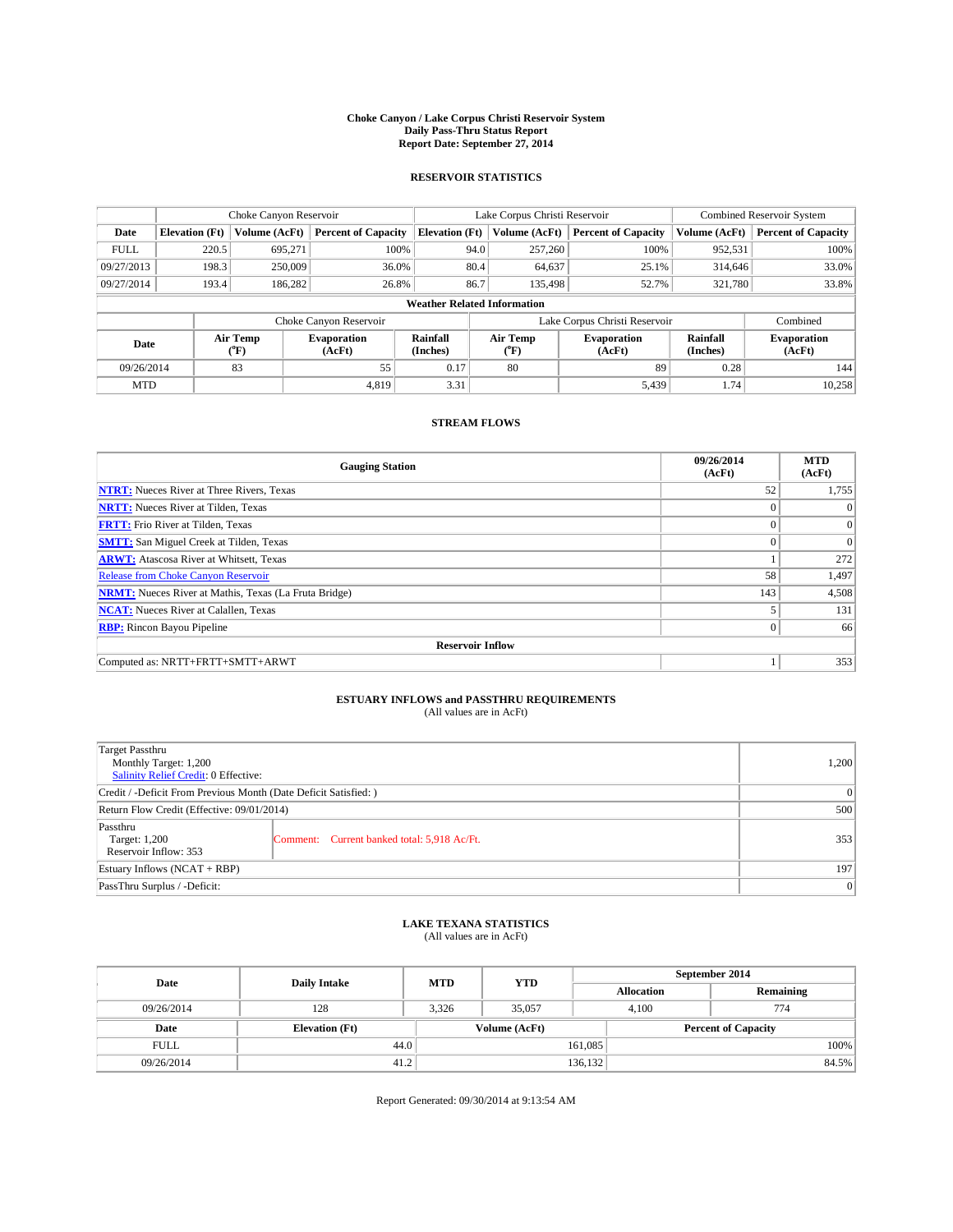#### **Choke Canyon / Lake Corpus Christi Reservoir System Daily Pass-Thru Status Report Report Date: September 27, 2014**

### **RESERVOIR STATISTICS**

|             |                       | Choke Canyon Reservoir |                              |                                    | Lake Corpus Christi Reservoir             | <b>Combined Reservoir System</b> |                      |                              |
|-------------|-----------------------|------------------------|------------------------------|------------------------------------|-------------------------------------------|----------------------------------|----------------------|------------------------------|
| Date        | <b>Elevation</b> (Ft) | Volume (AcFt)          | <b>Percent of Capacity</b>   | <b>Elevation (Ft)</b>              | Volume (AcFt)                             | <b>Percent of Capacity</b>       | Volume (AcFt)        | <b>Percent of Capacity</b>   |
| <b>FULL</b> | 220.5                 | 695.271                | 100%                         | 94.0                               | 257,260                                   | 100%                             | 952,531              | 100%                         |
| 09/27/2013  | 198.3                 | 250,009                | 36.0%                        | 80.4                               | 64,637                                    | 25.1%                            | 314,646              | 33.0%                        |
| 09/27/2014  | 193.4                 | 186,282                | 26.8%                        | 86.7                               | 135,498                                   | 52.7%                            | 321,780              | 33.8%                        |
|             |                       |                        |                              | <b>Weather Related Information</b> |                                           |                                  |                      |                              |
|             |                       |                        | Choke Canyon Reservoir       |                                    | Lake Corpus Christi Reservoir<br>Combined |                                  |                      |                              |
| Date        |                       | Air Temp<br>(°F)       | <b>Evaporation</b><br>(AcFt) | Rainfall<br>(Inches)               | Air Temp<br>$(^{o}F)$                     | <b>Evaporation</b><br>(AcFt)     | Rainfall<br>(Inches) | <b>Evaporation</b><br>(AcFt) |
| 09/26/2014  |                       | 83                     | 55                           | 0.17                               | 80                                        | 89                               | 0.28                 | 144                          |
| <b>MTD</b>  |                       |                        | 4.819                        | 3.31                               |                                           | 5,439                            | 1.74                 | 10,258                       |

### **STREAM FLOWS**

| <b>Gauging Station</b>                                       | 09/26/2014<br>(AcFt) | <b>MTD</b><br>(AcFt) |
|--------------------------------------------------------------|----------------------|----------------------|
| <b>NTRT:</b> Nueces River at Three Rivers, Texas             | 52                   | 1,755                |
| <b>NRTT:</b> Nueces River at Tilden, Texas                   | $\theta$             | $\theta$             |
| <b>FRTT:</b> Frio River at Tilden, Texas                     |                      | $\overline{0}$       |
| <b>SMTT:</b> San Miguel Creek at Tilden, Texas               | $\theta$             | $\Omega$             |
| <b>ARWT:</b> Atascosa River at Whitsett, Texas               |                      | 272                  |
| <b>Release from Choke Canyon Reservoir</b>                   | 58                   | 1,497                |
| <b>NRMT:</b> Nueces River at Mathis, Texas (La Fruta Bridge) | 143                  | 4,508                |
| <b>NCAT:</b> Nueces River at Calallen, Texas                 |                      | 131                  |
| <b>RBP:</b> Rincon Bayou Pipeline                            | $\Omega$             | 66                   |
| <b>Reservoir Inflow</b>                                      |                      |                      |
| Computed as: NRTT+FRTT+SMTT+ARWT                             |                      | 353                  |

# **ESTUARY INFLOWS and PASSTHRU REQUIREMENTS**<br>(All values are in AcFt)

| Target Passthru<br>Monthly Target: 1,200<br>Salinity Relief Credit: 0 Effective: |                                             | 1,200 |  |  |
|----------------------------------------------------------------------------------|---------------------------------------------|-------|--|--|
| Credit / -Deficit From Previous Month (Date Deficit Satisfied: )                 |                                             |       |  |  |
| Return Flow Credit (Effective: 09/01/2014)                                       |                                             |       |  |  |
| Passthru<br>Target: 1,200<br>Reservoir Inflow: 353                               | Comment: Current banked total: 5,918 Ac/Ft. | 353   |  |  |
| Estuary Inflows (NCAT + RBP)                                                     |                                             |       |  |  |
| PassThru Surplus / -Deficit:                                                     |                                             |       |  |  |

## **LAKE TEXANA STATISTICS** (All values are in AcFt)

| Date        | <b>Daily Intake</b>   | <b>MTD</b> | <b>YTD</b>    | September 2014    |                            |           |       |
|-------------|-----------------------|------------|---------------|-------------------|----------------------------|-----------|-------|
|             |                       |            |               | <b>Allocation</b> |                            | Remaining |       |
| 09/26/2014  | 128                   | 3.326      | 35,057        | 4.100             |                            | 774       |       |
| Date        | <b>Elevation</b> (Ft) |            | Volume (AcFt) |                   | <b>Percent of Capacity</b> |           |       |
| <b>FULL</b> | 44.0                  |            |               | 161,085           |                            |           | 100%  |
| 09/26/2014  | 41.2                  |            |               | 136,132           |                            |           | 84.5% |

Report Generated: 09/30/2014 at 9:13:54 AM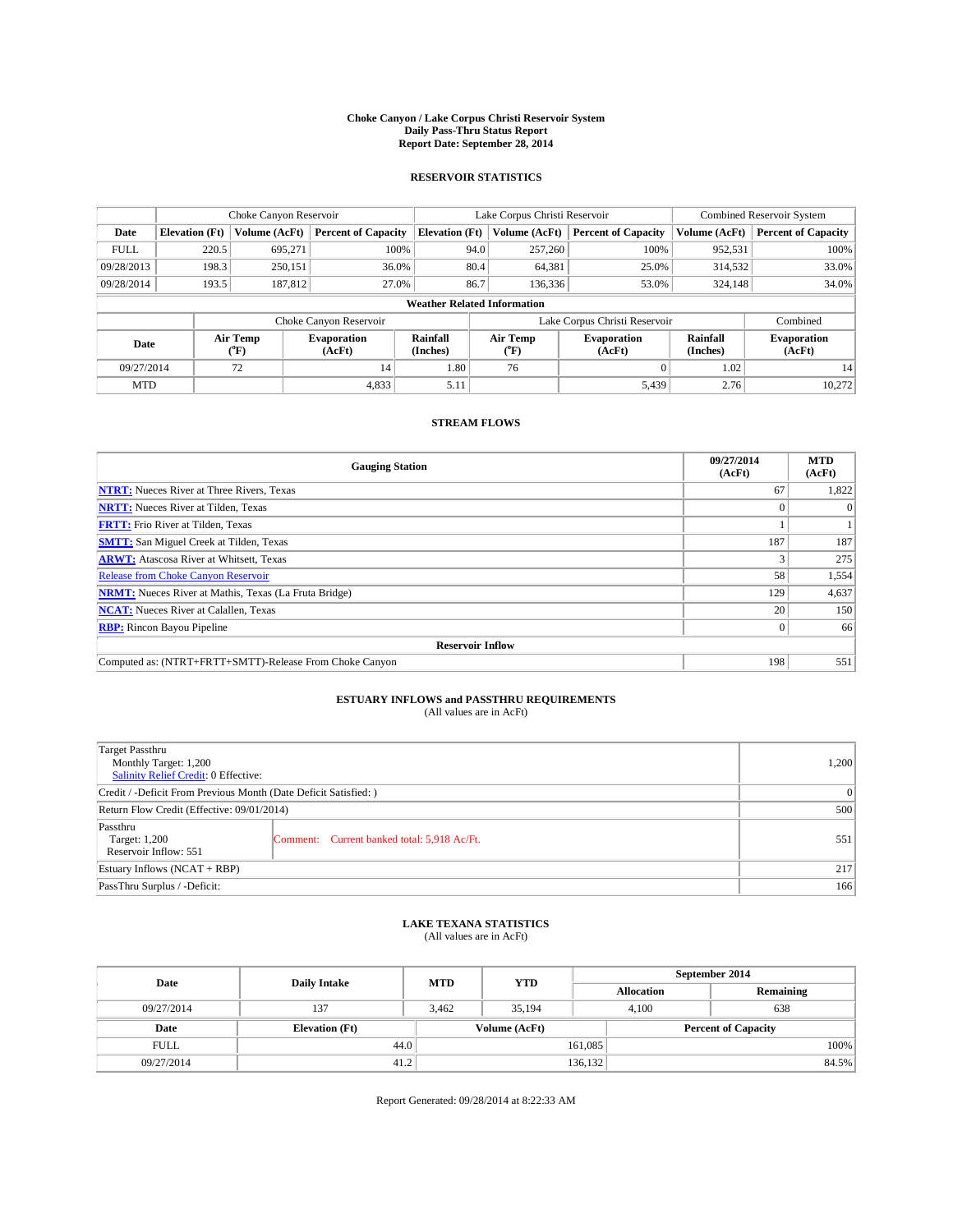#### **Choke Canyon / Lake Corpus Christi Reservoir System Daily Pass-Thru Status Report Report Date: September 28, 2014**

### **RESERVOIR STATISTICS**

|             | Choke Canyon Reservoir             |                  |                              |                       | Lake Corpus Christi Reservoir | <b>Combined Reservoir System</b> |                      |                              |  |
|-------------|------------------------------------|------------------|------------------------------|-----------------------|-------------------------------|----------------------------------|----------------------|------------------------------|--|
| Date        | <b>Elevation</b> (Ft)              | Volume (AcFt)    | <b>Percent of Capacity</b>   | <b>Elevation (Ft)</b> | Volume (AcFt)                 | <b>Percent of Capacity</b>       | Volume (AcFt)        | <b>Percent of Capacity</b>   |  |
| <b>FULL</b> | 220.5                              | 695.271          | 100%                         | 94.0                  | 257,260                       | 100%                             | 952,531              | 100%                         |  |
| 09/28/2013  | 198.3                              | 250,151          | 36.0%                        | 80.4                  | 64,381                        | 25.0%                            | 314,532              | 33.0%                        |  |
| 09/28/2014  | 193.5                              | 187,812          | 27.0%                        | 86.7                  | 136.336                       | 53.0%                            | 324,148              | 34.0%                        |  |
|             | <b>Weather Related Information</b> |                  |                              |                       |                               |                                  |                      |                              |  |
|             |                                    |                  | Choke Canyon Reservoir       |                       |                               | Lake Corpus Christi Reservoir    |                      | Combined                     |  |
| Date        |                                    | Air Temp<br>(°F) | <b>Evaporation</b><br>(AcFt) | Rainfall<br>(Inches)  | Air Temp<br>$(^{o}F)$         | <b>Evaporation</b><br>(AcFt)     | Rainfall<br>(Inches) | <b>Evaporation</b><br>(AcFt) |  |
| 09/27/2014  |                                    | 72               | 14                           | 1.80                  | 76                            |                                  | 1.02                 | 14                           |  |
| <b>MTD</b>  |                                    |                  | 4,833                        | 5.11                  |                               | 5,439                            | 2.76                 | 10.272                       |  |

### **STREAM FLOWS**

| <b>Gauging Station</b>                                       | 09/27/2014<br>(AcFt) | <b>MTD</b><br>(AcFt) |  |  |  |  |
|--------------------------------------------------------------|----------------------|----------------------|--|--|--|--|
| <b>NTRT:</b> Nueces River at Three Rivers, Texas             | 67                   | 1,822                |  |  |  |  |
| <b>NRTT:</b> Nueces River at Tilden, Texas                   |                      |                      |  |  |  |  |
| <b>FRTT:</b> Frio River at Tilden, Texas                     |                      |                      |  |  |  |  |
| <b>SMTT:</b> San Miguel Creek at Tilden, Texas               | 187                  | 187                  |  |  |  |  |
| <b>ARWT:</b> Atascosa River at Whitsett, Texas               |                      | 275                  |  |  |  |  |
| Release from Choke Canyon Reservoir                          | 58                   | 1,554                |  |  |  |  |
| <b>NRMT:</b> Nueces River at Mathis, Texas (La Fruta Bridge) | 129                  | 4,637                |  |  |  |  |
| <b>NCAT:</b> Nueces River at Calallen, Texas                 | 20                   | 150                  |  |  |  |  |
| <b>RBP:</b> Rincon Bayou Pipeline                            | $\Omega$             | 66                   |  |  |  |  |
| <b>Reservoir Inflow</b>                                      |                      |                      |  |  |  |  |
| Computed as: (NTRT+FRTT+SMTT)-Release From Choke Canyon      | 198                  | 551                  |  |  |  |  |

# **ESTUARY INFLOWS and PASSTHRU REQUIREMENTS**<br>(All values are in AcFt)

| Target Passthru<br>Monthly Target: 1,200<br>Salinity Relief Credit: 0 Effective: |                                             | 1,200 |  |  |
|----------------------------------------------------------------------------------|---------------------------------------------|-------|--|--|
| Credit / -Deficit From Previous Month (Date Deficit Satisfied: )                 |                                             |       |  |  |
| Return Flow Credit (Effective: 09/01/2014)                                       |                                             |       |  |  |
| Passthru<br>Target: 1,200<br>Reservoir Inflow: 551                               | Comment: Current banked total: 5,918 Ac/Ft. | 551   |  |  |
| Estuary Inflows (NCAT + RBP)                                                     | 217                                         |       |  |  |
| PassThru Surplus / -Deficit:                                                     | 166                                         |       |  |  |

## **LAKE TEXANA STATISTICS** (All values are in AcFt)

| Date        | <b>Daily Intake</b>   | <b>MTD</b> | <b>YTD</b>    | September 2014    |                            |           |       |
|-------------|-----------------------|------------|---------------|-------------------|----------------------------|-----------|-------|
|             |                       |            |               | <b>Allocation</b> |                            | Remaining |       |
| 09/27/2014  | 137                   | 3.462      | 35.194        |                   | 638<br>4.100               |           |       |
| Date        | <b>Elevation</b> (Ft) |            | Volume (AcFt) |                   | <b>Percent of Capacity</b> |           |       |
| <b>FULL</b> | 44.0                  |            |               | 161,085           |                            |           | 100%  |
| 09/27/2014  | 41.2                  |            |               | 136,132           |                            |           | 84.5% |

Report Generated: 09/28/2014 at 8:22:33 AM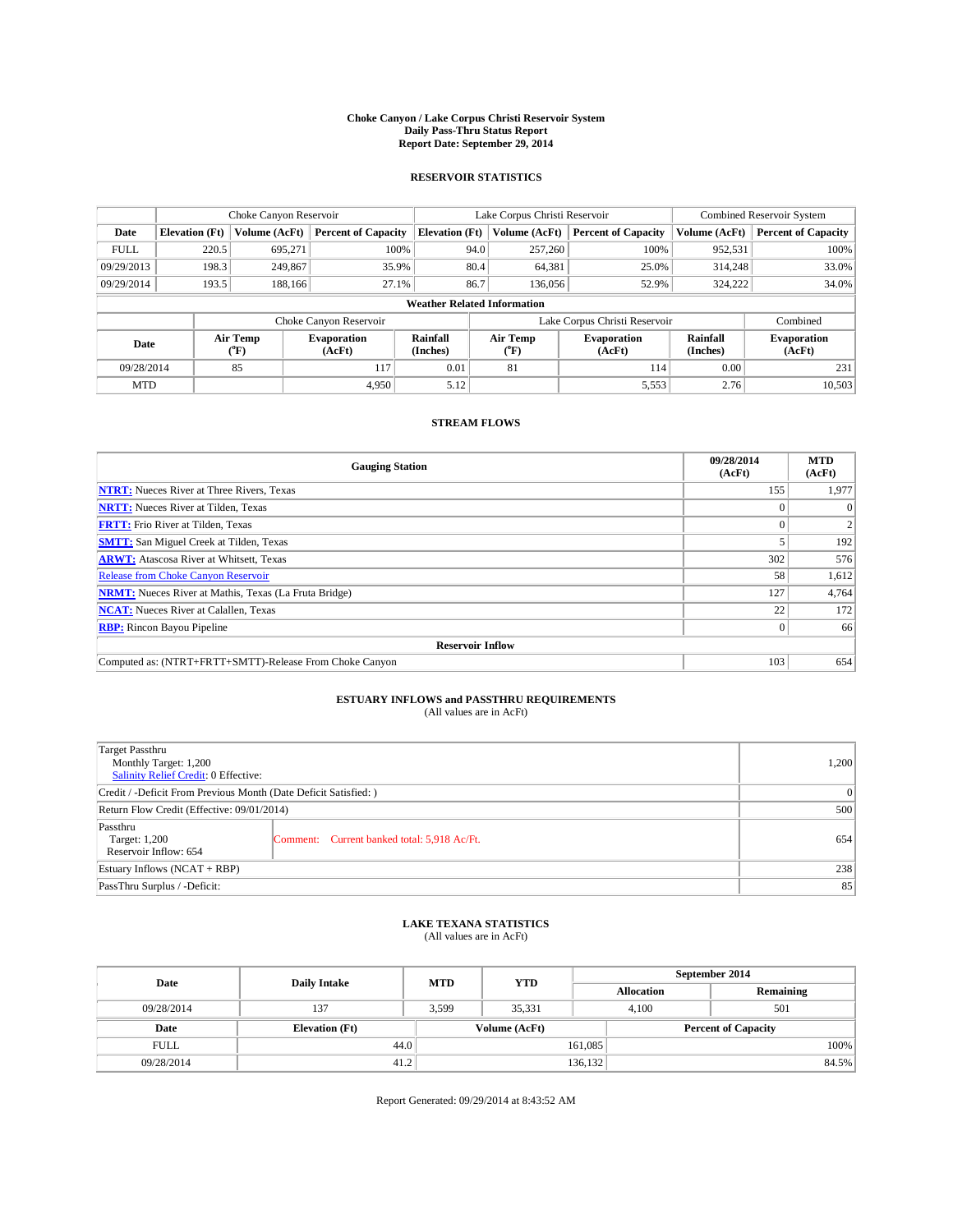#### **Choke Canyon / Lake Corpus Christi Reservoir System Daily Pass-Thru Status Report Report Date: September 29, 2014**

### **RESERVOIR STATISTICS**

|             |                                    | Choke Canyon Reservoir |                              |                       | Lake Corpus Christi Reservoir | <b>Combined Reservoir System</b> |                      |                              |  |
|-------------|------------------------------------|------------------------|------------------------------|-----------------------|-------------------------------|----------------------------------|----------------------|------------------------------|--|
| Date        | <b>Elevation</b> (Ft)              | Volume (AcFt)          | <b>Percent of Capacity</b>   | <b>Elevation (Ft)</b> | Volume (AcFt)                 | <b>Percent of Capacity</b>       | Volume (AcFt)        | Percent of Capacity          |  |
| <b>FULL</b> | 220.5                              | 695,271                | 100%                         | 94.0                  | 257,260                       | 100%                             | 952,531              | 100%                         |  |
| 09/29/2013  | 198.3                              | 249,867                | 35.9%                        | 80.4                  | 64,381                        | 25.0%                            | 314,248              | 33.0%                        |  |
| 09/29/2014  | 193.5                              | 188,166                | 27.1%                        | 86.7                  | 136,056                       | 52.9%                            | 324,222              | $34.0\%$                     |  |
|             | <b>Weather Related Information</b> |                        |                              |                       |                               |                                  |                      |                              |  |
|             |                                    |                        | Choke Canyon Reservoir       |                       |                               | Lake Corpus Christi Reservoir    |                      | Combined                     |  |
| Date        | Air Temp<br>(°F)                   |                        | <b>Evaporation</b><br>(AcFt) | Rainfall<br>(Inches)  | Air Temp<br>("F)              | <b>Evaporation</b><br>(AcFt)     | Rainfall<br>(Inches) | <b>Evaporation</b><br>(AcFt) |  |
| 09/28/2014  |                                    | 85                     | 117                          | 0.01                  | 81                            | 114                              | 0.00                 | 231                          |  |
| <b>MTD</b>  |                                    |                        | 4.950                        | 5.12                  |                               | 5,553                            | 2.76                 | 10,503                       |  |

### **STREAM FLOWS**

| <b>Gauging Station</b>                                       | 09/28/2014<br>(AcFt) | <b>MTD</b><br>(AcFt) |  |  |  |
|--------------------------------------------------------------|----------------------|----------------------|--|--|--|
| <b>NTRT:</b> Nueces River at Three Rivers, Texas             | 155                  | 1,977                |  |  |  |
| <b>NRTT:</b> Nueces River at Tilden, Texas                   |                      |                      |  |  |  |
| <b>FRTT:</b> Frio River at Tilden, Texas                     |                      |                      |  |  |  |
| <b>SMTT:</b> San Miguel Creek at Tilden, Texas               |                      | 192                  |  |  |  |
| <b>ARWT:</b> Atascosa River at Whitsett, Texas               | 302                  | 576                  |  |  |  |
| <b>Release from Choke Canyon Reservoir</b>                   | 58                   | 1,612                |  |  |  |
| <b>NRMT:</b> Nueces River at Mathis, Texas (La Fruta Bridge) |                      |                      |  |  |  |
| 22<br><b>NCAT:</b> Nueces River at Calallen, Texas           |                      |                      |  |  |  |
| <b>RBP:</b> Rincon Bayou Pipeline                            | $\Omega$             | 66                   |  |  |  |
| <b>Reservoir Inflow</b>                                      |                      |                      |  |  |  |
| Computed as: (NTRT+FRTT+SMTT)-Release From Choke Canyon      | 103                  | 654                  |  |  |  |

## **ESTUARY INFLOWS and PASSTHRU REQUIREMENTS**<br>(All values are in AcFt)

| Target Passthru<br>Monthly Target: 1,200<br>Salinity Relief Credit: 0 Effective: |                                             | 1,200 |
|----------------------------------------------------------------------------------|---------------------------------------------|-------|
| Credit / -Deficit From Previous Month (Date Deficit Satisfied: )                 | $\Omega$                                    |       |
| Return Flow Credit (Effective: 09/01/2014)                                       | 500                                         |       |
| Passthru<br>Target: 1,200<br>Reservoir Inflow: 654                               | Comment: Current banked total: 5,918 Ac/Ft. | 654   |
| Estuary Inflows $(NCAT + RBP)$                                                   | 238                                         |       |
| PassThru Surplus / -Deficit:                                                     | 85                                          |       |

### **LAKE TEXANA STATISTICS** (All values are in AcFt)

| Date        | <b>Daily Intake</b>   | <b>MTD</b> | <b>YTD</b>    | September 2014    |                            |           |  |
|-------------|-----------------------|------------|---------------|-------------------|----------------------------|-----------|--|
|             |                       |            |               | <b>Allocation</b> |                            | Remaining |  |
| 09/28/2014  | 137                   | 3.599      | 35.331        | 4.100             |                            | 501       |  |
| Date        | <b>Elevation</b> (Ft) |            | Volume (AcFt) |                   | <b>Percent of Capacity</b> |           |  |
| <b>FULL</b> | 44.0                  |            |               | 161,085           |                            | 100%      |  |
| 09/28/2014  | 41.2                  |            |               | 136,132           |                            | 84.5%     |  |

Report Generated: 09/29/2014 at 8:43:52 AM